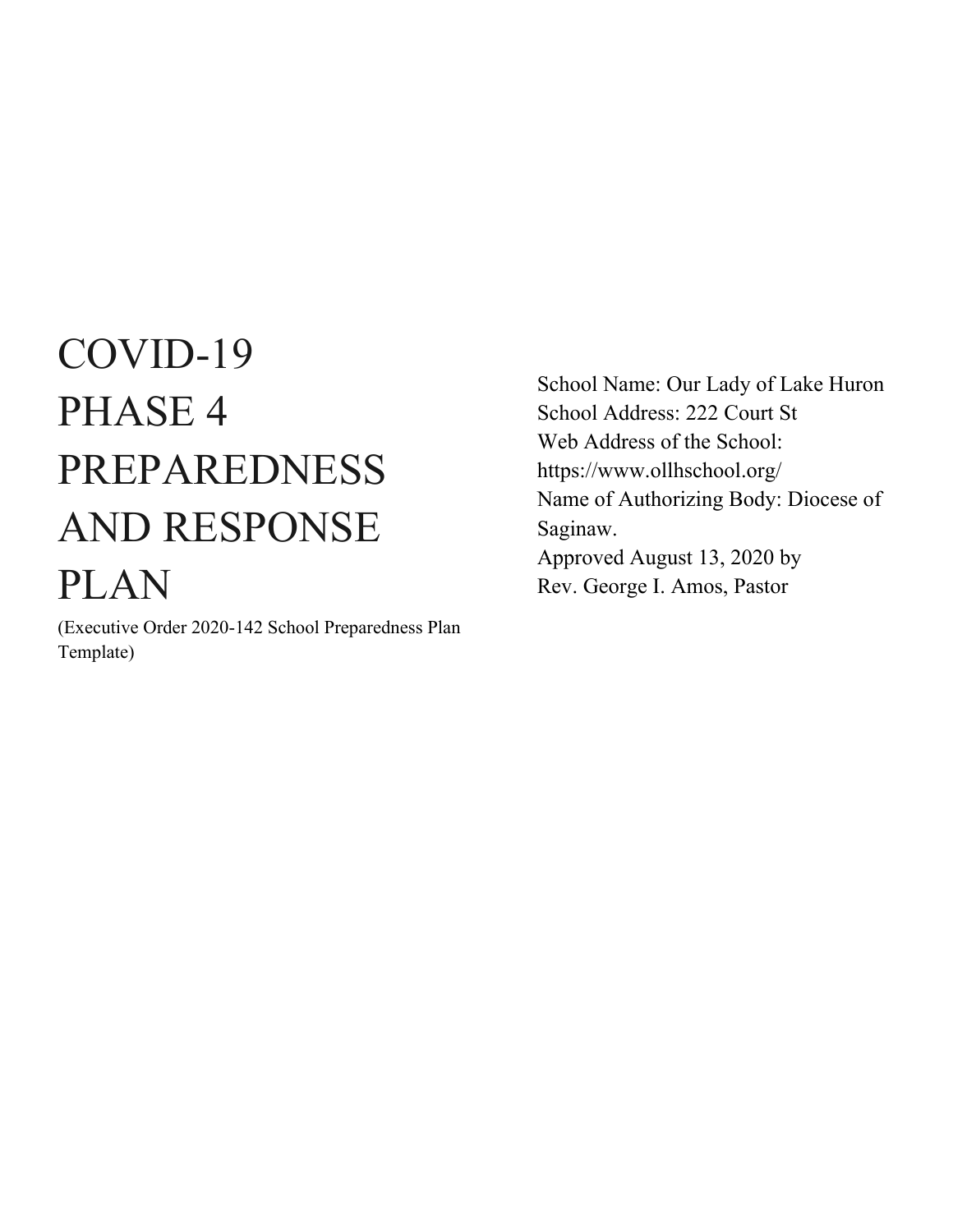# COVID-19 PHASE 4 PREPAREDNESS AND RESPONSE PLAN Rev. George I. Amos, Pastor

(Executive Order 2020-142 School Preparedness Plan Template)

School Name: Our Lady of Lake Huron School Address: 222 Court St Web Address of the School: https://www.ollhschool.org/ Name of Authorizing Body: Diocese of Saginaw. Approved August 13, 2020 by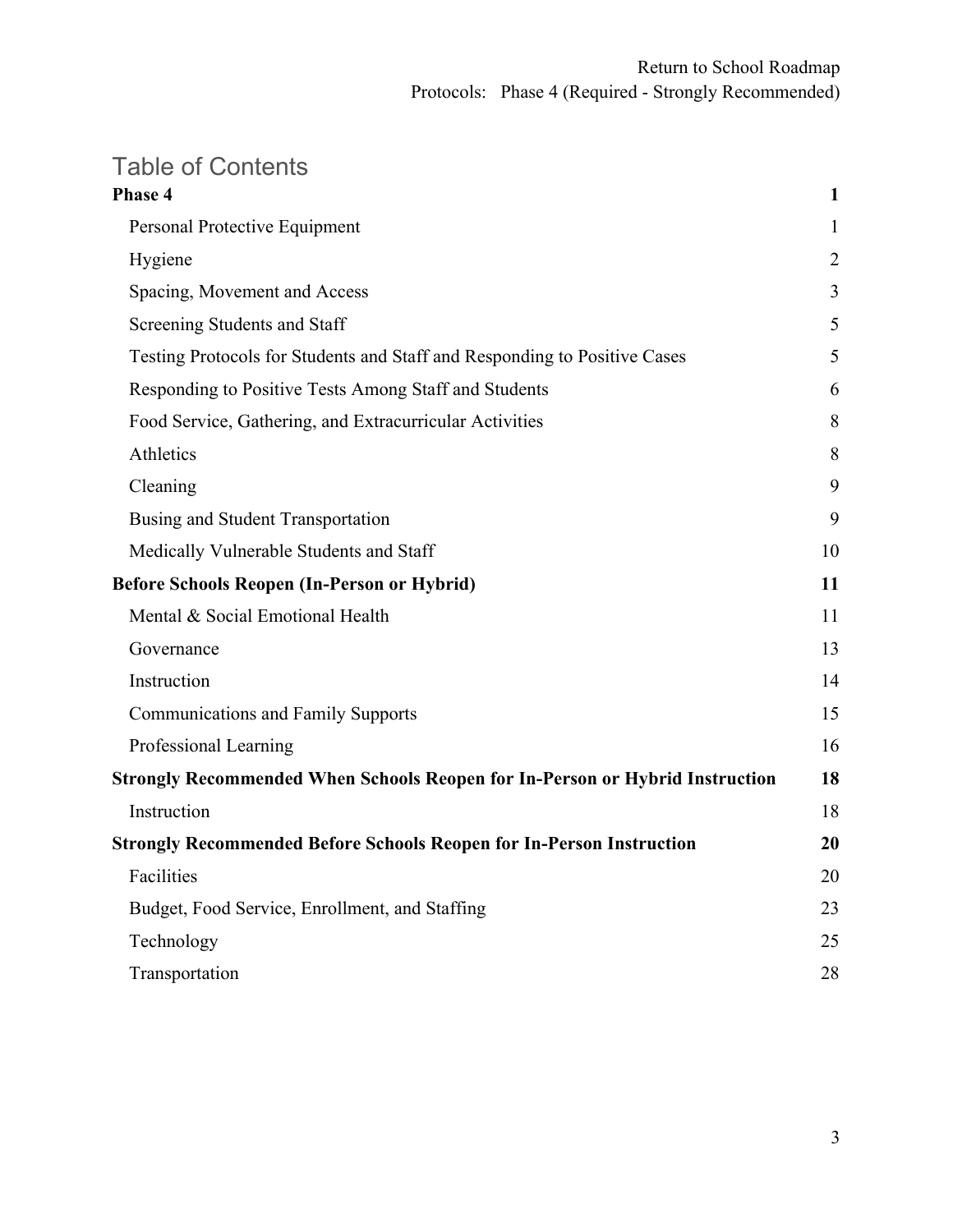### Table of Contents

| Phase 4                                                                             | $\mathbf{1}$ |
|-------------------------------------------------------------------------------------|--------------|
| Personal Protective Equipment                                                       | 1            |
| Hygiene                                                                             | 2            |
| Spacing, Movement and Access                                                        | 3            |
| Screening Students and Staff                                                        | 5            |
| Testing Protocols for Students and Staff and Responding to Positive Cases           | 5            |
| Responding to Positive Tests Among Staff and Students                               | 6            |
| Food Service, Gathering, and Extracurricular Activities                             | 8            |
| Athletics                                                                           | 8            |
| Cleaning                                                                            | 9            |
| Busing and Student Transportation                                                   | 9            |
| Medically Vulnerable Students and Staff                                             | 10           |
| <b>Before Schools Reopen (In-Person or Hybrid)</b>                                  | 11           |
| Mental & Social Emotional Health                                                    | 11           |
| Governance                                                                          | 13           |
| Instruction                                                                         | 14           |
| <b>Communications and Family Supports</b>                                           | 15           |
| Professional Learning                                                               | 16           |
| <b>Strongly Recommended When Schools Reopen for In-Person or Hybrid Instruction</b> | 18           |
| Instruction                                                                         | 18           |
| <b>Strongly Recommended Before Schools Reopen for In-Person Instruction</b>         | 20           |
| Facilities                                                                          | 20           |
| Budget, Food Service, Enrollment, and Staffing                                      | 23           |
| Technology                                                                          | 25           |
| Transportation                                                                      | 28           |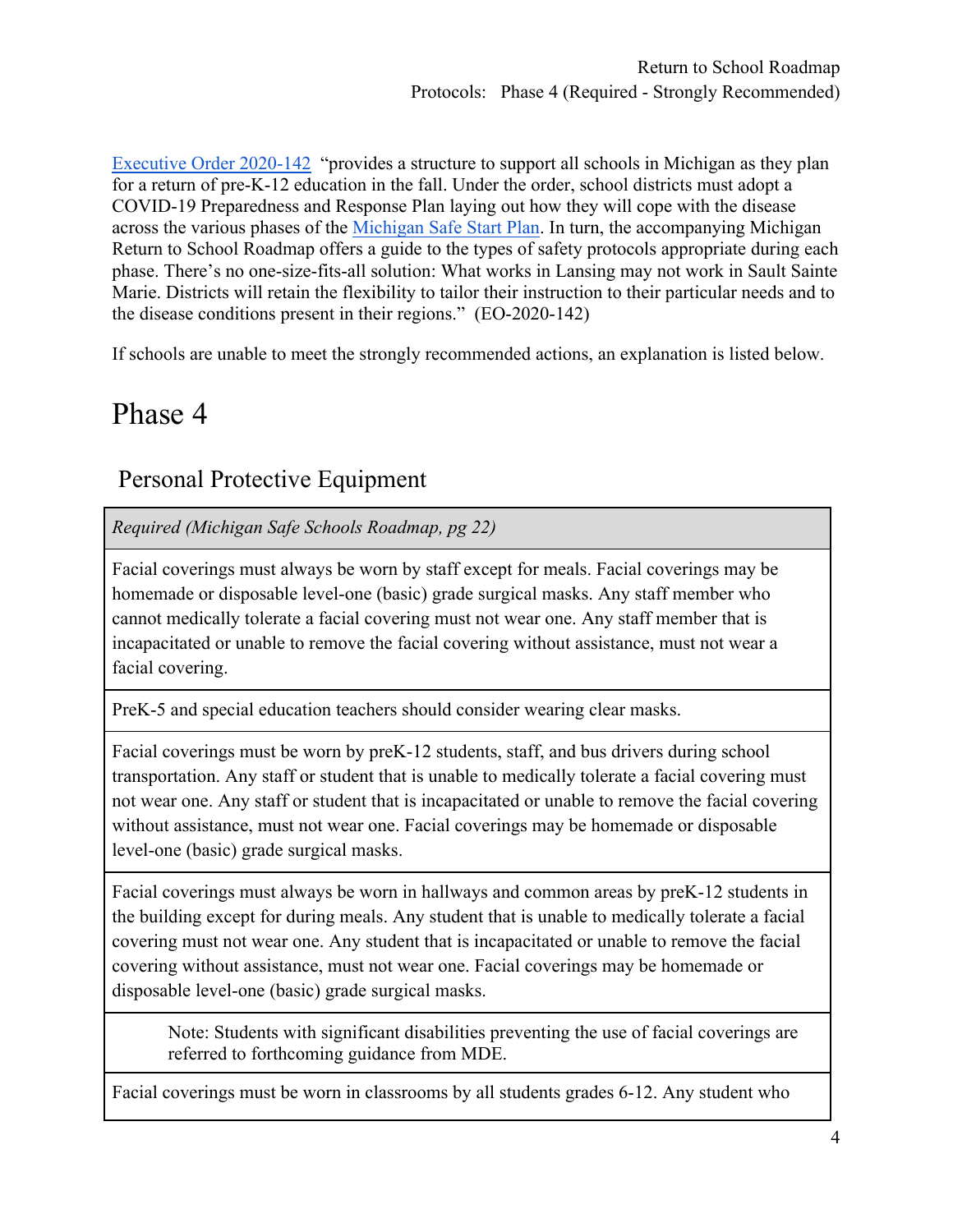[Executive Order 2020-142](https://content.govdelivery.com/attachments/MIEOG/2020/06/30/file_attachments/1485859/EO%202020-142.pdf) "provides a structure to support all schools in Michigan as they plan for a return of pre-K-12 education in the fall. Under the order, school districts must adopt a COVID-19 Preparedness and Response Plan laying out how they will cope with the disease across the various phases of the [Michigan Safe Start Plan.](https://www.michigan.gov/documents/whitmer/MI_SAFE_START_PLAN_689875_7.pdf) In turn, the accompanying Michigan Return to School Roadmap offers a guide to the types of safety protocols appropriate during each phase. There's no one-size-fits-all solution: What works in Lansing may not work in Sault Sainte Marie. Districts will retain the flexibility to tailor their instruction to their particular needs and to the disease conditions present in their regions." (EO-2020-142)

If schools are unable to meet the strongly recommended actions, an explanation is listed below.

# Phase 4

### Personal Protective Equipment

*Required (Michigan Safe Schools Roadmap, pg 22)*

Facial coverings must always be worn by staff except for meals. Facial coverings may be homemade or disposable level-one (basic) grade surgical masks. Any staff member who cannot medically tolerate a facial covering must not wear one. Any staff member that is incapacitated or unable to remove the facial covering without assistance, must not wear a facial covering.

PreK-5 and special education teachers should consider wearing clear masks.

Facial coverings must be worn by preK-12 students, staff, and bus drivers during school transportation. Any staff or student that is unable to medically tolerate a facial covering must not wear one. Any staff or student that is incapacitated or unable to remove the facial covering without assistance, must not wear one. Facial coverings may be homemade or disposable level-one (basic) grade surgical masks.

Facial coverings must always be worn in hallways and common areas by preK-12 students in the building except for during meals. Any student that is unable to medically tolerate a facial covering must not wear one. Any student that is incapacitated or unable to remove the facial covering without assistance, must not wear one. Facial coverings may be homemade or disposable level-one (basic) grade surgical masks.

Note: Students with significant disabilities preventing the use of facial coverings are referred to forthcoming guidance from MDE.

Facial coverings must be worn in classrooms by all students grades 6-12. Any student who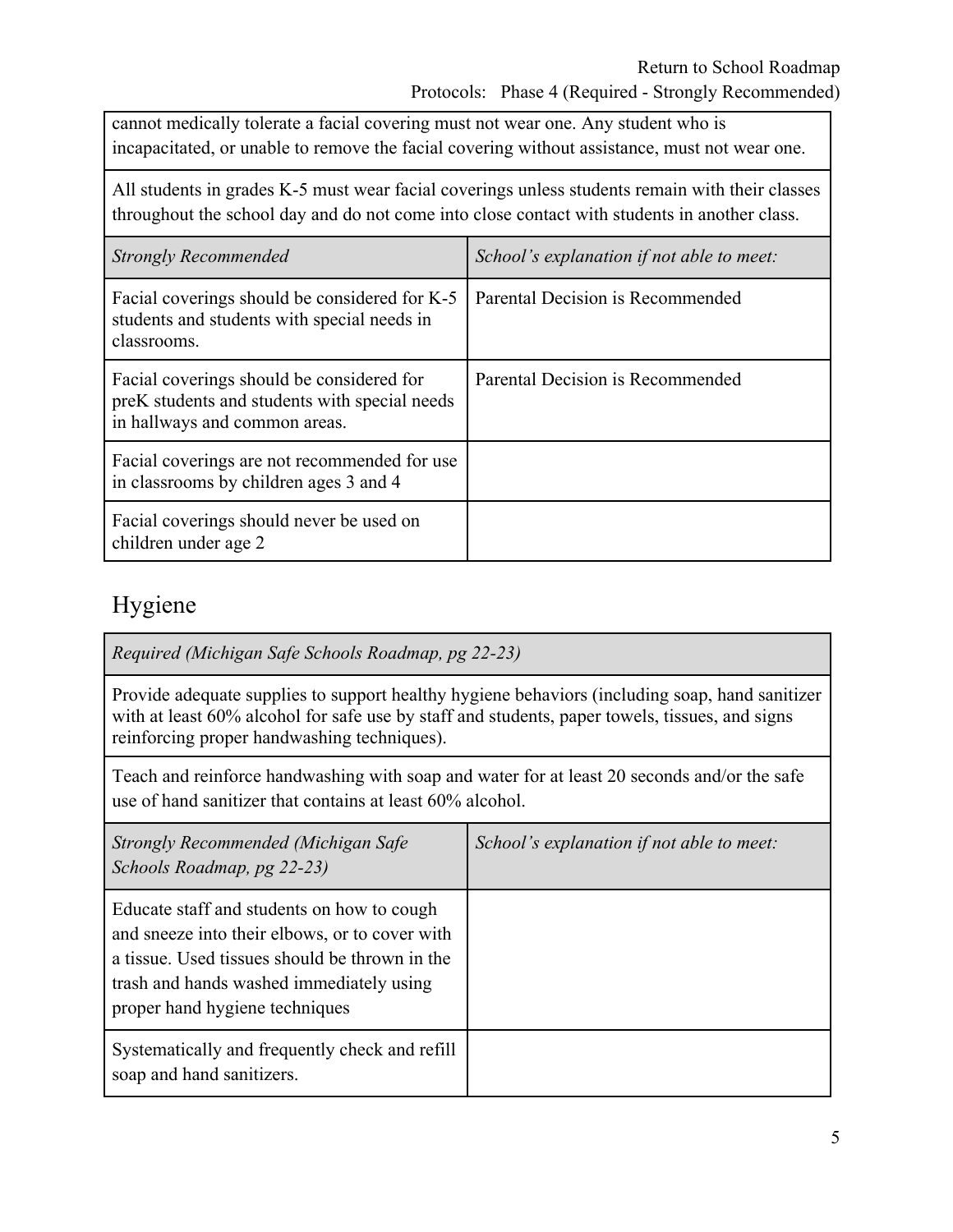cannot medically tolerate a facial covering must not wear one. Any student who is incapacitated, or unable to remove the facial covering without assistance, must not wear one.

All students in grades K-5 must wear facial coverings unless students remain with their classes throughout the school day and do not come into close contact with students in another class.

| <b>Strongly Recommended</b>                                                                                                 | School's explanation if not able to meet: |
|-----------------------------------------------------------------------------------------------------------------------------|-------------------------------------------|
| Facial coverings should be considered for K-5<br>students and students with special needs in<br>classrooms.                 | Parental Decision is Recommended          |
| Facial coverings should be considered for<br>preK students and students with special needs<br>in hallways and common areas. | Parental Decision is Recommended          |
| Facial coverings are not recommended for use<br>in classrooms by children ages 3 and 4                                      |                                           |
| Facial coverings should never be used on<br>children under age 2                                                            |                                           |

### Hygiene

*Required (Michigan Safe Schools Roadmap, pg 22-23)*

Provide adequate supplies to support healthy hygiene behaviors (including soap, hand sanitizer with at least 60% alcohol for safe use by staff and students, paper towels, tissues, and signs reinforcing proper handwashing techniques).

Teach and reinforce handwashing with soap and water for at least 20 seconds and/or the safe use of hand sanitizer that contains at least 60% alcohol.

| Strongly Recommended (Michigan Safe<br>Schools Roadmap, pg 22-23)                                                                                                                                                            | School's explanation if not able to meet: |  |
|------------------------------------------------------------------------------------------------------------------------------------------------------------------------------------------------------------------------------|-------------------------------------------|--|
| Educate staff and students on how to cough<br>and sneeze into their elbows, or to cover with<br>a tissue. Used tissues should be thrown in the<br>trash and hands washed immediately using<br>proper hand hygiene techniques |                                           |  |
| Systematically and frequently check and refill<br>soap and hand sanitizers.                                                                                                                                                  |                                           |  |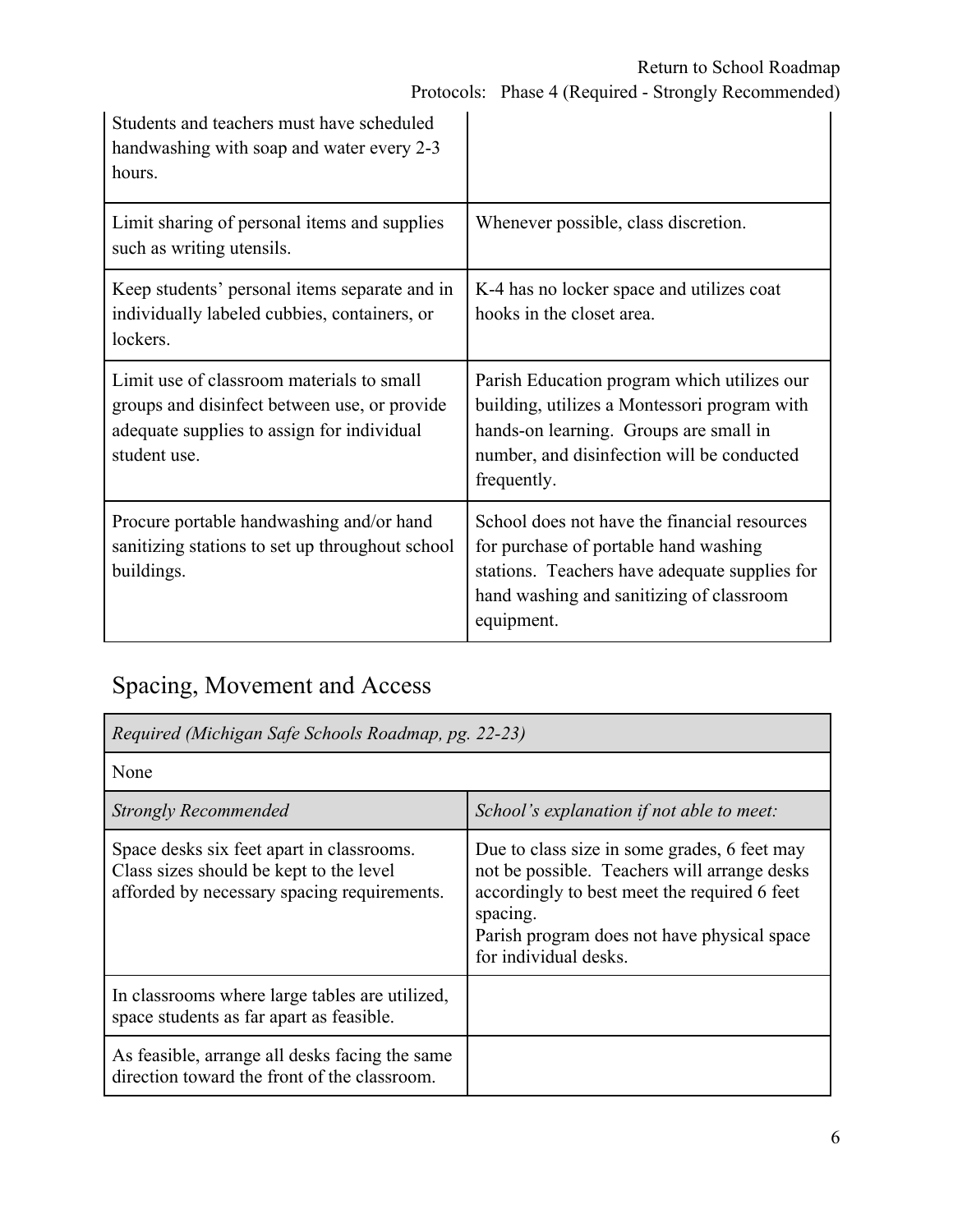| Students and teachers must have scheduled<br>handwashing with soap and water every 2-3<br>hours.                                                        |                                                                                                                                                                                                    |
|---------------------------------------------------------------------------------------------------------------------------------------------------------|----------------------------------------------------------------------------------------------------------------------------------------------------------------------------------------------------|
| Limit sharing of personal items and supplies<br>such as writing utensils.                                                                               | Whenever possible, class discretion.                                                                                                                                                               |
| Keep students' personal items separate and in<br>individually labeled cubbies, containers, or<br>lockers.                                               | K-4 has no locker space and utilizes coat<br>hooks in the closet area.                                                                                                                             |
| Limit use of classroom materials to small<br>groups and disinfect between use, or provide<br>adequate supplies to assign for individual<br>student use. | Parish Education program which utilizes our<br>building, utilizes a Montessori program with<br>hands-on learning. Groups are small in<br>number, and disinfection will be conducted<br>frequently. |
| Procure portable handwashing and/or hand<br>sanitizing stations to set up throughout school<br>buildings.                                               | School does not have the financial resources<br>for purchase of portable hand washing<br>stations. Teachers have adequate supplies for<br>hand washing and sanitizing of classroom<br>equipment.   |

# Spacing, Movement and Access

| Required (Michigan Safe Schools Roadmap, pg. 22-23)                                                                                 |                                                                                                                                                                                                                                  |
|-------------------------------------------------------------------------------------------------------------------------------------|----------------------------------------------------------------------------------------------------------------------------------------------------------------------------------------------------------------------------------|
| None                                                                                                                                |                                                                                                                                                                                                                                  |
| <b>Strongly Recommended</b>                                                                                                         | School's explanation if not able to meet:                                                                                                                                                                                        |
| Space desks six feet apart in classrooms.<br>Class sizes should be kept to the level<br>afforded by necessary spacing requirements. | Due to class size in some grades, 6 feet may<br>not be possible. Teachers will arrange desks<br>accordingly to best meet the required 6 feet<br>spacing.<br>Parish program does not have physical space<br>for individual desks. |
| In classrooms where large tables are utilized,<br>space students as far apart as feasible.                                          |                                                                                                                                                                                                                                  |
| As feasible, arrange all desks facing the same<br>direction toward the front of the classroom.                                      |                                                                                                                                                                                                                                  |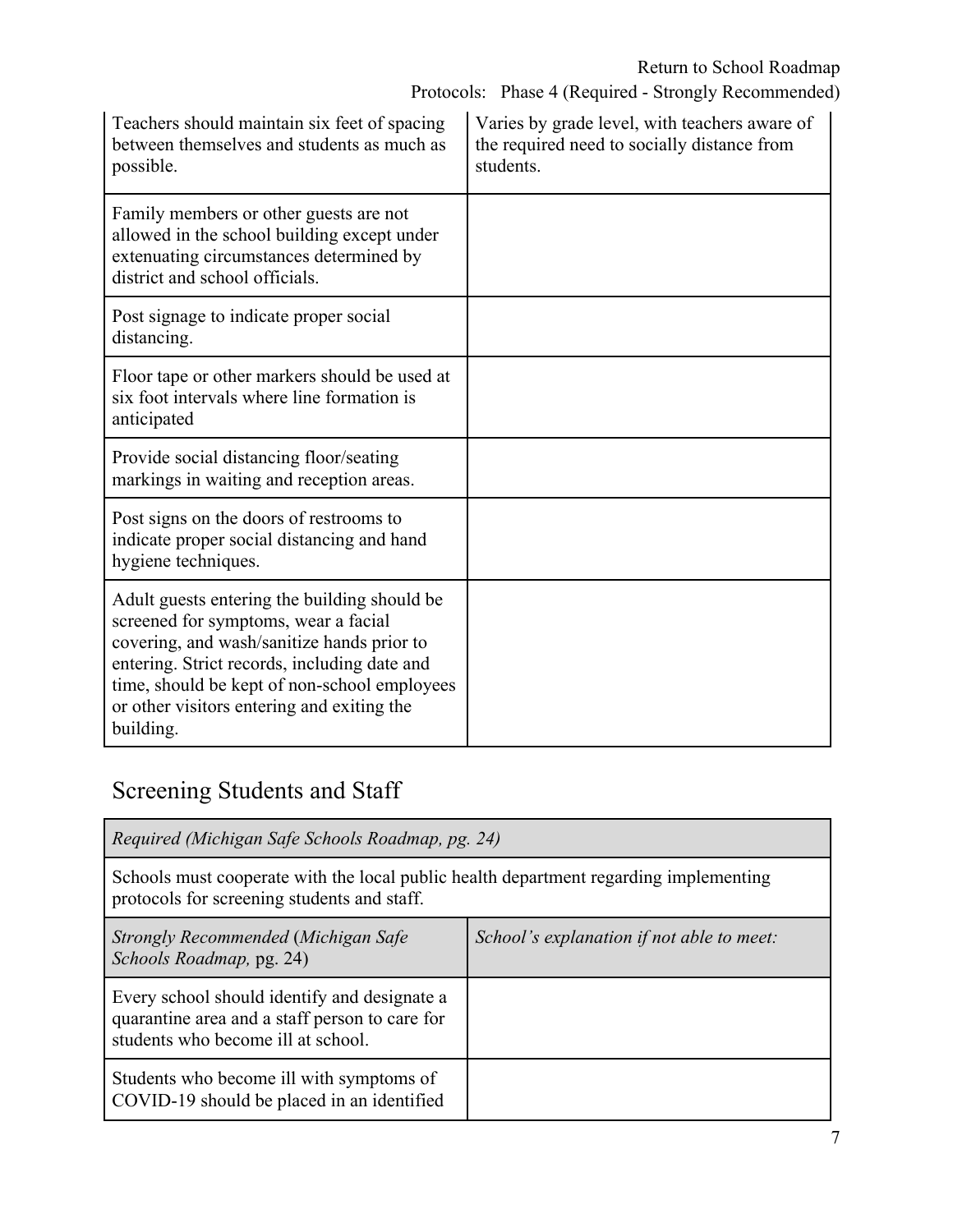Protocols: Phase 4 (Required - Strongly Recommended)

| Teachers should maintain six feet of spacing<br>between themselves and students as much as<br>possible.                                                                                                                                                                                       | Varies by grade level, with teachers aware of<br>the required need to socially distance from<br>students. |  |
|-----------------------------------------------------------------------------------------------------------------------------------------------------------------------------------------------------------------------------------------------------------------------------------------------|-----------------------------------------------------------------------------------------------------------|--|
| Family members or other guests are not<br>allowed in the school building except under<br>extenuating circumstances determined by<br>district and school officials.                                                                                                                            |                                                                                                           |  |
| Post signage to indicate proper social<br>distancing.                                                                                                                                                                                                                                         |                                                                                                           |  |
| Floor tape or other markers should be used at<br>six foot intervals where line formation is<br>anticipated                                                                                                                                                                                    |                                                                                                           |  |
| Provide social distancing floor/seating<br>markings in waiting and reception areas.                                                                                                                                                                                                           |                                                                                                           |  |
| Post signs on the doors of restrooms to<br>indicate proper social distancing and hand<br>hygiene techniques.                                                                                                                                                                                  |                                                                                                           |  |
| Adult guests entering the building should be<br>screened for symptoms, wear a facial<br>covering, and wash/sanitize hands prior to<br>entering. Strict records, including date and<br>time, should be kept of non-school employees<br>or other visitors entering and exiting the<br>building. |                                                                                                           |  |

# Screening Students and Staff

| Required (Michigan Safe Schools Roadmap, pg. 24)                                                                                     |                                           |
|--------------------------------------------------------------------------------------------------------------------------------------|-------------------------------------------|
| Schools must cooperate with the local public health department regarding implementing<br>protocols for screening students and staff. |                                           |
| Strongly Recommended (Michigan Safe<br>Schools Roadmap, pg. 24)                                                                      | School's explanation if not able to meet: |
| Every school should identify and designate a<br>quarantine area and a staff person to care for<br>students who become ill at school. |                                           |
| Students who become ill with symptoms of<br>COVID-19 should be placed in an identified                                               |                                           |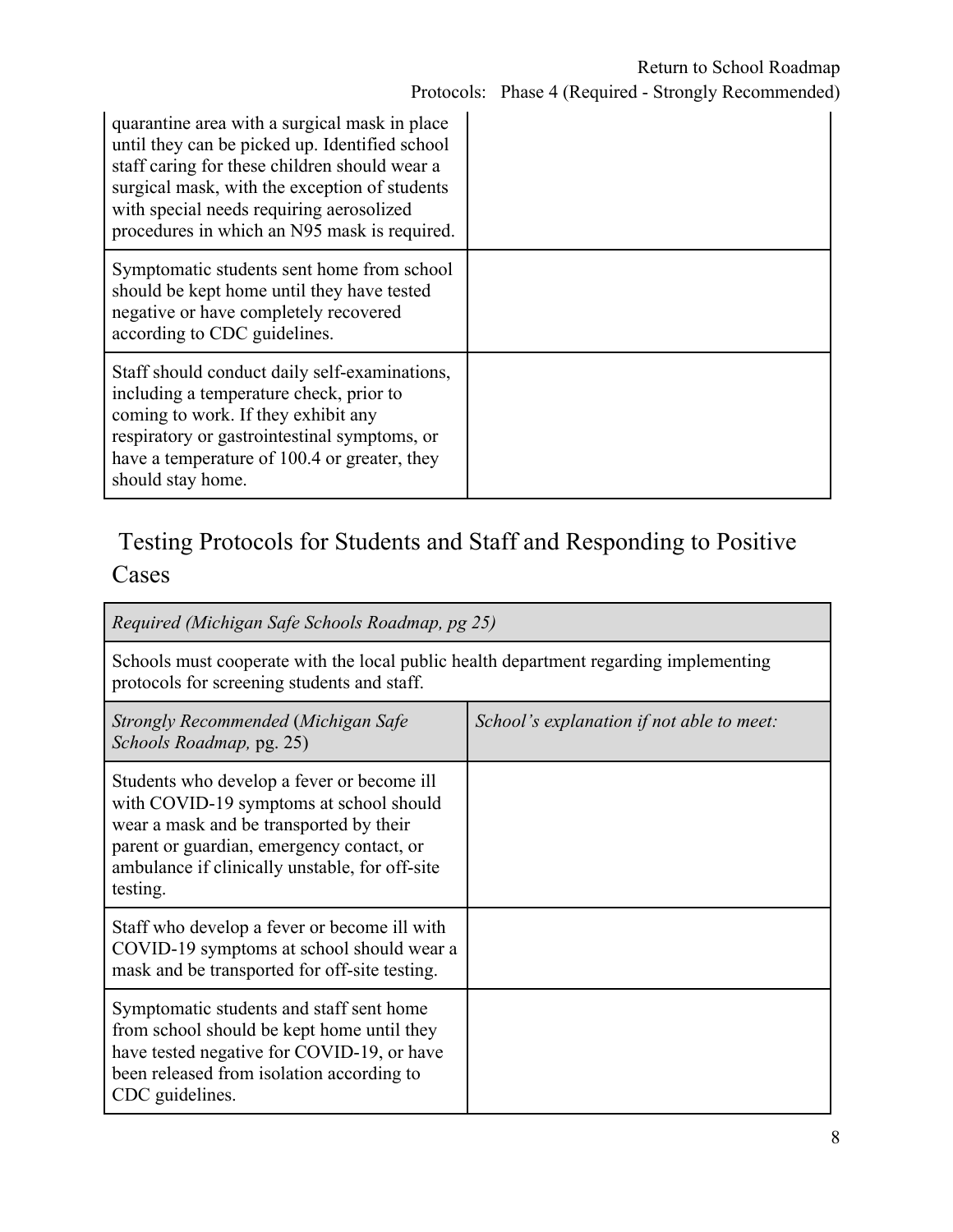| quarantine area with a surgical mask in place<br>until they can be picked up. Identified school<br>staff caring for these children should wear a<br>surgical mask, with the exception of students<br>with special needs requiring aerosolized<br>procedures in which an N95 mask is required. |  |
|-----------------------------------------------------------------------------------------------------------------------------------------------------------------------------------------------------------------------------------------------------------------------------------------------|--|
| Symptomatic students sent home from school<br>should be kept home until they have tested<br>negative or have completely recovered<br>according to CDC guidelines.                                                                                                                             |  |
| Staff should conduct daily self-examinations,<br>including a temperature check, prior to<br>coming to work. If they exhibit any<br>respiratory or gastrointestinal symptoms, or<br>have a temperature of 100.4 or greater, they<br>should stay home.                                          |  |

### Testing Protocols for Students and Staff and Responding to Positive Cases

| Required (Michigan Safe Schools Roadmap, pg 25)                                                                                                                                                                                             |                                           |
|---------------------------------------------------------------------------------------------------------------------------------------------------------------------------------------------------------------------------------------------|-------------------------------------------|
| Schools must cooperate with the local public health department regarding implementing<br>protocols for screening students and staff.                                                                                                        |                                           |
| Strongly Recommended (Michigan Safe<br>Schools Roadmap, pg. 25)                                                                                                                                                                             | School's explanation if not able to meet: |
| Students who develop a fever or become ill<br>with COVID-19 symptoms at school should<br>wear a mask and be transported by their<br>parent or guardian, emergency contact, or<br>ambulance if clinically unstable, for off-site<br>testing. |                                           |
| Staff who develop a fever or become ill with<br>COVID-19 symptoms at school should wear a<br>mask and be transported for off-site testing.                                                                                                  |                                           |
| Symptomatic students and staff sent home<br>from school should be kept home until they<br>have tested negative for COVID-19, or have<br>been released from isolation according to<br>CDC guidelines.                                        |                                           |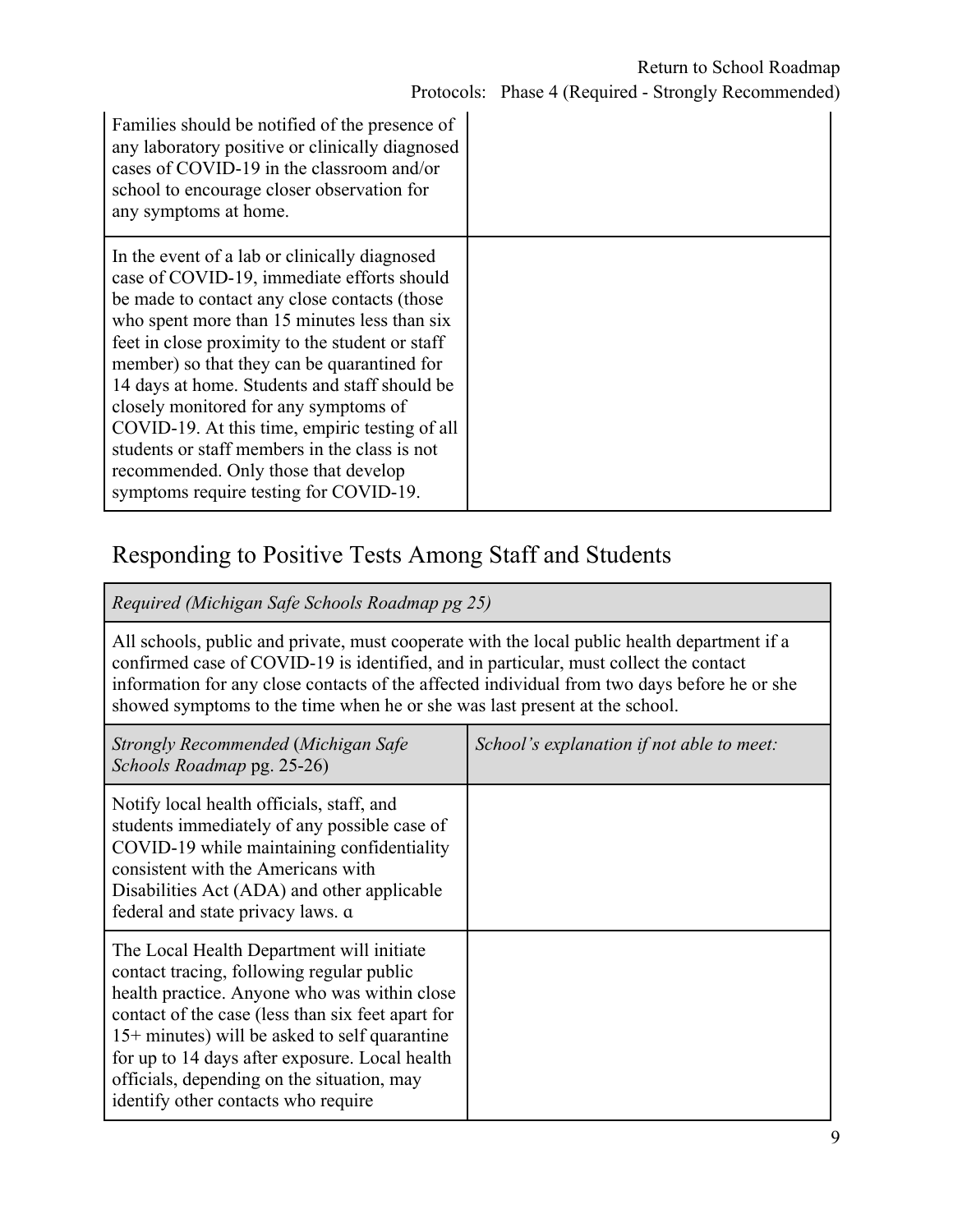| Families should be notified of the presence of<br>any laboratory positive or clinically diagnosed<br>cases of COVID-19 in the classroom and/or<br>school to encourage closer observation for<br>any symptoms at home.                                                                                                                                                                                                                                                                                                                                                        |  |
|------------------------------------------------------------------------------------------------------------------------------------------------------------------------------------------------------------------------------------------------------------------------------------------------------------------------------------------------------------------------------------------------------------------------------------------------------------------------------------------------------------------------------------------------------------------------------|--|
| In the event of a lab or clinically diagnosed<br>case of COVID-19, immediate efforts should<br>be made to contact any close contacts (those<br>who spent more than 15 minutes less than six<br>feet in close proximity to the student or staff<br>member) so that they can be quarantined for<br>14 days at home. Students and staff should be<br>closely monitored for any symptoms of<br>COVID-19. At this time, empiric testing of all<br>students or staff members in the class is not<br>recommended. Only those that develop<br>symptoms require testing for COVID-19. |  |

### Responding to Positive Tests Among Staff and Students

*Required (Michigan Safe Schools Roadmap pg 25)*

All schools, public and private, must cooperate with the local public health department if a confirmed case of COVID-19 is identified, and in particular, must collect the contact information for any close contacts of the affected individual from two days before he or she showed symptoms to the time when he or she was last present at the school.

| Strongly Recommended (Michigan Safe<br>Schools Roadmap pg. 25-26)                                                                                                                                                                                                                                                                                                                     | School's explanation if not able to meet: |
|---------------------------------------------------------------------------------------------------------------------------------------------------------------------------------------------------------------------------------------------------------------------------------------------------------------------------------------------------------------------------------------|-------------------------------------------|
| Notify local health officials, staff, and<br>students immediately of any possible case of<br>COVID-19 while maintaining confidentiality<br>consistent with the Americans with<br>Disabilities Act (ADA) and other applicable<br>federal and state privacy laws. a                                                                                                                     |                                           |
| The Local Health Department will initiate<br>contact tracing, following regular public<br>health practice. Anyone who was within close<br>contact of the case (less than six feet apart for<br>$15+$ minutes) will be asked to self quarantine<br>for up to 14 days after exposure. Local health<br>officials, depending on the situation, may<br>identify other contacts who require |                                           |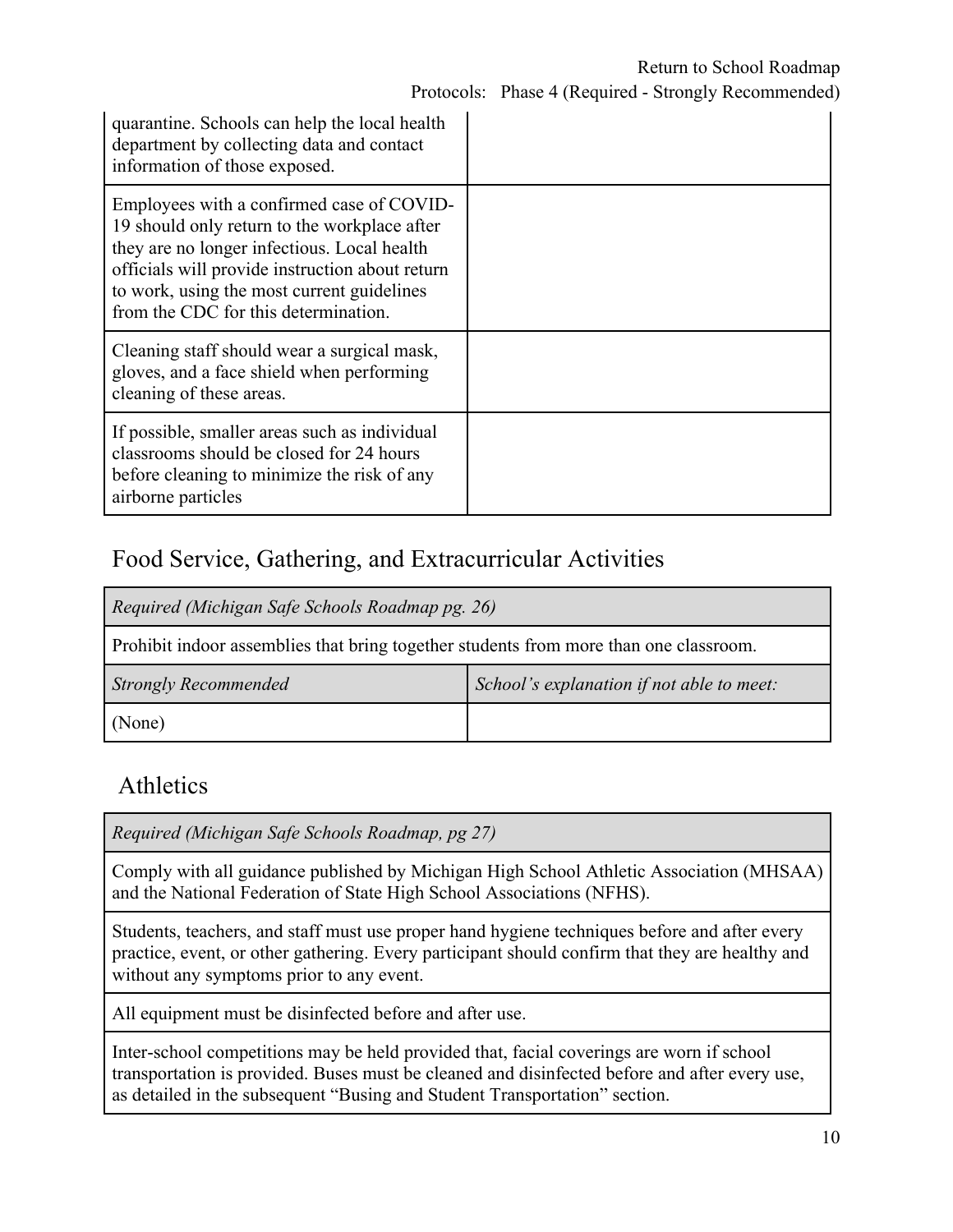| quarantine. Schools can help the local health<br>department by collecting data and contact<br>information of those exposed.                                                                                                                                                       |  |
|-----------------------------------------------------------------------------------------------------------------------------------------------------------------------------------------------------------------------------------------------------------------------------------|--|
| Employees with a confirmed case of COVID-<br>19 should only return to the workplace after<br>they are no longer infectious. Local health<br>officials will provide instruction about return<br>to work, using the most current guidelines<br>from the CDC for this determination. |  |
| Cleaning staff should wear a surgical mask,<br>gloves, and a face shield when performing<br>cleaning of these areas.                                                                                                                                                              |  |
| If possible, smaller areas such as individual<br>classrooms should be closed for 24 hours<br>before cleaning to minimize the risk of any<br>airborne particles                                                                                                                    |  |

### Food Service, Gathering, and Extracurricular Activities

| Required (Michigan Safe Schools Roadmap pg. 26)                                       |                                           |  |
|---------------------------------------------------------------------------------------|-------------------------------------------|--|
| Prohibit indoor assemblies that bring together students from more than one classroom. |                                           |  |
| <b>Strongly Recommended</b>                                                           | School's explanation if not able to meet: |  |
| (None)                                                                                |                                           |  |

### Athletics

*Required (Michigan Safe Schools Roadmap, pg 27)*

Comply with all guidance published by Michigan High School Athletic Association (MHSAA) and the National Federation of State High School Associations (NFHS).

Students, teachers, and staff must use proper hand hygiene techniques before and after every practice, event, or other gathering. Every participant should confirm that they are healthy and without any symptoms prior to any event.

All equipment must be disinfected before and after use.

Inter-school competitions may be held provided that, facial coverings are worn if school transportation is provided. Buses must be cleaned and disinfected before and after every use, as detailed in the subsequent "Busing and Student Transportation" section.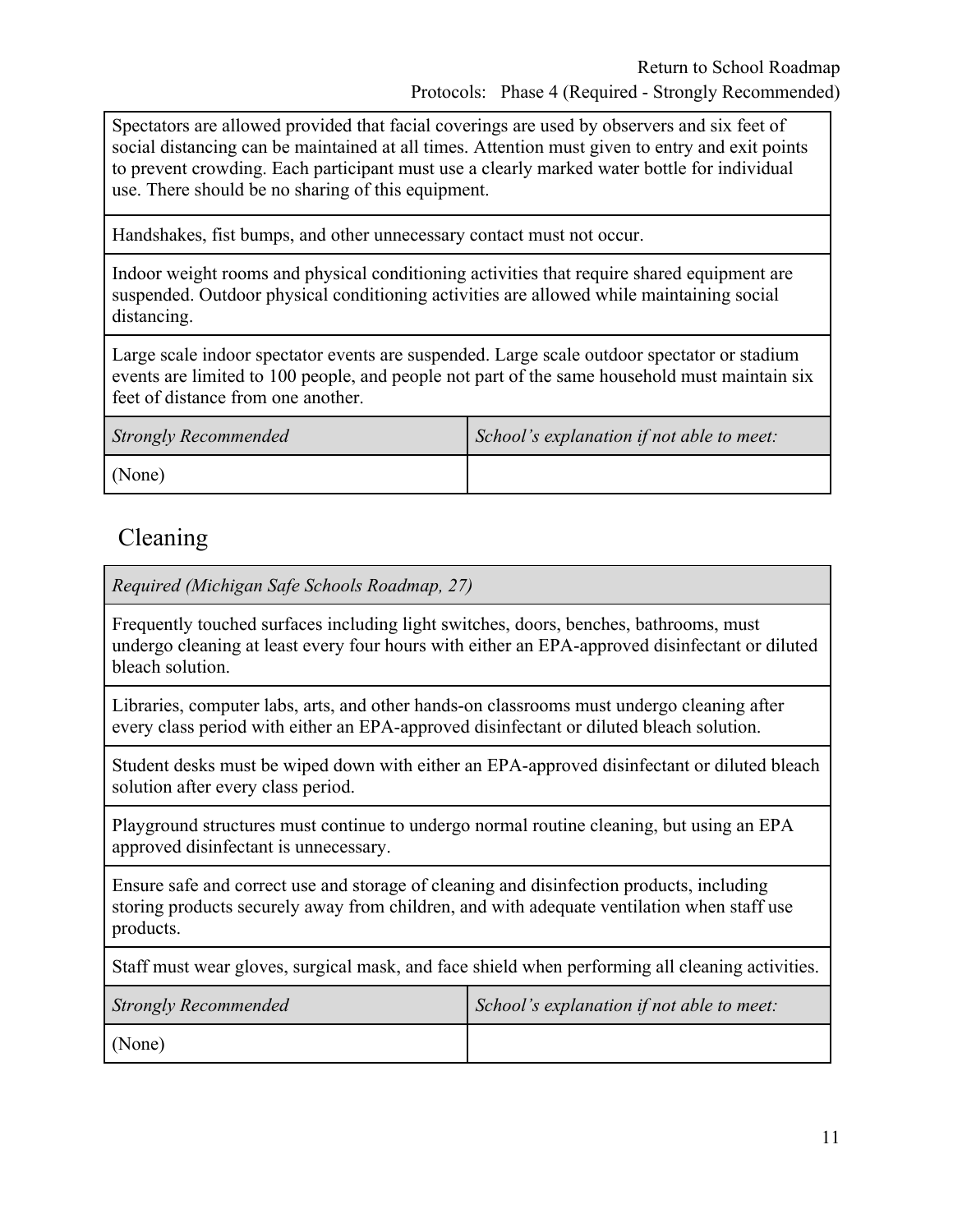Spectators are allowed provided that facial coverings are used by observers and six feet of social distancing can be maintained at all times. Attention must given to entry and exit points to prevent crowding. Each participant must use a clearly marked water bottle for individual use. There should be no sharing of this equipment.

Handshakes, fist bumps, and other unnecessary contact must not occur.

Indoor weight rooms and physical conditioning activities that require shared equipment are suspended. Outdoor physical conditioning activities are allowed while maintaining social distancing.

Large scale indoor spectator events are suspended. Large scale outdoor spectator or stadium events are limited to 100 people, and people not part of the same household must maintain six feet of distance from one another.

| <b>Strongly Recommended</b> | School's explanation if not able to meet: |
|-----------------------------|-------------------------------------------|
| (None)                      |                                           |

### Cleaning

*Required (Michigan Safe Schools Roadmap, 27)*

Frequently touched surfaces including light switches, doors, benches, bathrooms, must undergo cleaning at least every four hours with either an EPA-approved disinfectant or diluted bleach solution.

Libraries, computer labs, arts, and other hands-on classrooms must undergo cleaning after every class period with either an EPA-approved disinfectant or diluted bleach solution.

Student desks must be wiped down with either an EPA-approved disinfectant or diluted bleach solution after every class period.

Playground structures must continue to undergo normal routine cleaning, but using an EPA approved disinfectant is unnecessary.

Ensure safe and correct use and storage of cleaning and disinfection products, including storing products securely away from children, and with adequate ventilation when staff use products.

Staff must wear gloves, surgical mask, and face shield when performing all cleaning activities.

| <b>Strongly Recommended</b> | School's explanation if not able to meet: |
|-----------------------------|-------------------------------------------|
| (None)                      |                                           |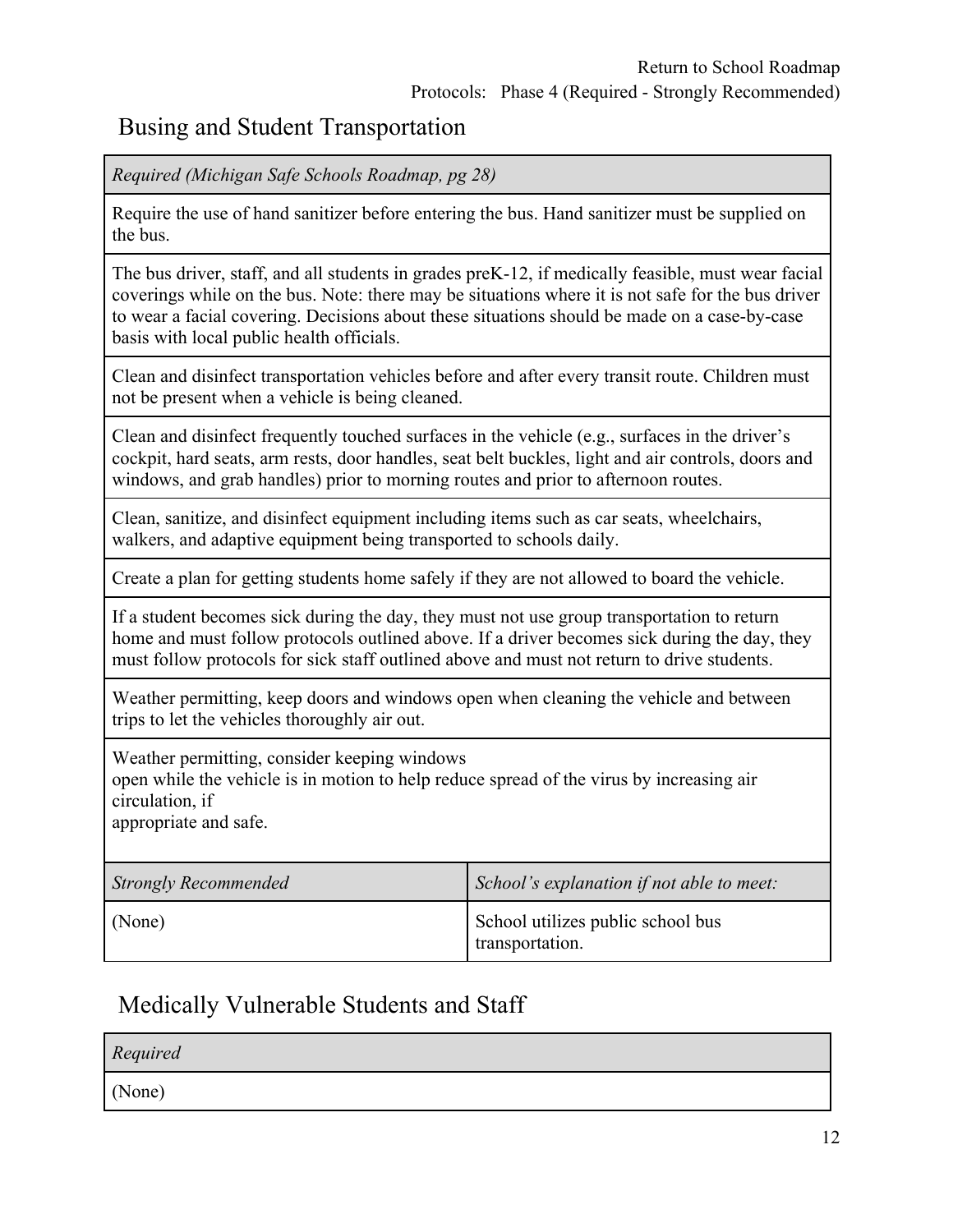### Busing and Student Transportation

*Required (Michigan Safe Schools Roadmap, pg 28)*

Require the use of hand sanitizer before entering the bus. Hand sanitizer must be supplied on the bus.

The bus driver, staff, and all students in grades preK-12, if medically feasible, must wear facial coverings while on the bus. Note: there may be situations where it is not safe for the bus driver to wear a facial covering. Decisions about these situations should be made on a case-by-case basis with local public health officials.

Clean and disinfect transportation vehicles before and after every transit route. Children must not be present when a vehicle is being cleaned.

Clean and disinfect frequently touched surfaces in the vehicle (e.g., surfaces in the driver's cockpit, hard seats, arm rests, door handles, seat belt buckles, light and air controls, doors and windows, and grab handles) prior to morning routes and prior to afternoon routes.

Clean, sanitize, and disinfect equipment including items such as car seats, wheelchairs, walkers, and adaptive equipment being transported to schools daily.

Create a plan for getting students home safely if they are not allowed to board the vehicle.

If a student becomes sick during the day, they must not use group transportation to return home and must follow protocols outlined above. If a driver becomes sick during the day, they must follow protocols for sick staff outlined above and must not return to drive students.

Weather permitting, keep doors and windows open when cleaning the vehicle and between trips to let the vehicles thoroughly air out.

Weather permitting, consider keeping windows

open while the vehicle is in motion to help reduce spread of the virus by increasing air circulation, if

appropriate and safe.

| <b>Strongly Recommended</b> | School's explanation if not able to meet:            |
|-----------------------------|------------------------------------------------------|
| (None)                      | School utilizes public school bus<br>transportation. |

### Medically Vulnerable Students and Staff

*Required* (None)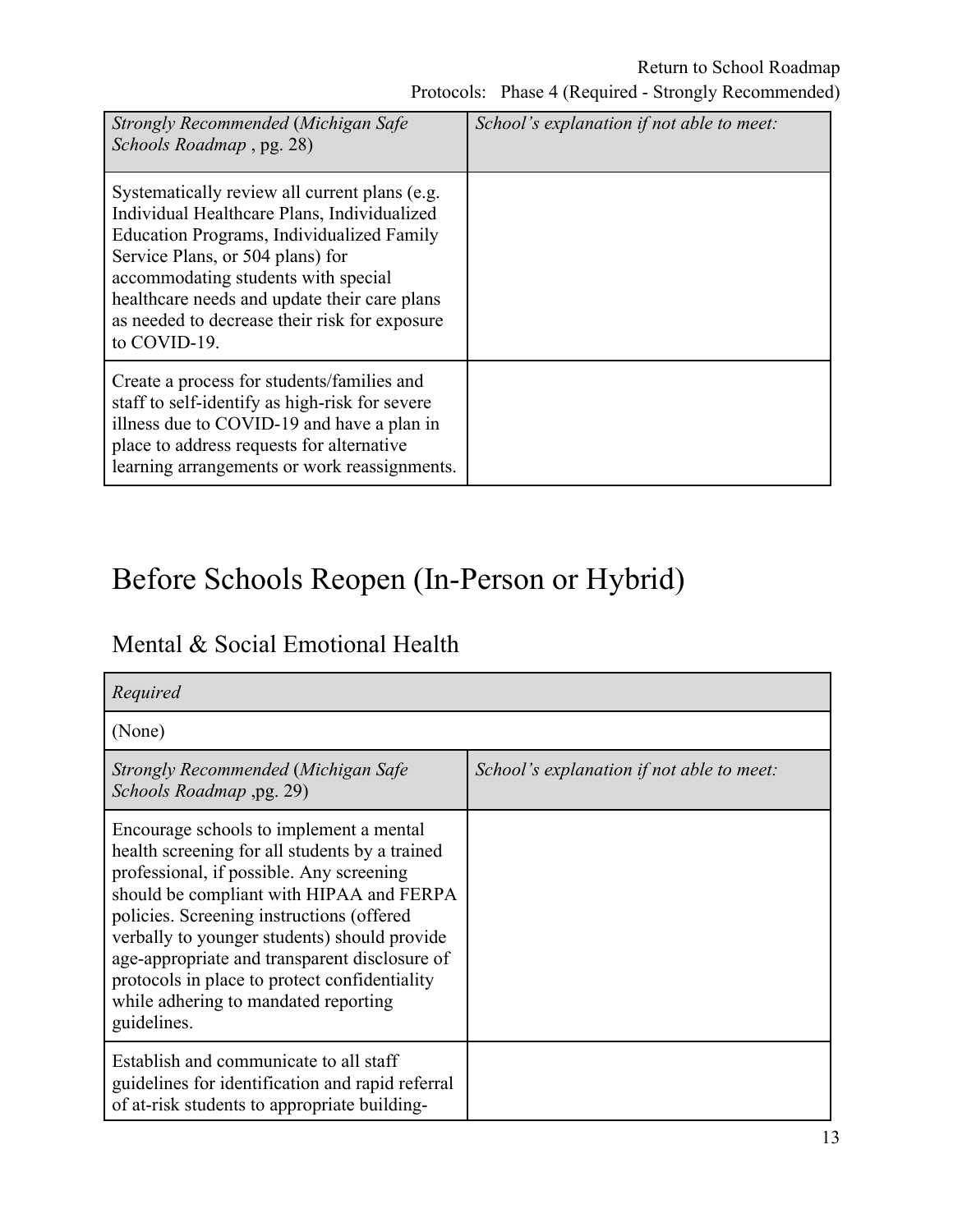| Strongly Recommended (Michigan Safe<br>Schools Roadmap, pg. 28)                                                                                                                                                                                                                                                                       | School's explanation if not able to meet: |  |
|---------------------------------------------------------------------------------------------------------------------------------------------------------------------------------------------------------------------------------------------------------------------------------------------------------------------------------------|-------------------------------------------|--|
| Systematically review all current plans (e.g.<br>Individual Healthcare Plans, Individualized<br>Education Programs, Individualized Family<br>Service Plans, or 504 plans) for<br>accommodating students with special<br>healthcare needs and update their care plans<br>as needed to decrease their risk for exposure<br>to COVID-19. |                                           |  |
| Create a process for students/families and<br>staff to self-identify as high-risk for severe<br>illness due to COVID-19 and have a plan in<br>place to address requests for alternative<br>learning arrangements or work reassignments.                                                                                               |                                           |  |

# Before Schools Reopen (In-Person or Hybrid)

| Mental & Social Emotional Health |  |
|----------------------------------|--|
|----------------------------------|--|

| Required                                                                                                                                                                                                                                                                                                                                                                                                                                |                                           |
|-----------------------------------------------------------------------------------------------------------------------------------------------------------------------------------------------------------------------------------------------------------------------------------------------------------------------------------------------------------------------------------------------------------------------------------------|-------------------------------------------|
| (None)                                                                                                                                                                                                                                                                                                                                                                                                                                  |                                           |
| Strongly Recommended (Michigan Safe<br>Schools Roadmap ,pg. 29)                                                                                                                                                                                                                                                                                                                                                                         | School's explanation if not able to meet: |
| Encourage schools to implement a mental<br>health screening for all students by a trained<br>professional, if possible. Any screening<br>should be compliant with HIPAA and FERPA<br>policies. Screening instructions (offered<br>verbally to younger students) should provide<br>age-appropriate and transparent disclosure of<br>protocols in place to protect confidentiality<br>while adhering to mandated reporting<br>guidelines. |                                           |
| Establish and communicate to all staff<br>guidelines for identification and rapid referral<br>of at-risk students to appropriate building-                                                                                                                                                                                                                                                                                              |                                           |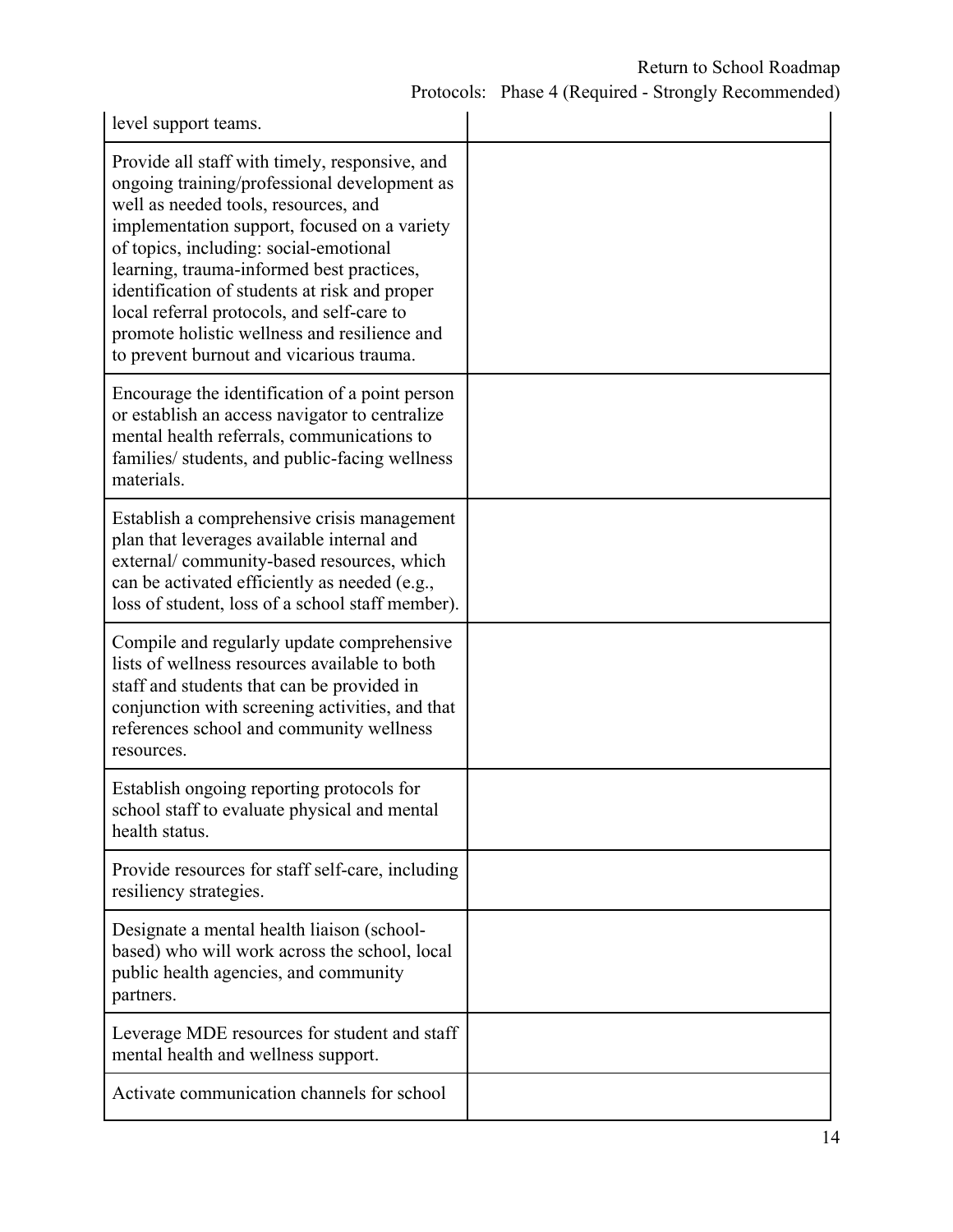### Return to School Roadmap

Protocols: Phase 4 (Required - Strongly Recommended)

| level support teams.                                                                                                                                                                                                                                                                                                                                                                                                                                                     |  |
|--------------------------------------------------------------------------------------------------------------------------------------------------------------------------------------------------------------------------------------------------------------------------------------------------------------------------------------------------------------------------------------------------------------------------------------------------------------------------|--|
| Provide all staff with timely, responsive, and<br>ongoing training/professional development as<br>well as needed tools, resources, and<br>implementation support, focused on a variety<br>of topics, including: social-emotional<br>learning, trauma-informed best practices,<br>identification of students at risk and proper<br>local referral protocols, and self-care to<br>promote holistic wellness and resilience and<br>to prevent burnout and vicarious trauma. |  |
| Encourage the identification of a point person<br>or establish an access navigator to centralize<br>mental health referrals, communications to<br>families/ students, and public-facing wellness<br>materials.                                                                                                                                                                                                                                                           |  |
| Establish a comprehensive crisis management<br>plan that leverages available internal and<br>external/community-based resources, which<br>can be activated efficiently as needed (e.g.,<br>loss of student, loss of a school staff member).                                                                                                                                                                                                                              |  |
| Compile and regularly update comprehensive<br>lists of wellness resources available to both<br>staff and students that can be provided in<br>conjunction with screening activities, and that<br>references school and community wellness<br>resources.                                                                                                                                                                                                                   |  |
| Establish ongoing reporting protocols for<br>school staff to evaluate physical and mental<br>health status.                                                                                                                                                                                                                                                                                                                                                              |  |
| Provide resources for staff self-care, including<br>resiliency strategies.                                                                                                                                                                                                                                                                                                                                                                                               |  |
| Designate a mental health liaison (school-<br>based) who will work across the school, local<br>public health agencies, and community<br>partners.                                                                                                                                                                                                                                                                                                                        |  |
| Leverage MDE resources for student and staff<br>mental health and wellness support.                                                                                                                                                                                                                                                                                                                                                                                      |  |
| Activate communication channels for school                                                                                                                                                                                                                                                                                                                                                                                                                               |  |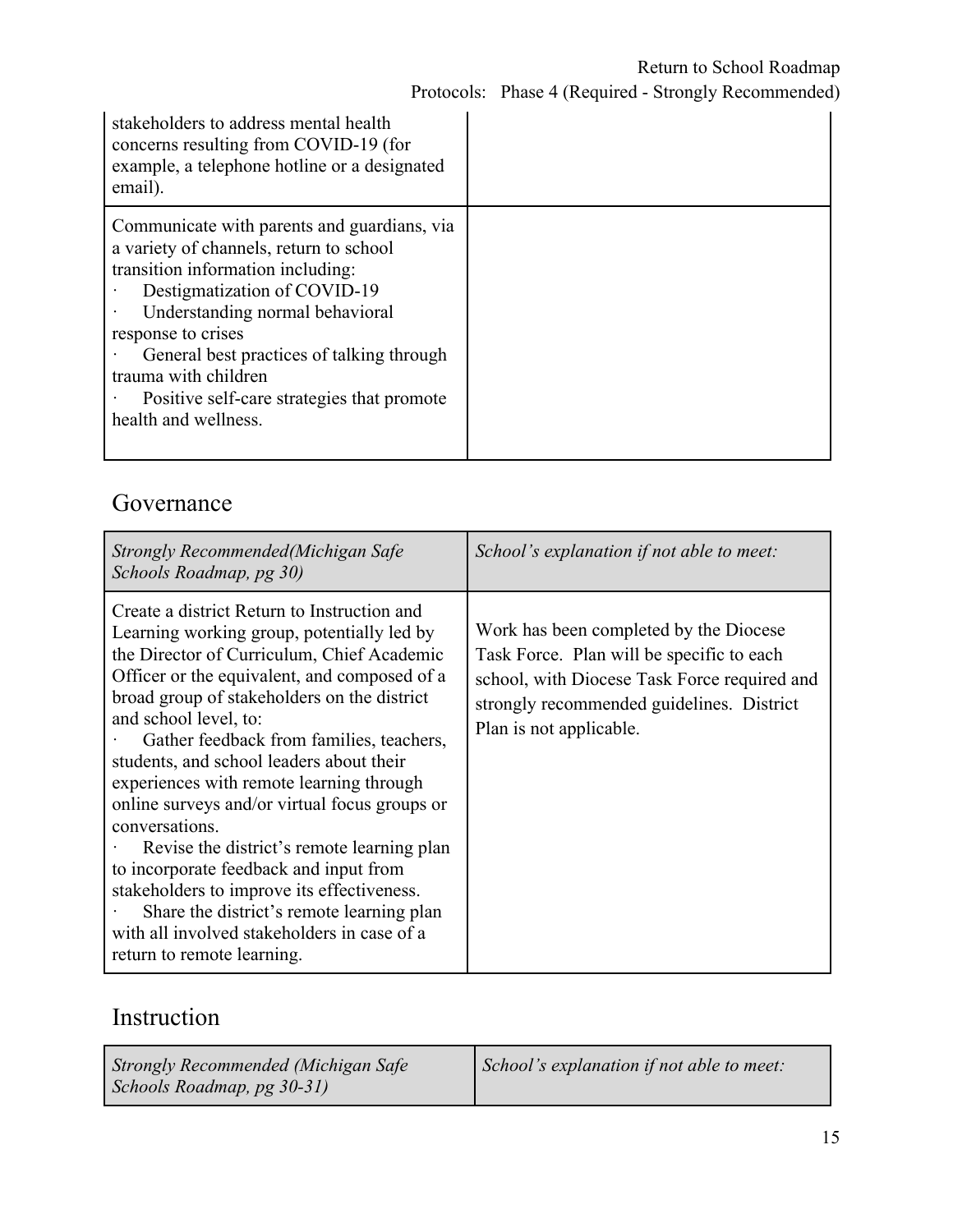|                                                                                                                                                                                                                                                                                                                  | stakeholders to address mental health<br>concerns resulting from COVID-19 (for<br>example, a telephone hotline or a designated<br>email). |  |
|------------------------------------------------------------------------------------------------------------------------------------------------------------------------------------------------------------------------------------------------------------------------------------------------------------------|-------------------------------------------------------------------------------------------------------------------------------------------|--|
| a variety of channels, return to school<br>transition information including:<br>Destigmatization of COVID-19<br>Understanding normal behavioral<br>response to crises<br>General best practices of talking through<br>trauma with children<br>Positive self-care strategies that promote<br>health and wellness. | Communicate with parents and guardians, via                                                                                               |  |

### Governance

| Strongly Recommended (Michigan Safe<br>Schools Roadmap, pg 30)                                                                                                                                                                                                                                                                                                                                                                                                                                                                                                                                                                                                                                                                         | School's explanation if not able to meet:                                                                                                                                                                   |
|----------------------------------------------------------------------------------------------------------------------------------------------------------------------------------------------------------------------------------------------------------------------------------------------------------------------------------------------------------------------------------------------------------------------------------------------------------------------------------------------------------------------------------------------------------------------------------------------------------------------------------------------------------------------------------------------------------------------------------------|-------------------------------------------------------------------------------------------------------------------------------------------------------------------------------------------------------------|
| Create a district Return to Instruction and<br>Learning working group, potentially led by<br>the Director of Curriculum, Chief Academic<br>Officer or the equivalent, and composed of a<br>broad group of stakeholders on the district<br>and school level, to:<br>Gather feedback from families, teachers,<br>students, and school leaders about their<br>experiences with remote learning through<br>online surveys and/or virtual focus groups or<br>conversations.<br>Revise the district's remote learning plan<br>to incorporate feedback and input from<br>stakeholders to improve its effectiveness.<br>Share the district's remote learning plan<br>with all involved stakeholders in case of a<br>return to remote learning. | Work has been completed by the Diocese<br>Task Force. Plan will be specific to each<br>school, with Diocese Task Force required and<br>strongly recommended guidelines. District<br>Plan is not applicable. |

### Instruction

| Strongly Recommended (Michigan Safe | <i>School's explanation if not able to meet:</i> |
|-------------------------------------|--------------------------------------------------|
| Schools Roadmap, pg 30-31)          |                                                  |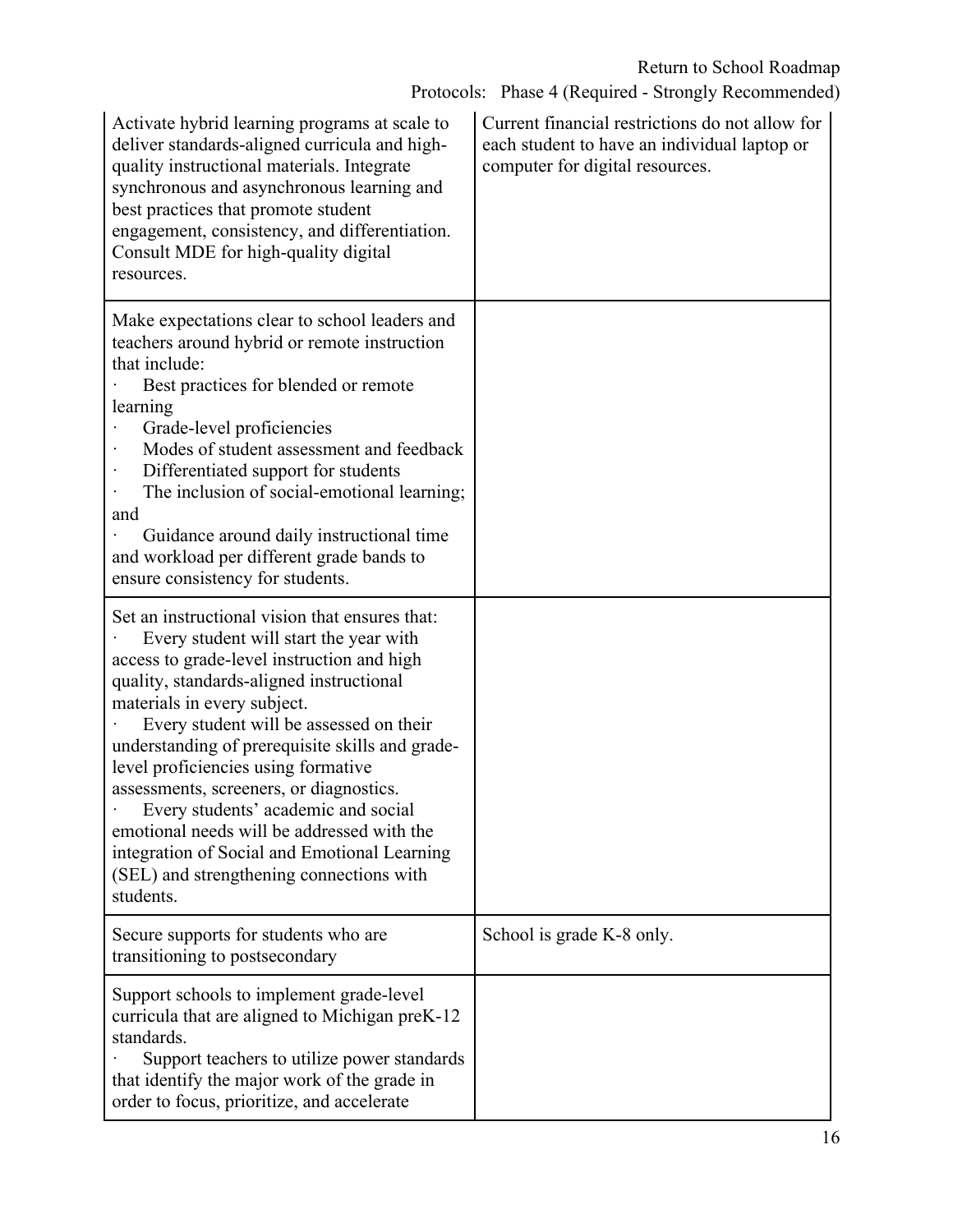Protocols: Phase 4 (Required - Strongly Recommended)

| Activate hybrid learning programs at scale to<br>deliver standards-aligned curricula and high-<br>quality instructional materials. Integrate<br>synchronous and asynchronous learning and<br>best practices that promote student<br>engagement, consistency, and differentiation.<br>Consult MDE for high-quality digital<br>resources.                                                                                                                                                                                                                                                         | Current financial restrictions do not allow for<br>each student to have an individual laptop or<br>computer for digital resources. |
|-------------------------------------------------------------------------------------------------------------------------------------------------------------------------------------------------------------------------------------------------------------------------------------------------------------------------------------------------------------------------------------------------------------------------------------------------------------------------------------------------------------------------------------------------------------------------------------------------|------------------------------------------------------------------------------------------------------------------------------------|
| Make expectations clear to school leaders and<br>teachers around hybrid or remote instruction<br>that include:<br>Best practices for blended or remote<br>learning<br>Grade-level proficiencies<br>Modes of student assessment and feedback<br>Differentiated support for students<br>The inclusion of social-emotional learning;<br>and<br>Guidance around daily instructional time<br>and workload per different grade bands to<br>ensure consistency for students.                                                                                                                           |                                                                                                                                    |
| Set an instructional vision that ensures that:<br>Every student will start the year with<br>access to grade-level instruction and high<br>quality, standards-aligned instructional<br>materials in every subject.<br>Every student will be assessed on their<br>understanding of prerequisite skills and grade-<br>level proficiencies using formative<br>assessments, screeners, or diagnostics.<br>Every students' academic and social<br>emotional needs will be addressed with the<br>integration of Social and Emotional Learning<br>(SEL) and strengthening connections with<br>students. |                                                                                                                                    |
| Secure supports for students who are<br>transitioning to postsecondary                                                                                                                                                                                                                                                                                                                                                                                                                                                                                                                          | School is grade K-8 only.                                                                                                          |
| Support schools to implement grade-level<br>curricula that are aligned to Michigan preK-12<br>standards.<br>Support teachers to utilize power standards<br>that identify the major work of the grade in<br>order to focus, prioritize, and accelerate                                                                                                                                                                                                                                                                                                                                           |                                                                                                                                    |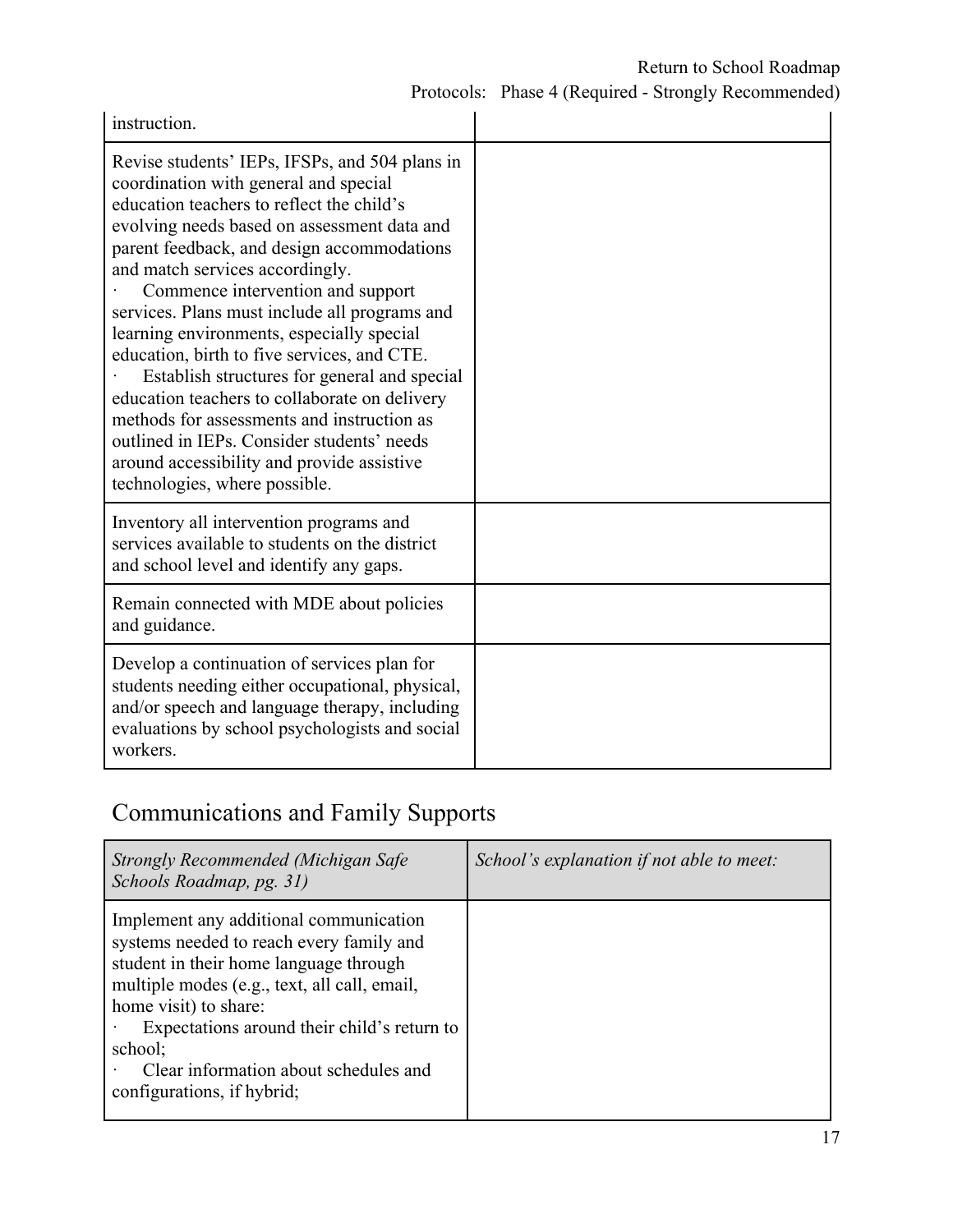Protocols: Phase 4 (Required - Strongly Recommended)

| instruction.                                                                                                                                                                                                                                                                                                                                                                                                                                                                                                                                                                                                                                                                                                                       |  |
|------------------------------------------------------------------------------------------------------------------------------------------------------------------------------------------------------------------------------------------------------------------------------------------------------------------------------------------------------------------------------------------------------------------------------------------------------------------------------------------------------------------------------------------------------------------------------------------------------------------------------------------------------------------------------------------------------------------------------------|--|
| Revise students' IEPs, IFSPs, and 504 plans in<br>coordination with general and special<br>education teachers to reflect the child's<br>evolving needs based on assessment data and<br>parent feedback, and design accommodations<br>and match services accordingly.<br>Commence intervention and support<br>services. Plans must include all programs and<br>learning environments, especially special<br>education, birth to five services, and CTE.<br>Establish structures for general and special<br>education teachers to collaborate on delivery<br>methods for assessments and instruction as<br>outlined in IEPs. Consider students' needs<br>around accessibility and provide assistive<br>technologies, where possible. |  |
| Inventory all intervention programs and<br>services available to students on the district<br>and school level and identify any gaps.                                                                                                                                                                                                                                                                                                                                                                                                                                                                                                                                                                                               |  |
| Remain connected with MDE about policies<br>and guidance.                                                                                                                                                                                                                                                                                                                                                                                                                                                                                                                                                                                                                                                                          |  |
| Develop a continuation of services plan for<br>students needing either occupational, physical,<br>and/or speech and language therapy, including<br>evaluations by school psychologists and social<br>workers.                                                                                                                                                                                                                                                                                                                                                                                                                                                                                                                      |  |

# Communications and Family Supports

| Strongly Recommended (Michigan Safe<br>Schools Roadmap, pg. 31)                                                                                                                                                                                                                                                                        | School's explanation if not able to meet: |
|----------------------------------------------------------------------------------------------------------------------------------------------------------------------------------------------------------------------------------------------------------------------------------------------------------------------------------------|-------------------------------------------|
| Implement any additional communication<br>systems needed to reach every family and<br>student in their home language through<br>multiple modes (e.g., text, all call, email,<br>home visit) to share:<br>Expectations around their child's return to<br>school;<br>Clear information about schedules and<br>configurations, if hybrid; |                                           |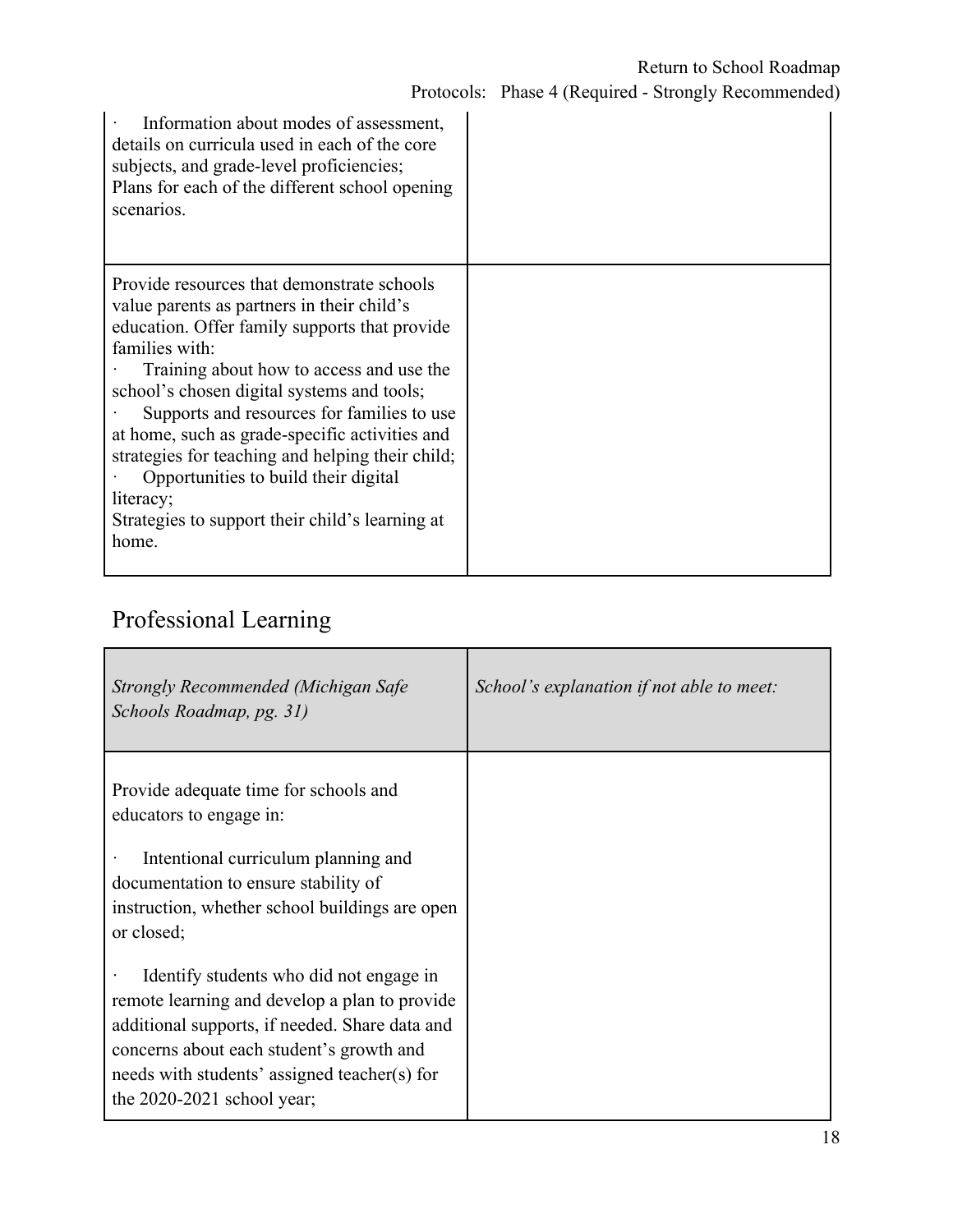| Information about modes of assessment,<br>details on curricula used in each of the core<br>subjects, and grade-level proficiencies;<br>Plans for each of the different school opening<br>scenarios.                                                                                                                                                                                                                                                                                                                        |  |
|----------------------------------------------------------------------------------------------------------------------------------------------------------------------------------------------------------------------------------------------------------------------------------------------------------------------------------------------------------------------------------------------------------------------------------------------------------------------------------------------------------------------------|--|
| Provide resources that demonstrate schools<br>value parents as partners in their child's<br>education. Offer family supports that provide<br>families with:<br>Training about how to access and use the<br>school's chosen digital systems and tools;<br>Supports and resources for families to use<br>at home, such as grade-specific activities and<br>strategies for teaching and helping their child;<br>Opportunities to build their digital<br>literacy;<br>Strategies to support their child's learning at<br>home. |  |

# Professional Learning

| Strongly Recommended (Michigan Safe<br>Schools Roadmap, pg. 31)                                                                                                                                                                                                                     | School's explanation if not able to meet: |
|-------------------------------------------------------------------------------------------------------------------------------------------------------------------------------------------------------------------------------------------------------------------------------------|-------------------------------------------|
| Provide adequate time for schools and<br>educators to engage in:<br>Intentional curriculum planning and<br>documentation to ensure stability of<br>instruction, whether school buildings are open<br>or closed;                                                                     |                                           |
| Identify students who did not engage in<br>$\bullet$<br>remote learning and develop a plan to provide<br>additional supports, if needed. Share data and<br>concerns about each student's growth and<br>needs with students' assigned teacher(s) for<br>the $2020-2021$ school year; |                                           |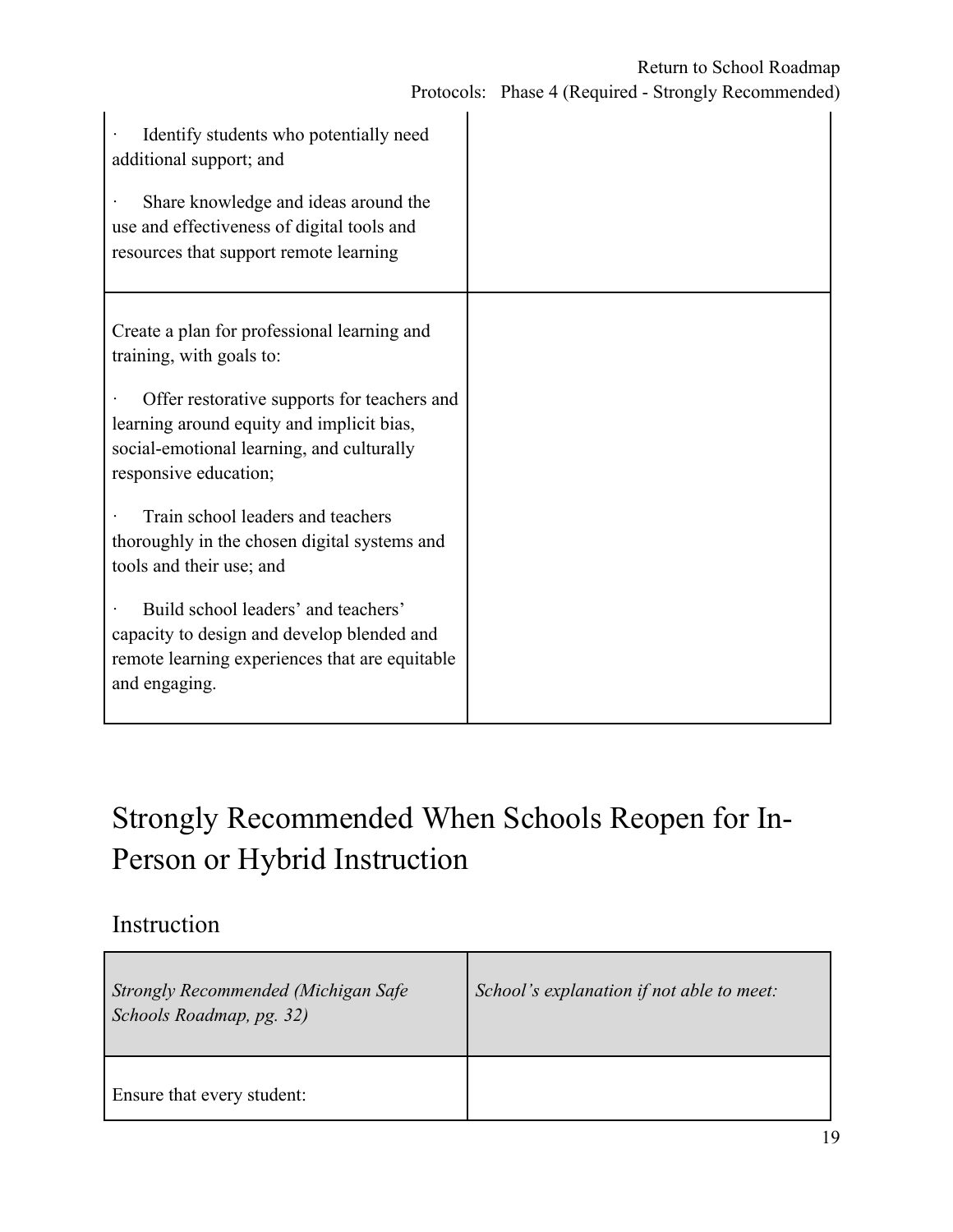| Identify students who potentially need<br>additional support; and<br>Share knowledge and ideas around the<br>use and effectiveness of digital tools and<br>resources that support remote learning                                         |  |
|-------------------------------------------------------------------------------------------------------------------------------------------------------------------------------------------------------------------------------------------|--|
| Create a plan for professional learning and<br>training, with goals to:<br>Offer restorative supports for teachers and<br>learning around equity and implicit bias,<br>social-emotional learning, and culturally<br>responsive education; |  |
| Train school leaders and teachers<br>thoroughly in the chosen digital systems and<br>tools and their use; and                                                                                                                             |  |
| Build school leaders' and teachers'<br>capacity to design and develop blended and<br>remote learning experiences that are equitable<br>and engaging.                                                                                      |  |

# Strongly Recommended When Schools Reopen for In-Person or Hybrid Instruction

### Instruction

| Strongly Recommended (Michigan Safe<br>Schools Roadmap, pg. 32) | School's explanation if not able to meet: |  |
|-----------------------------------------------------------------|-------------------------------------------|--|
| Ensure that every student:                                      |                                           |  |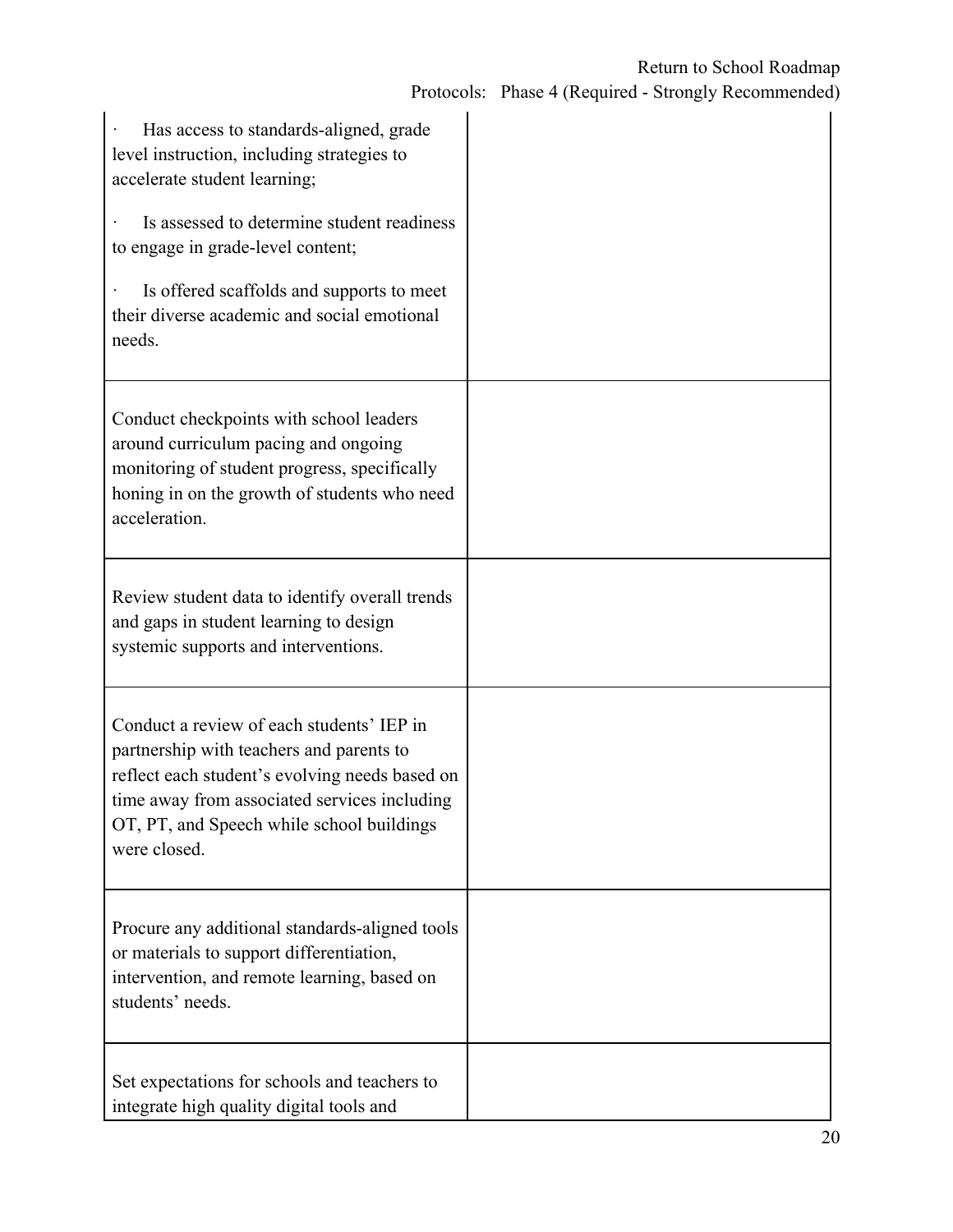| Has access to standards-aligned, grade<br>level instruction, including strategies to<br>accelerate student learning;<br>Is assessed to determine student readiness<br>to engage in grade-level content;<br>Is offered scaffolds and supports to meet<br>their diverse academic and social emotional<br>needs. |  |
|---------------------------------------------------------------------------------------------------------------------------------------------------------------------------------------------------------------------------------------------------------------------------------------------------------------|--|
| Conduct checkpoints with school leaders<br>around curriculum pacing and ongoing<br>monitoring of student progress, specifically<br>honing in on the growth of students who need<br>acceleration.                                                                                                              |  |
| Review student data to identify overall trends<br>and gaps in student learning to design<br>systemic supports and interventions.                                                                                                                                                                              |  |
| Conduct a review of each students' IEP in<br>partnership with teachers and parents to<br>reflect each student's evolving needs based on<br>time away from associated services including<br>OT, PT, and Speech while school buildings<br>were closed.                                                          |  |
| Procure any additional standards-aligned tools<br>or materials to support differentiation,<br>intervention, and remote learning, based on<br>students' needs.                                                                                                                                                 |  |
| Set expectations for schools and teachers to<br>integrate high quality digital tools and                                                                                                                                                                                                                      |  |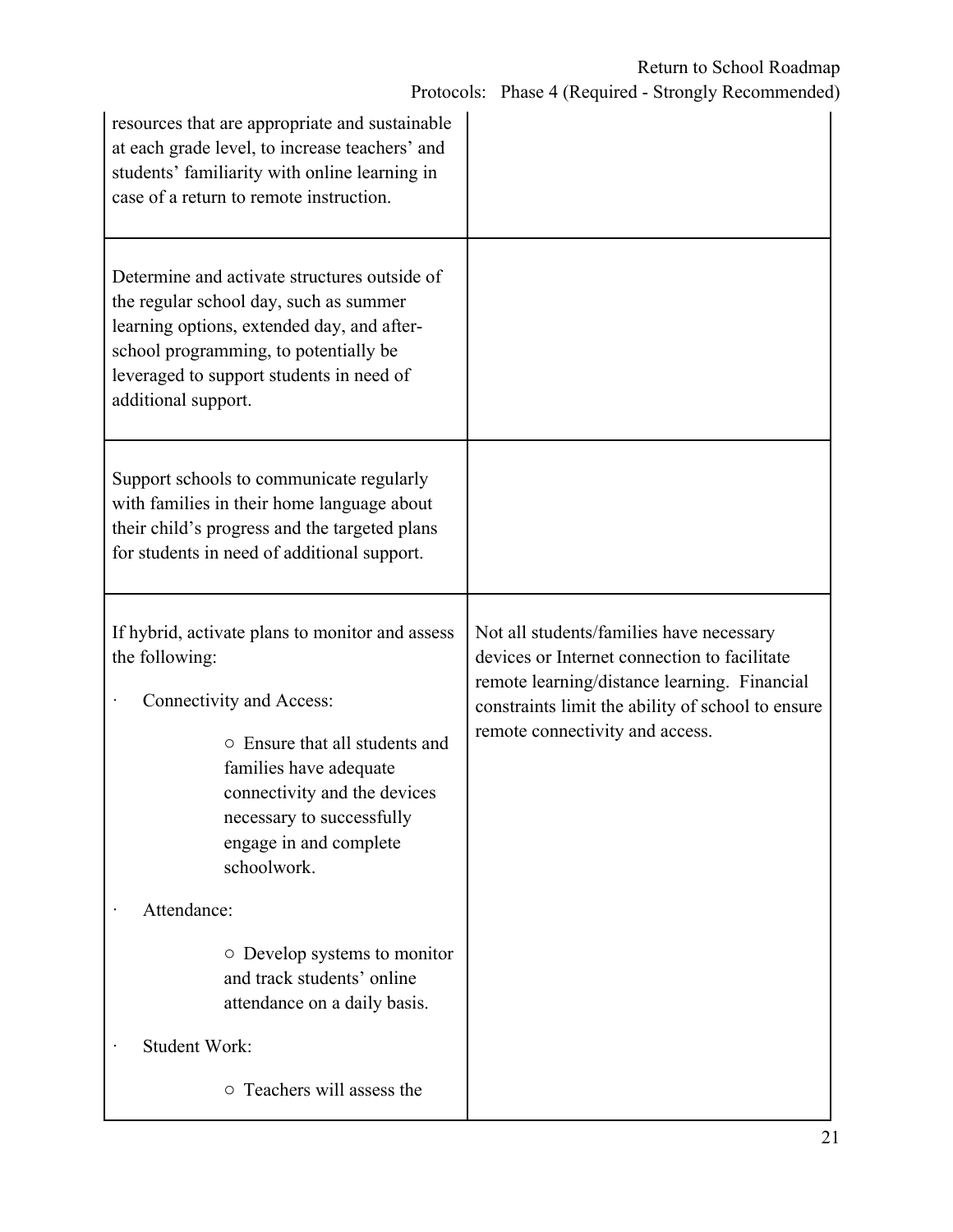| resources that are appropriate and sustainable<br>at each grade level, to increase teachers' and<br>students' familiarity with online learning in<br>case of a return to remote instruction.                                                                    |                                                                                                                                                                                                                                  |  |
|-----------------------------------------------------------------------------------------------------------------------------------------------------------------------------------------------------------------------------------------------------------------|----------------------------------------------------------------------------------------------------------------------------------------------------------------------------------------------------------------------------------|--|
| Determine and activate structures outside of<br>the regular school day, such as summer<br>learning options, extended day, and after-<br>school programming, to potentially be<br>leveraged to support students in need of<br>additional support.                |                                                                                                                                                                                                                                  |  |
| Support schools to communicate regularly<br>with families in their home language about<br>their child's progress and the targeted plans<br>for students in need of additional support.                                                                          |                                                                                                                                                                                                                                  |  |
| If hybrid, activate plans to monitor and assess<br>the following:<br>Connectivity and Access:<br>○ Ensure that all students and<br>families have adequate<br>connectivity and the devices<br>necessary to successfully<br>engage in and complete<br>schoolwork. | Not all students/families have necessary<br>devices or Internet connection to facilitate<br>remote learning/distance learning. Financial<br>constraints limit the ability of school to ensure<br>remote connectivity and access. |  |
| Attendance:                                                                                                                                                                                                                                                     |                                                                                                                                                                                                                                  |  |
| $\circ$ Develop systems to monitor<br>and track students' online<br>attendance on a daily basis.                                                                                                                                                                |                                                                                                                                                                                                                                  |  |
| <b>Student Work:</b>                                                                                                                                                                                                                                            |                                                                                                                                                                                                                                  |  |
| $\circ$ Teachers will assess the                                                                                                                                                                                                                                |                                                                                                                                                                                                                                  |  |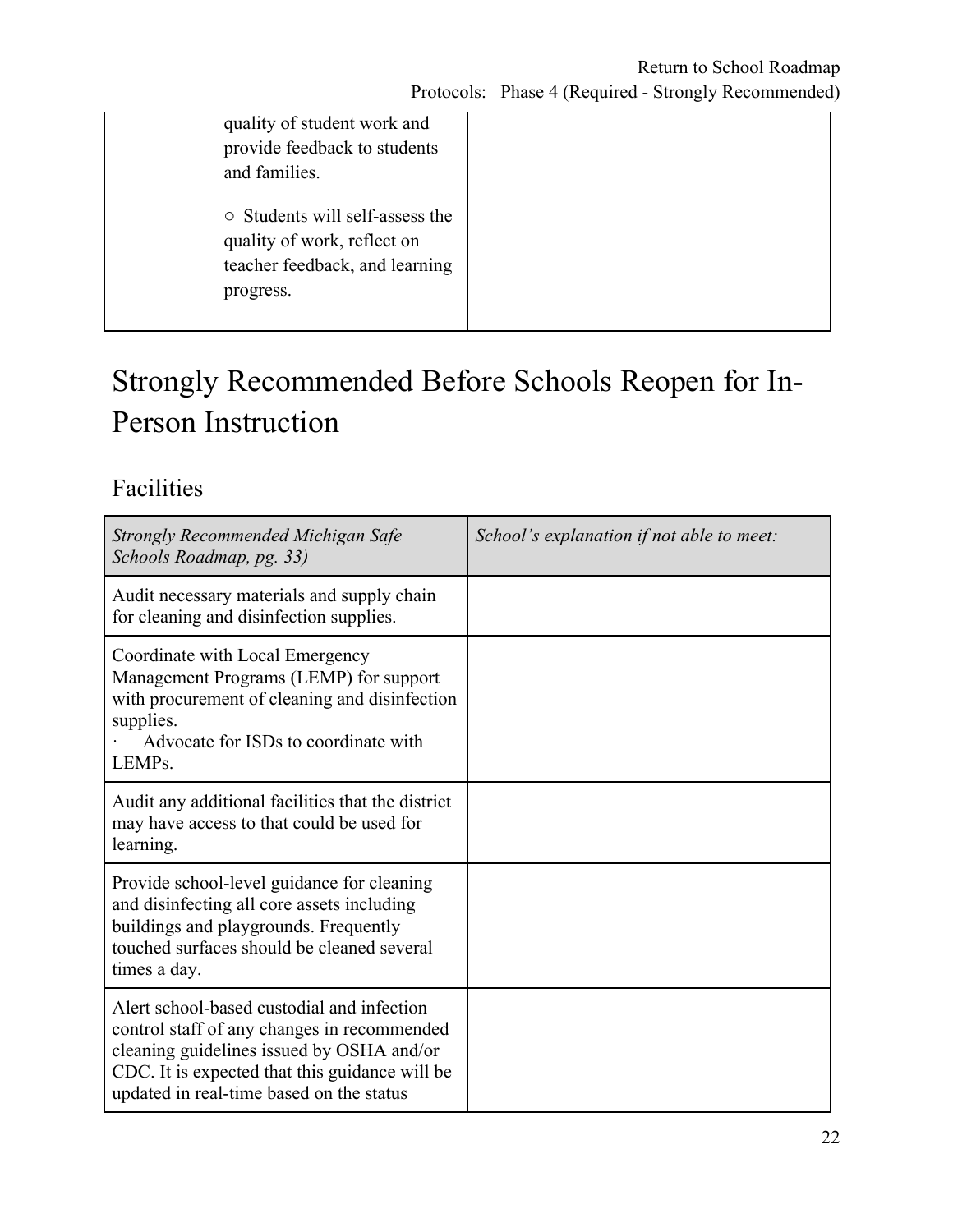| quality of student work and<br>provide feedback to students<br>and families.                                        |
|---------------------------------------------------------------------------------------------------------------------|
| $\circ$ Students will self-assess the<br>quality of work, reflect on<br>teacher feedback, and learning<br>progress. |

# Strongly Recommended Before Schools Reopen for In-Person Instruction

### Facilities

| Strongly Recommended Michigan Safe<br>Schools Roadmap, pg. 33)                                                                                                                                                                       | School's explanation if not able to meet: |
|--------------------------------------------------------------------------------------------------------------------------------------------------------------------------------------------------------------------------------------|-------------------------------------------|
| Audit necessary materials and supply chain<br>for cleaning and disinfection supplies.                                                                                                                                                |                                           |
| Coordinate with Local Emergency<br>Management Programs (LEMP) for support<br>with procurement of cleaning and disinfection<br>supplies.<br>Advocate for ISDs to coordinate with<br>LEMP <sub>s</sub> .                               |                                           |
| Audit any additional facilities that the district<br>may have access to that could be used for<br>learning.                                                                                                                          |                                           |
| Provide school-level guidance for cleaning<br>and disinfecting all core assets including<br>buildings and playgrounds. Frequently<br>touched surfaces should be cleaned several<br>times a day.                                      |                                           |
| Alert school-based custodial and infection<br>control staff of any changes in recommended<br>cleaning guidelines issued by OSHA and/or<br>CDC. It is expected that this guidance will be<br>updated in real-time based on the status |                                           |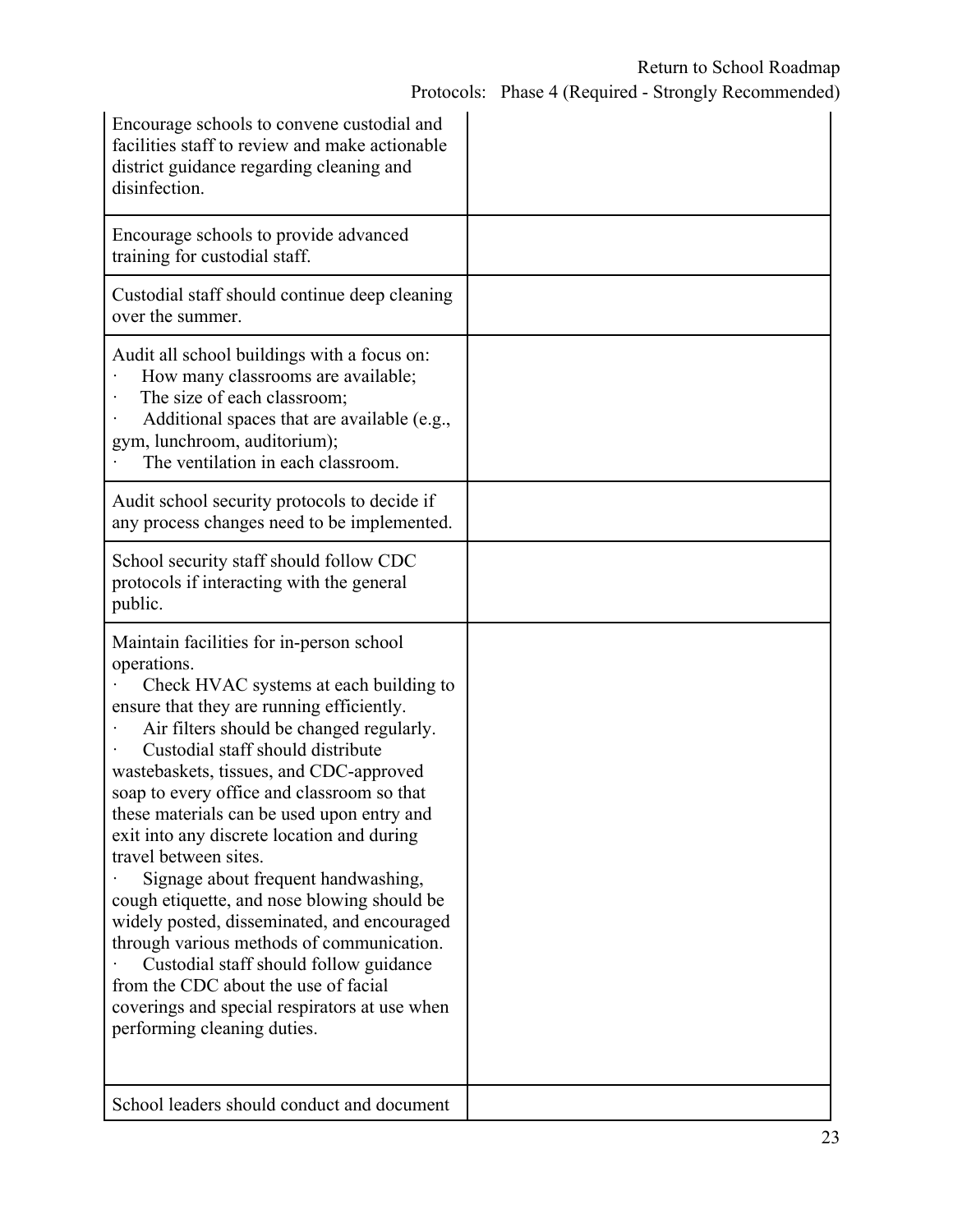| Encourage schools to convene custodial and<br>facilities staff to review and make actionable<br>district guidance regarding cleaning and<br>disinfection.                                                                                                                                                                                                                                                                                                                                                                                                                                                                                                                                                                                                                                         |  |
|---------------------------------------------------------------------------------------------------------------------------------------------------------------------------------------------------------------------------------------------------------------------------------------------------------------------------------------------------------------------------------------------------------------------------------------------------------------------------------------------------------------------------------------------------------------------------------------------------------------------------------------------------------------------------------------------------------------------------------------------------------------------------------------------------|--|
| Encourage schools to provide advanced<br>training for custodial staff.                                                                                                                                                                                                                                                                                                                                                                                                                                                                                                                                                                                                                                                                                                                            |  |
| Custodial staff should continue deep cleaning<br>over the summer.                                                                                                                                                                                                                                                                                                                                                                                                                                                                                                                                                                                                                                                                                                                                 |  |
| Audit all school buildings with a focus on:<br>How many classrooms are available;<br>The size of each classroom;<br>Additional spaces that are available (e.g.,<br>gym, lunchroom, auditorium);<br>The ventilation in each classroom.                                                                                                                                                                                                                                                                                                                                                                                                                                                                                                                                                             |  |
| Audit school security protocols to decide if<br>any process changes need to be implemented.                                                                                                                                                                                                                                                                                                                                                                                                                                                                                                                                                                                                                                                                                                       |  |
| School security staff should follow CDC<br>protocols if interacting with the general<br>public.                                                                                                                                                                                                                                                                                                                                                                                                                                                                                                                                                                                                                                                                                                   |  |
| Maintain facilities for in-person school<br>operations.<br>Check HVAC systems at each building to<br>ensure that they are running efficiently.<br>Air filters should be changed regularly.<br>Custodial staff should distribute<br>wastebaskets, tissues, and CDC-approved<br>soap to every office and classroom so that<br>these materials can be used upon entry and<br>exit into any discrete location and during<br>travel between sites.<br>Signage about frequent handwashing,<br>cough etiquette, and nose blowing should be<br>widely posted, disseminated, and encouraged<br>through various methods of communication.<br>Custodial staff should follow guidance<br>from the CDC about the use of facial<br>coverings and special respirators at use when<br>performing cleaning duties. |  |
| School leaders should conduct and document                                                                                                                                                                                                                                                                                                                                                                                                                                                                                                                                                                                                                                                                                                                                                        |  |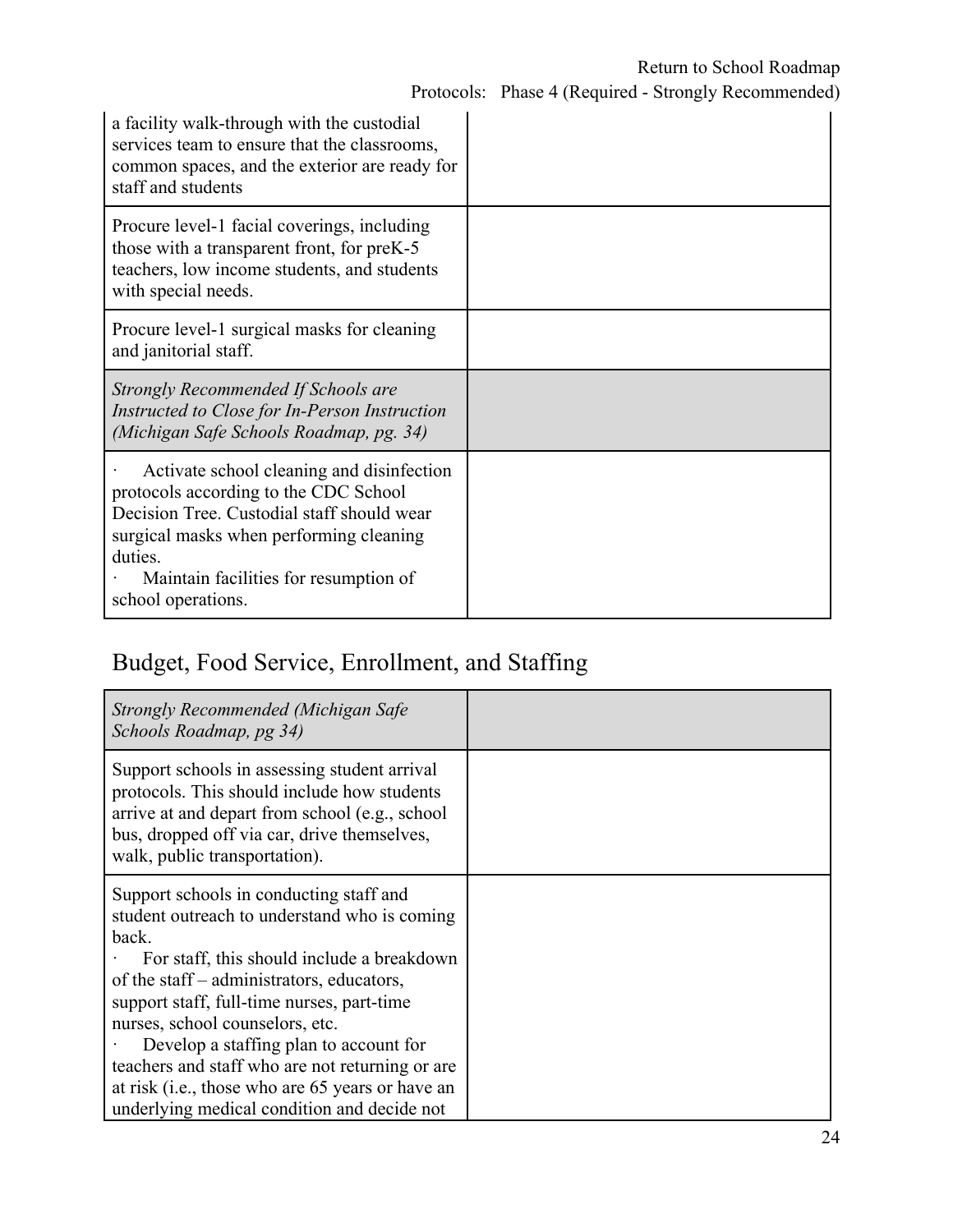| a facility walk-through with the custodial<br>services team to ensure that the classrooms,<br>common spaces, and the exterior are ready for<br>staff and students                                                                                     |  |
|-------------------------------------------------------------------------------------------------------------------------------------------------------------------------------------------------------------------------------------------------------|--|
| Procure level-1 facial coverings, including<br>those with a transparent front, for preK-5<br>teachers, low income students, and students<br>with special needs.                                                                                       |  |
| Procure level-1 surgical masks for cleaning<br>and janitorial staff.                                                                                                                                                                                  |  |
| Strongly Recommended If Schools are<br>Instructed to Close for In-Person Instruction<br>(Michigan Safe Schools Roadmap, pg. 34)                                                                                                                       |  |
| Activate school cleaning and disinfection<br>protocols according to the CDC School<br>Decision Tree. Custodial staff should wear<br>surgical masks when performing cleaning<br>duties.<br>Maintain facilities for resumption of<br>school operations. |  |

### Budget, Food Service, Enrollment, and Staffing

| Strongly Recommended (Michigan Safe<br>Schools Roadmap, pg 34)                                                                                                                                                                |  |
|-------------------------------------------------------------------------------------------------------------------------------------------------------------------------------------------------------------------------------|--|
| Support schools in assessing student arrival<br>protocols. This should include how students<br>arrive at and depart from school (e.g., school<br>bus, dropped off via car, drive themselves,<br>walk, public transportation). |  |
| Support schools in conducting staff and<br>student outreach to understand who is coming<br>back.<br>For staff, this should include a breakdown<br>of the staff – administrators, educators,                                   |  |
| support staff, full-time nurses, part-time                                                                                                                                                                                    |  |
| nurses, school counselors, etc.<br>Develop a staffing plan to account for                                                                                                                                                     |  |
| teachers and staff who are not returning or are                                                                                                                                                                               |  |
| at risk (i.e., those who are 65 years or have an<br>underlying medical condition and decide not                                                                                                                               |  |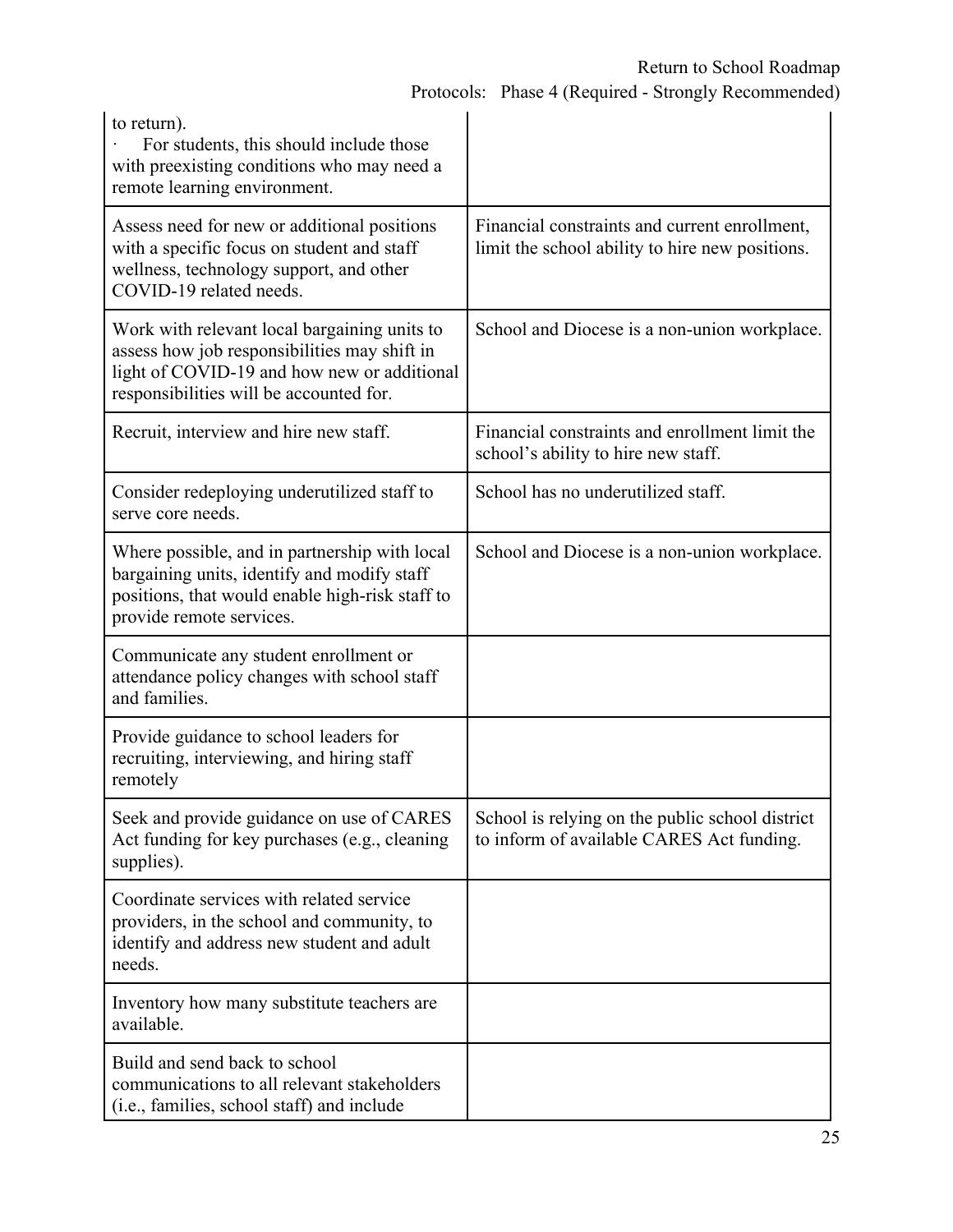| to return).<br>For students, this should include those<br>with preexisting conditions who may need a<br>remote learning environment.                                                   |                                                                                                  |
|----------------------------------------------------------------------------------------------------------------------------------------------------------------------------------------|--------------------------------------------------------------------------------------------------|
| Assess need for new or additional positions<br>with a specific focus on student and staff<br>wellness, technology support, and other<br>COVID-19 related needs.                        | Financial constraints and current enrollment,<br>limit the school ability to hire new positions. |
| Work with relevant local bargaining units to<br>assess how job responsibilities may shift in<br>light of COVID-19 and how new or additional<br>responsibilities will be accounted for. | School and Diocese is a non-union workplace.                                                     |
| Recruit, interview and hire new staff.                                                                                                                                                 | Financial constraints and enrollment limit the<br>school's ability to hire new staff.            |
| Consider redeploying underutilized staff to<br>serve core needs.                                                                                                                       | School has no underutilized staff.                                                               |
| Where possible, and in partnership with local<br>bargaining units, identify and modify staff<br>positions, that would enable high-risk staff to<br>provide remote services.            | School and Diocese is a non-union workplace.                                                     |
| Communicate any student enrollment or<br>attendance policy changes with school staff<br>and families.                                                                                  |                                                                                                  |
| Provide guidance to school leaders for<br>recruiting, interviewing, and hiring staff<br>remotely                                                                                       |                                                                                                  |
| Seek and provide guidance on use of CARES<br>Act funding for key purchases (e.g., cleaning<br>supplies).                                                                               | School is relying on the public school district<br>to inform of available CARES Act funding.     |
| Coordinate services with related service<br>providers, in the school and community, to<br>identify and address new student and adult<br>needs.                                         |                                                                                                  |
| Inventory how many substitute teachers are<br>available.                                                                                                                               |                                                                                                  |
| Build and send back to school<br>communications to all relevant stakeholders<br>(i.e., families, school staff) and include                                                             |                                                                                                  |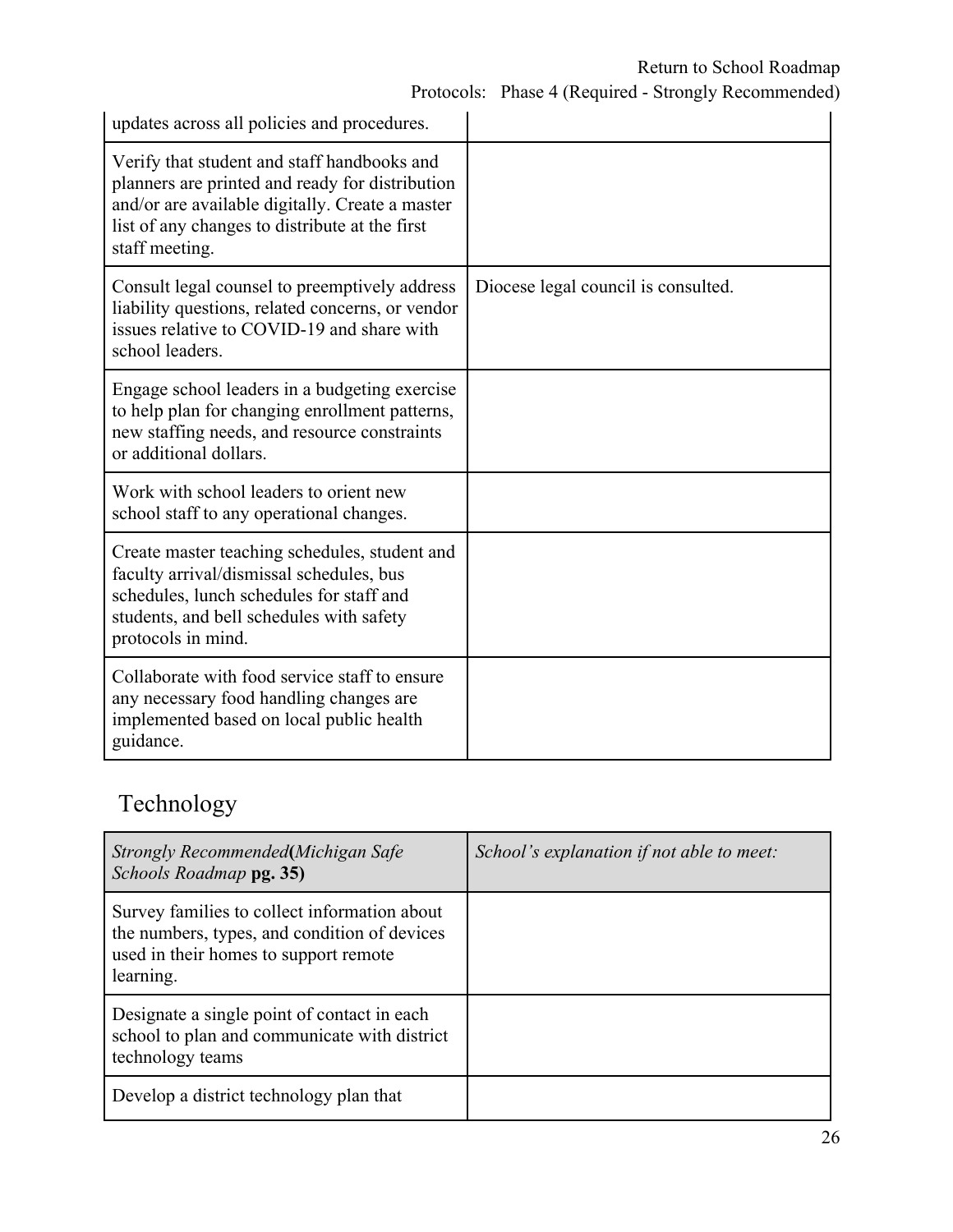Protocols: Phase 4 (Required - Strongly Recommended)

| updates across all policies and procedures.                                                                                                                                                                           |                                     |
|-----------------------------------------------------------------------------------------------------------------------------------------------------------------------------------------------------------------------|-------------------------------------|
| Verify that student and staff handbooks and<br>planners are printed and ready for distribution<br>and/or are available digitally. Create a master<br>list of any changes to distribute at the first<br>staff meeting. |                                     |
| Consult legal counsel to preemptively address<br>liability questions, related concerns, or vendor<br>issues relative to COVID-19 and share with<br>school leaders.                                                    | Diocese legal council is consulted. |
| Engage school leaders in a budgeting exercise<br>to help plan for changing enrollment patterns,<br>new staffing needs, and resource constraints<br>or additional dollars.                                             |                                     |
| Work with school leaders to orient new<br>school staff to any operational changes.                                                                                                                                    |                                     |
| Create master teaching schedules, student and<br>faculty arrival/dismissal schedules, bus<br>schedules, lunch schedules for staff and<br>students, and bell schedules with safety<br>protocols in mind.               |                                     |
| Collaborate with food service staff to ensure<br>any necessary food handling changes are<br>implemented based on local public health<br>guidance.                                                                     |                                     |

# Technology

| Strongly Recommended(Michigan Safe<br>Schools Roadmap pg. 35)                                                                                      | School's explanation if not able to meet: |
|----------------------------------------------------------------------------------------------------------------------------------------------------|-------------------------------------------|
| Survey families to collect information about<br>the numbers, types, and condition of devices<br>used in their homes to support remote<br>learning. |                                           |
| Designate a single point of contact in each<br>school to plan and communicate with district<br>technology teams                                    |                                           |
| Develop a district technology plan that                                                                                                            |                                           |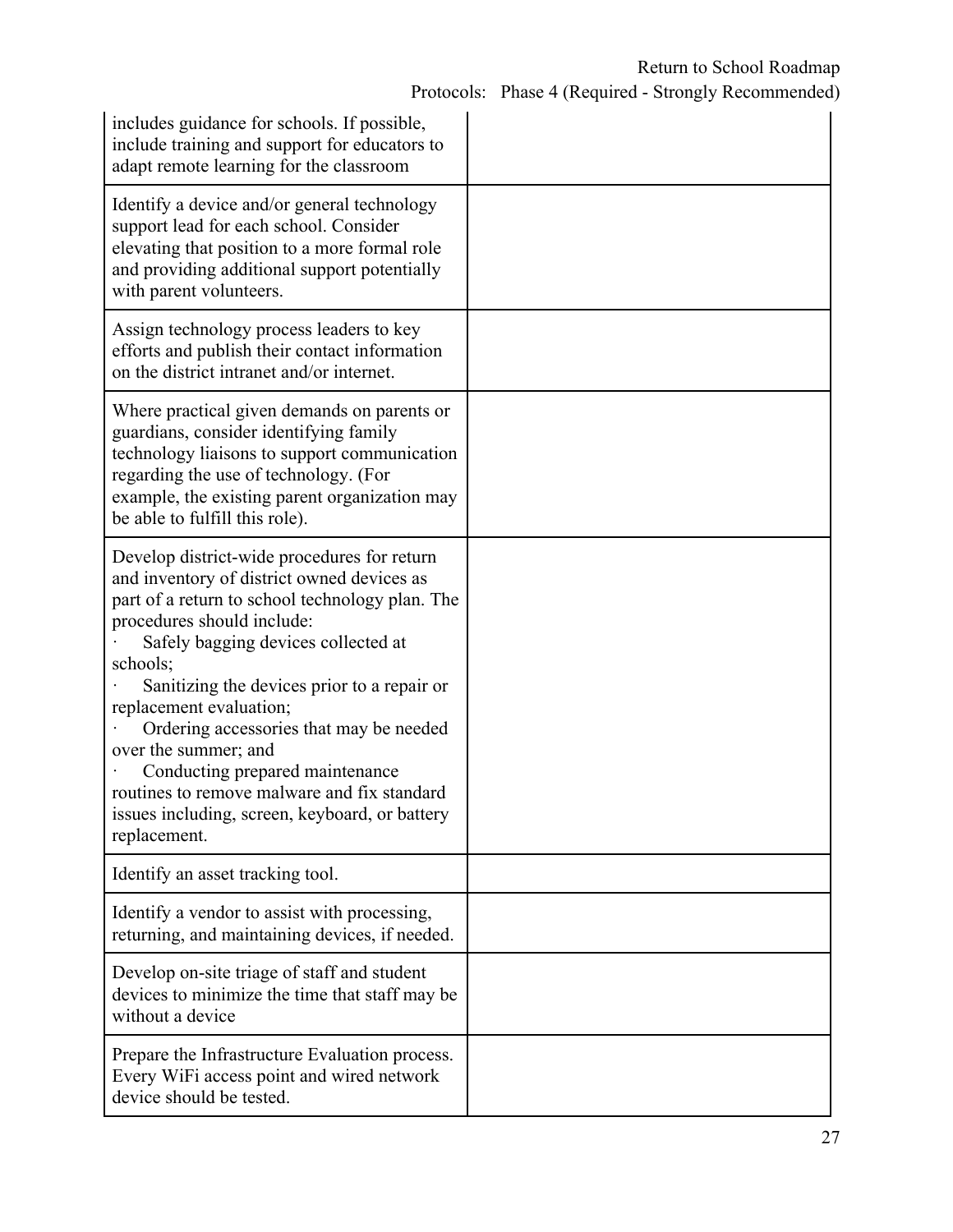| includes guidance for schools. If possible,<br>include training and support for educators to<br>adapt remote learning for the classroom                                                                                                                                                                                                                                                                                                                                                                                        |  |
|--------------------------------------------------------------------------------------------------------------------------------------------------------------------------------------------------------------------------------------------------------------------------------------------------------------------------------------------------------------------------------------------------------------------------------------------------------------------------------------------------------------------------------|--|
| Identify a device and/or general technology<br>support lead for each school. Consider<br>elevating that position to a more formal role<br>and providing additional support potentially<br>with parent volunteers.                                                                                                                                                                                                                                                                                                              |  |
| Assign technology process leaders to key<br>efforts and publish their contact information<br>on the district intranet and/or internet.                                                                                                                                                                                                                                                                                                                                                                                         |  |
| Where practical given demands on parents or<br>guardians, consider identifying family<br>technology liaisons to support communication<br>regarding the use of technology. (For<br>example, the existing parent organization may<br>be able to fulfill this role).                                                                                                                                                                                                                                                              |  |
| Develop district-wide procedures for return<br>and inventory of district owned devices as<br>part of a return to school technology plan. The<br>procedures should include:<br>Safely bagging devices collected at<br>schools;<br>Sanitizing the devices prior to a repair or<br>replacement evaluation;<br>Ordering accessories that may be needed<br>over the summer; and<br>Conducting prepared maintenance<br>routines to remove malware and fix standard<br>issues including, screen, keyboard, or battery<br>replacement. |  |
| Identify an asset tracking tool.                                                                                                                                                                                                                                                                                                                                                                                                                                                                                               |  |
| Identify a vendor to assist with processing,<br>returning, and maintaining devices, if needed.                                                                                                                                                                                                                                                                                                                                                                                                                                 |  |
| Develop on-site triage of staff and student<br>devices to minimize the time that staff may be<br>without a device                                                                                                                                                                                                                                                                                                                                                                                                              |  |
| Prepare the Infrastructure Evaluation process.<br>Every WiFi access point and wired network<br>device should be tested.                                                                                                                                                                                                                                                                                                                                                                                                        |  |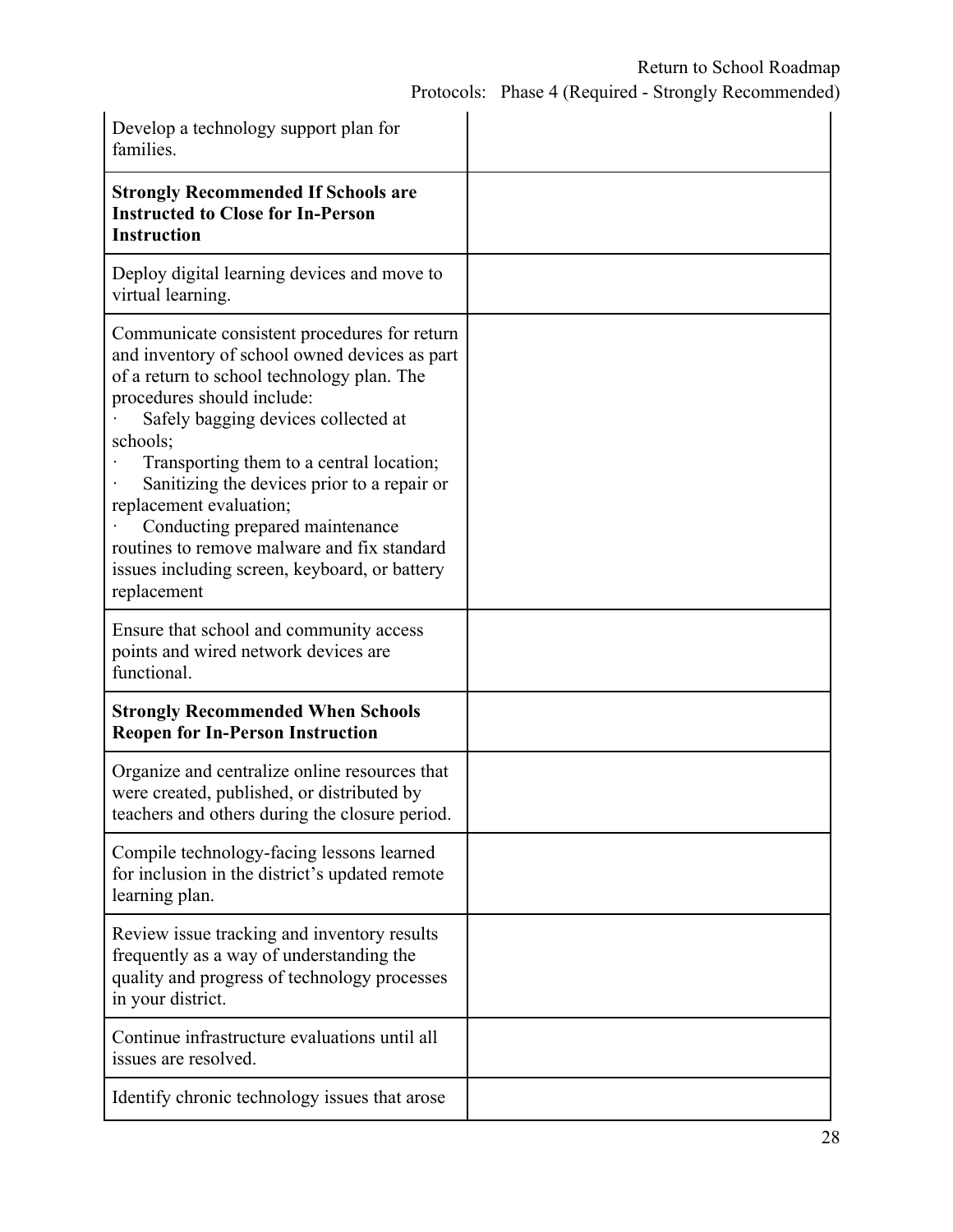Protocols: Phase 4 (Required - Strongly Recommended)

| Develop a technology support plan for<br>families.                                                                                                                                                                                                                                                                                                                                                                                                                                                   |  |
|------------------------------------------------------------------------------------------------------------------------------------------------------------------------------------------------------------------------------------------------------------------------------------------------------------------------------------------------------------------------------------------------------------------------------------------------------------------------------------------------------|--|
| <b>Strongly Recommended If Schools are</b><br><b>Instructed to Close for In-Person</b><br><b>Instruction</b>                                                                                                                                                                                                                                                                                                                                                                                         |  |
| Deploy digital learning devices and move to<br>virtual learning.                                                                                                                                                                                                                                                                                                                                                                                                                                     |  |
| Communicate consistent procedures for return<br>and inventory of school owned devices as part<br>of a return to school technology plan. The<br>procedures should include:<br>Safely bagging devices collected at<br>schools;<br>Transporting them to a central location;<br>Sanitizing the devices prior to a repair or<br>replacement evaluation;<br>Conducting prepared maintenance<br>routines to remove malware and fix standard<br>issues including screen, keyboard, or battery<br>replacement |  |
| Ensure that school and community access<br>points and wired network devices are<br>functional.                                                                                                                                                                                                                                                                                                                                                                                                       |  |
| <b>Strongly Recommended When Schools</b><br><b>Reopen for In-Person Instruction</b>                                                                                                                                                                                                                                                                                                                                                                                                                  |  |
| Organize and centralize online resources that<br>were created, published, or distributed by<br>teachers and others during the closure period.                                                                                                                                                                                                                                                                                                                                                        |  |
| Compile technology-facing lessons learned<br>for inclusion in the district's updated remote<br>learning plan.                                                                                                                                                                                                                                                                                                                                                                                        |  |
| Review issue tracking and inventory results<br>frequently as a way of understanding the<br>quality and progress of technology processes<br>in your district.                                                                                                                                                                                                                                                                                                                                         |  |
| Continue infrastructure evaluations until all<br>issues are resolved.                                                                                                                                                                                                                                                                                                                                                                                                                                |  |
| Identify chronic technology issues that arose                                                                                                                                                                                                                                                                                                                                                                                                                                                        |  |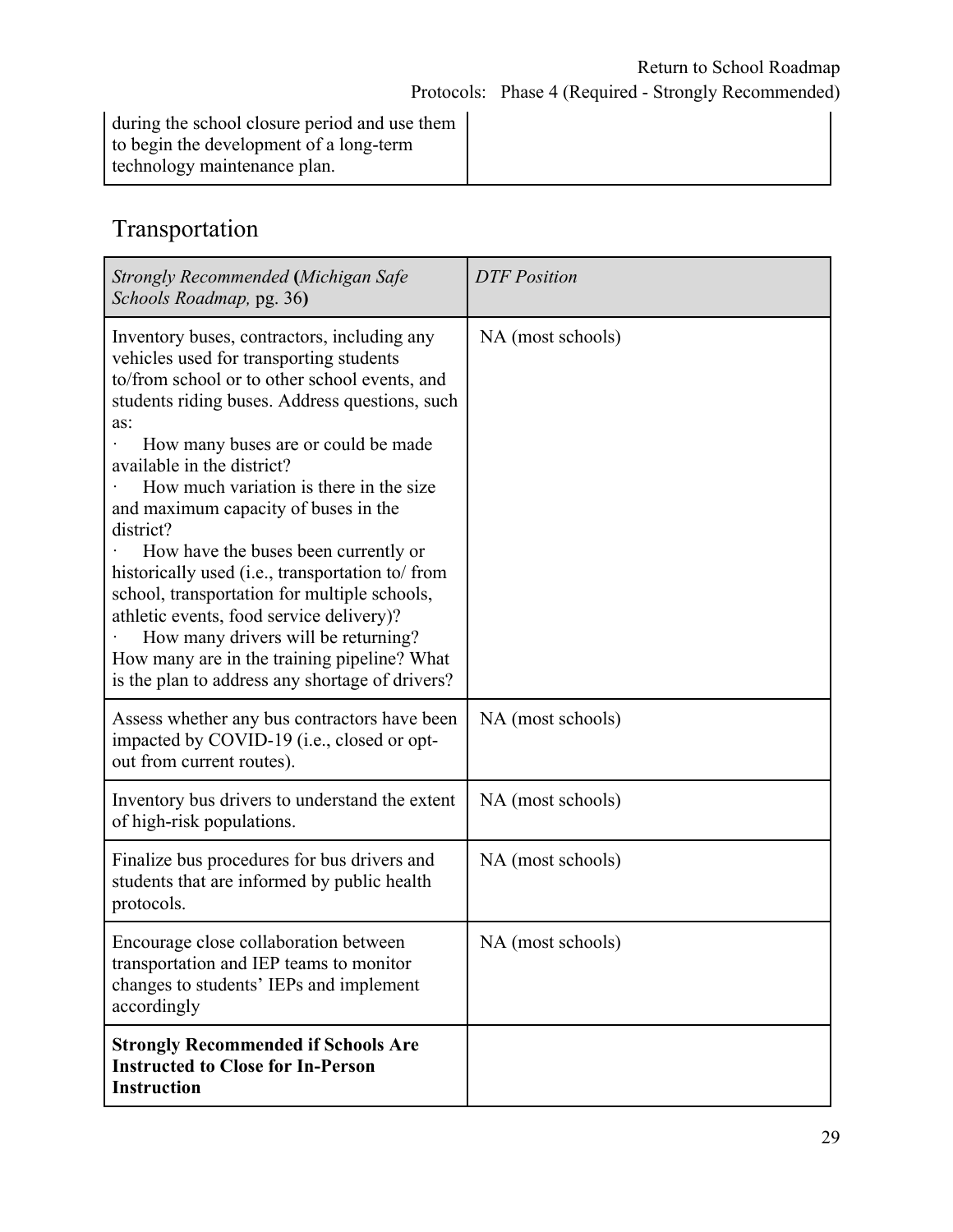during the school closure period and use them to begin the development of a long-term technology maintenance plan.

### Transportation

| Strongly Recommended (Michigan Safe<br>Schools Roadmap, pg. 36)                                                                                                                                                                                                                                                                                                                                                                                                                                                                                                                                                                                                                                        | <b>DTF</b> Position |
|--------------------------------------------------------------------------------------------------------------------------------------------------------------------------------------------------------------------------------------------------------------------------------------------------------------------------------------------------------------------------------------------------------------------------------------------------------------------------------------------------------------------------------------------------------------------------------------------------------------------------------------------------------------------------------------------------------|---------------------|
| Inventory buses, contractors, including any<br>vehicles used for transporting students<br>to/from school or to other school events, and<br>students riding buses. Address questions, such<br>as:<br>How many buses are or could be made<br>available in the district?<br>How much variation is there in the size<br>and maximum capacity of buses in the<br>district?<br>How have the buses been currently or<br>historically used (i.e., transportation to/ from<br>school, transportation for multiple schools,<br>athletic events, food service delivery)?<br>How many drivers will be returning?<br>How many are in the training pipeline? What<br>is the plan to address any shortage of drivers? | NA (most schools)   |
| Assess whether any bus contractors have been<br>impacted by COVID-19 (i.e., closed or opt-<br>out from current routes).                                                                                                                                                                                                                                                                                                                                                                                                                                                                                                                                                                                | NA (most schools)   |
| Inventory bus drivers to understand the extent<br>of high-risk populations.                                                                                                                                                                                                                                                                                                                                                                                                                                                                                                                                                                                                                            | NA (most schools)   |
| Finalize bus procedures for bus drivers and<br>students that are informed by public health<br>protocols.                                                                                                                                                                                                                                                                                                                                                                                                                                                                                                                                                                                               | NA (most schools)   |
| Encourage close collaboration between<br>transportation and IEP teams to monitor<br>changes to students' IEPs and implement<br>accordingly                                                                                                                                                                                                                                                                                                                                                                                                                                                                                                                                                             | NA (most schools)   |
| <b>Strongly Recommended if Schools Are</b><br><b>Instructed to Close for In-Person</b><br><b>Instruction</b>                                                                                                                                                                                                                                                                                                                                                                                                                                                                                                                                                                                           |                     |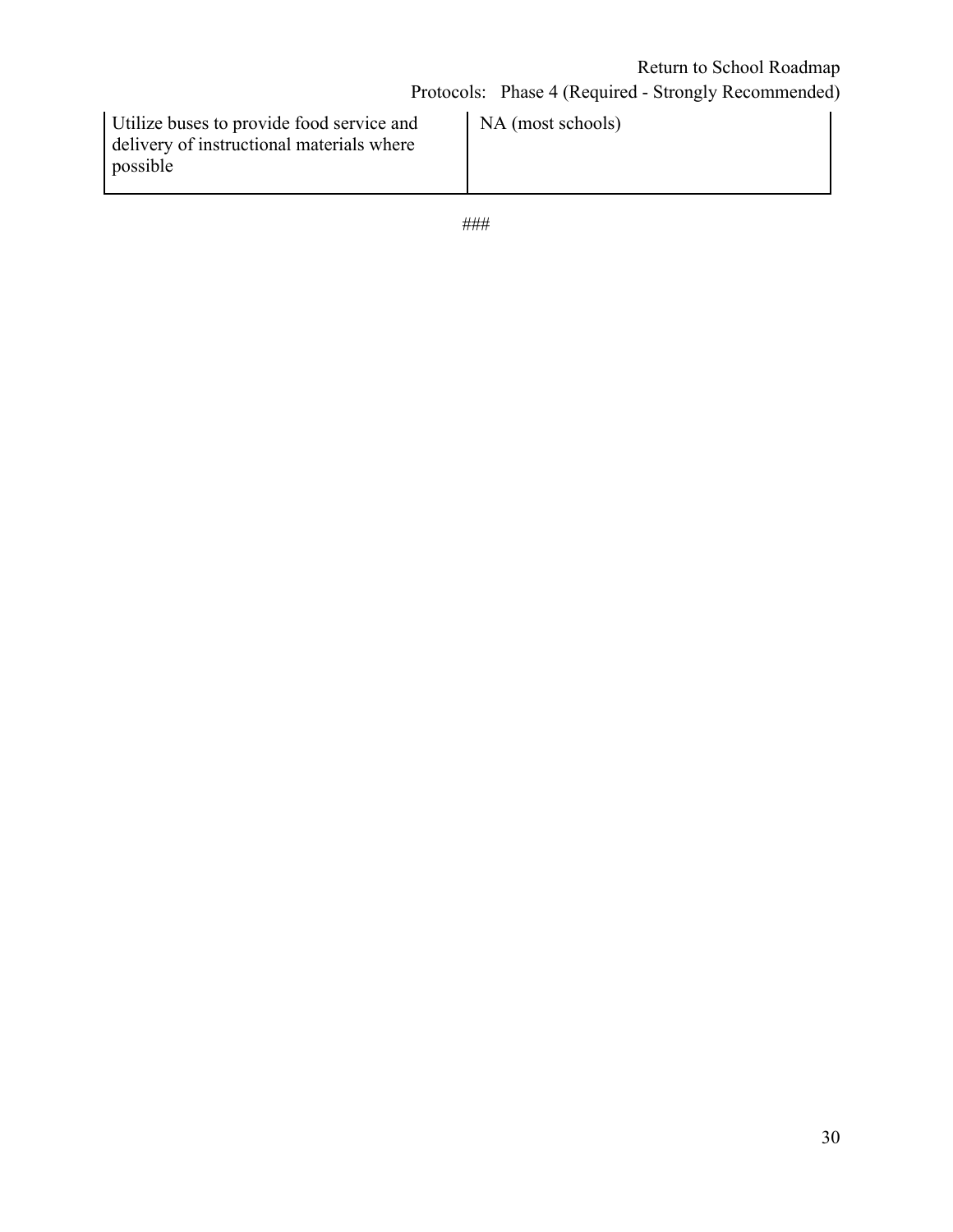| Utilize buses to provide food service and | NA (most schools) |
|-------------------------------------------|-------------------|
| delivery of instructional materials where |                   |
| possible                                  |                   |
|                                           |                   |

###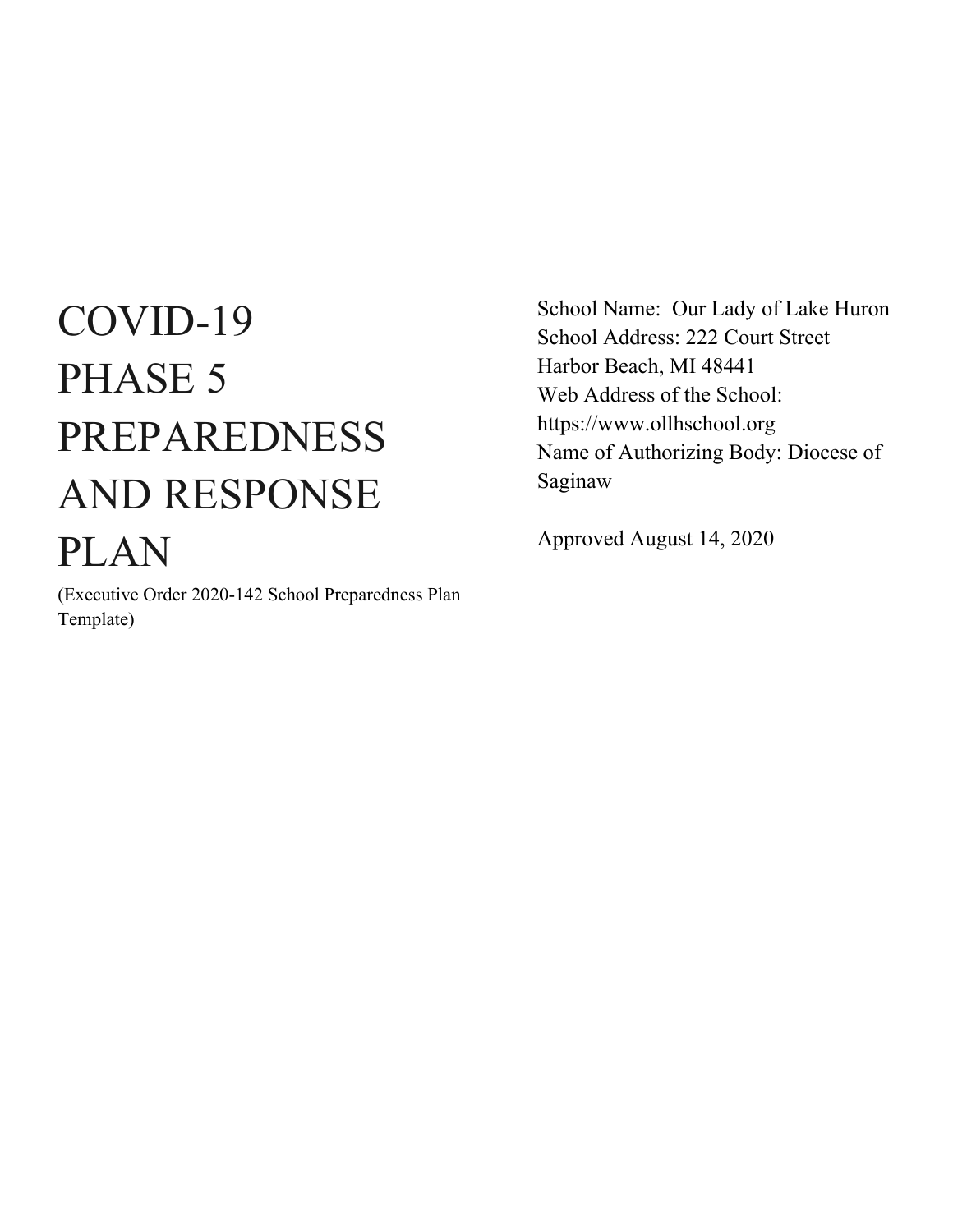# COVID-19 PHASE 5 PREPAREDNESS AND RESPONSE PLAN

(Executive Order 2020-142 School Preparedness Plan Template)

School Name: Our Lady of Lake Huron School Address: 222 Court Street Harbor Beach, MI 48441 Web Address of the School: https://www.ollhschool.org Name of Authorizing Body: Diocese of Saginaw

Approved August 14, 2020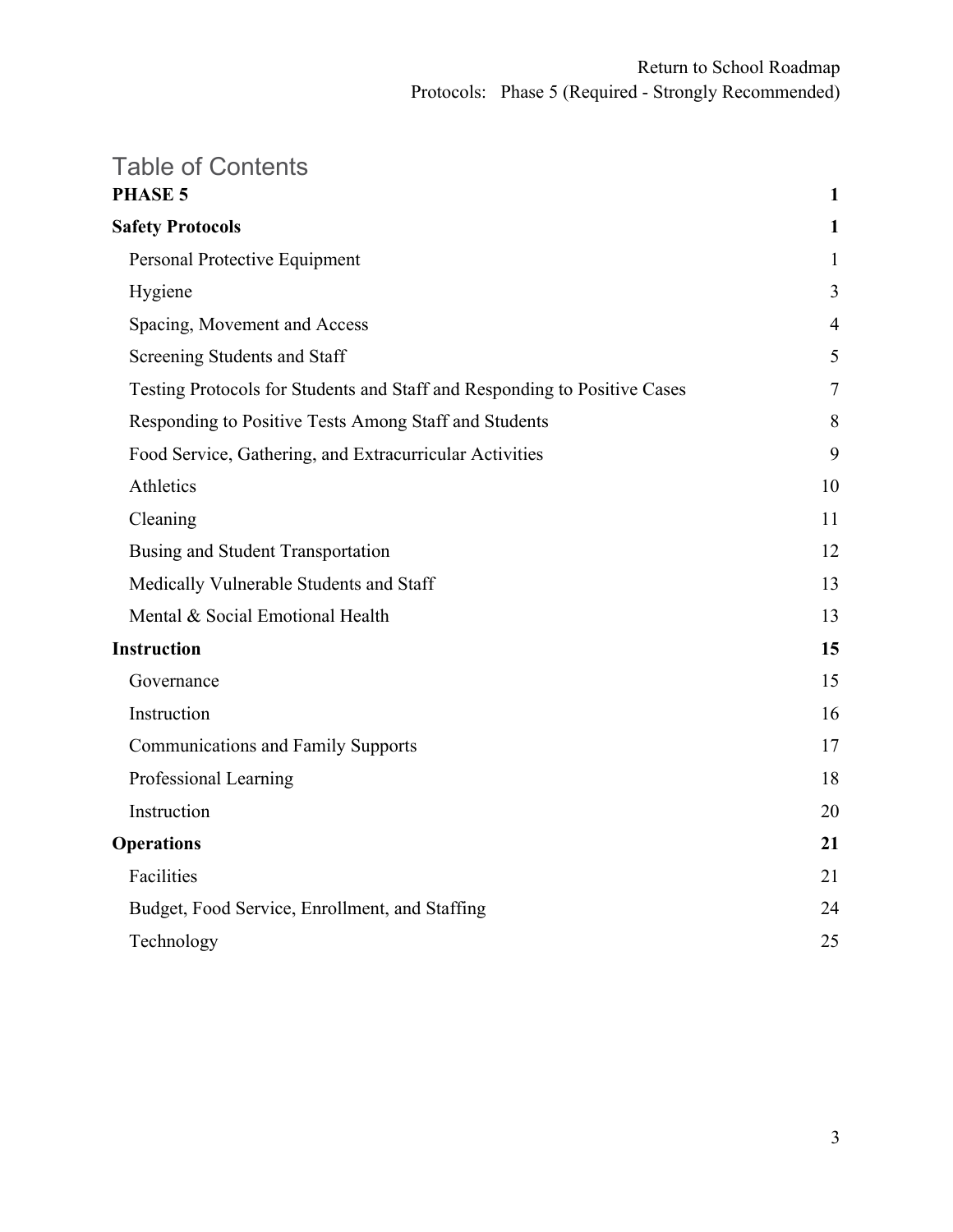# Table of Contents

| $\mathbf{1}$   |  |
|----------------|--|
| 1              |  |
| 1              |  |
| 3              |  |
| $\overline{4}$ |  |
| 5              |  |
| 7              |  |
| 8              |  |
| 9              |  |
| 10             |  |
| 11             |  |
| 12             |  |
| 13             |  |
| 13             |  |
| 15             |  |
| 15             |  |
| 16             |  |
| 17             |  |
| 18             |  |
| 20             |  |
| 21             |  |
| 21             |  |
| 24             |  |
| 25             |  |
|                |  |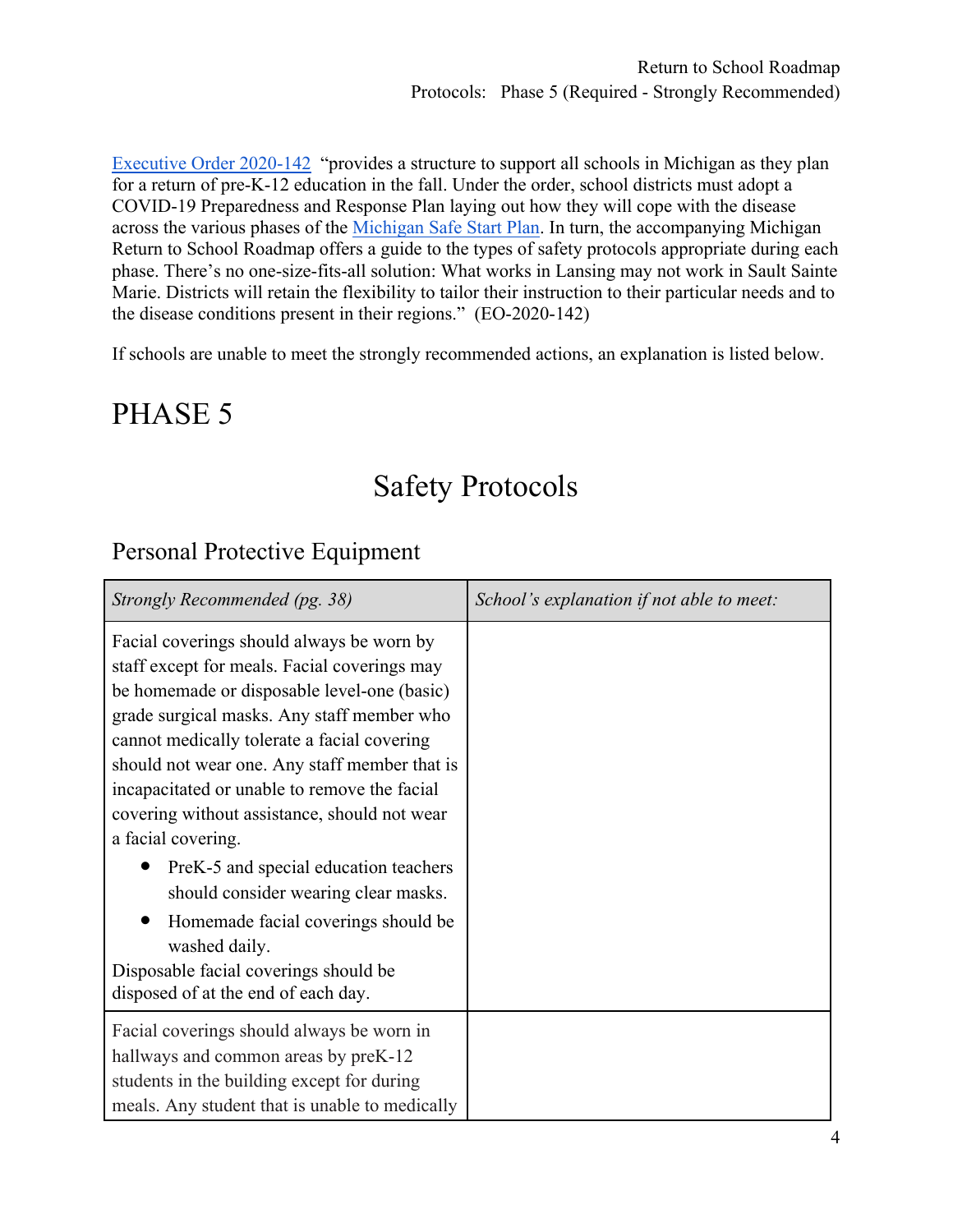[Executive Order 2020-142](https://content.govdelivery.com/attachments/MIEOG/2020/06/30/file_attachments/1485859/EO%202020-142.pdf) "provides a structure to support all schools in Michigan as they plan for a return of pre-K-12 education in the fall. Under the order, school districts must adopt a COVID-19 Preparedness and Response Plan laying out how they will cope with the disease across the various phases of the [Michigan Safe Start Plan.](https://www.michigan.gov/documents/whitmer/MI_SAFE_START_PLAN_689875_7.pdf) In turn, the accompanying Michigan Return to School Roadmap offers a guide to the types of safety protocols appropriate during each phase. There's no one-size-fits-all solution: What works in Lansing may not work in Sault Sainte Marie. Districts will retain the flexibility to tailor their instruction to their particular needs and to the disease conditions present in their regions." (EO-2020-142)

If schools are unable to meet the strongly recommended actions, an explanation is listed below.

# PHASE 5

# Safety Protocols

### Personal Protective Equipment

| Strongly Recommended (pg. 38)                                                                                                                                                                                                                                                                                                                                                                                | School's explanation if not able to meet: |
|--------------------------------------------------------------------------------------------------------------------------------------------------------------------------------------------------------------------------------------------------------------------------------------------------------------------------------------------------------------------------------------------------------------|-------------------------------------------|
| Facial coverings should always be worn by<br>staff except for meals. Facial coverings may<br>be homemade or disposable level-one (basic)<br>grade surgical masks. Any staff member who<br>cannot medically tolerate a facial covering<br>should not wear one. Any staff member that is<br>incapacitated or unable to remove the facial<br>covering without assistance, should not wear<br>a facial covering. |                                           |
| PreK-5 and special education teachers<br>should consider wearing clear masks.<br>Homemade facial coverings should be<br>washed daily.<br>Disposable facial coverings should be<br>disposed of at the end of each day.                                                                                                                                                                                        |                                           |
| Facial coverings should always be worn in<br>hallways and common areas by preK-12<br>students in the building except for during<br>meals. Any student that is unable to medically                                                                                                                                                                                                                            |                                           |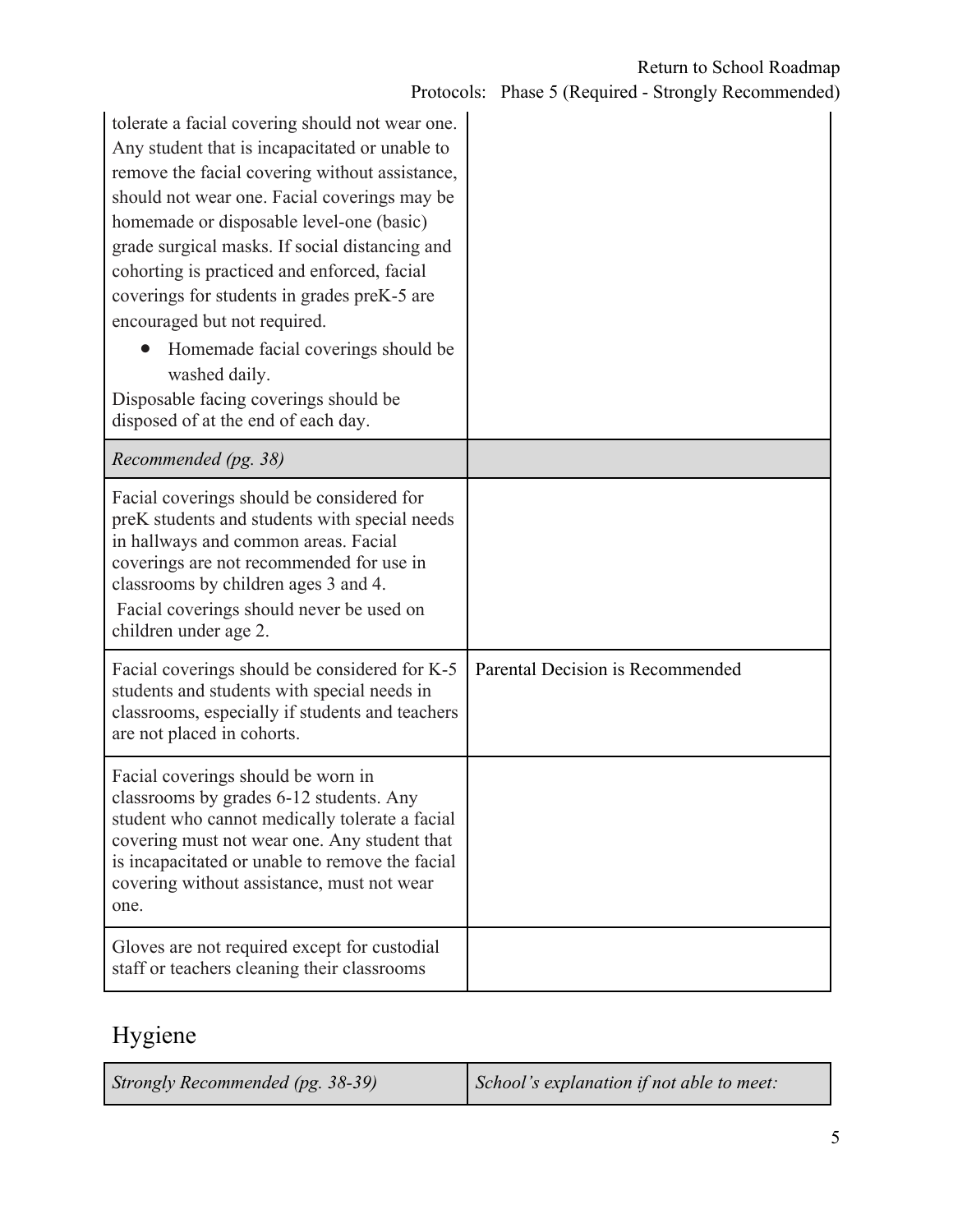| tolerate a facial covering should not wear one.<br>Any student that is incapacitated or unable to<br>remove the facial covering without assistance,<br>should not wear one. Facial coverings may be<br>homemade or disposable level-one (basic)<br>grade surgical masks. If social distancing and<br>cohorting is practiced and enforced, facial<br>coverings for students in grades preK-5 are<br>encouraged but not required.<br>Homemade facial coverings should be<br>washed daily.<br>Disposable facing coverings should be<br>disposed of at the end of each day. |                                  |  |
|-------------------------------------------------------------------------------------------------------------------------------------------------------------------------------------------------------------------------------------------------------------------------------------------------------------------------------------------------------------------------------------------------------------------------------------------------------------------------------------------------------------------------------------------------------------------------|----------------------------------|--|
| Recommended (pg. 38)                                                                                                                                                                                                                                                                                                                                                                                                                                                                                                                                                    |                                  |  |
| Facial coverings should be considered for<br>preK students and students with special needs<br>in hallways and common areas. Facial<br>coverings are not recommended for use in<br>classrooms by children ages 3 and 4.<br>Facial coverings should never be used on<br>children under age 2.                                                                                                                                                                                                                                                                             |                                  |  |
| Facial coverings should be considered for K-5<br>students and students with special needs in<br>classrooms, especially if students and teachers<br>are not placed in cohorts.                                                                                                                                                                                                                                                                                                                                                                                           | Parental Decision is Recommended |  |
| Facial coverings should be worn in<br>classrooms by grades 6-12 students. Any<br>student who cannot medically tolerate a facial<br>covering must not wear one. Any student that<br>is incapacitated or unable to remove the facial<br>covering without assistance, must not wear<br>one.                                                                                                                                                                                                                                                                                |                                  |  |
| Gloves are not required except for custodial<br>staff or teachers cleaning their classrooms                                                                                                                                                                                                                                                                                                                                                                                                                                                                             |                                  |  |

# Hygiene

*Strongly Recommended (pg. 38-39) School's explanation if not able to meet:*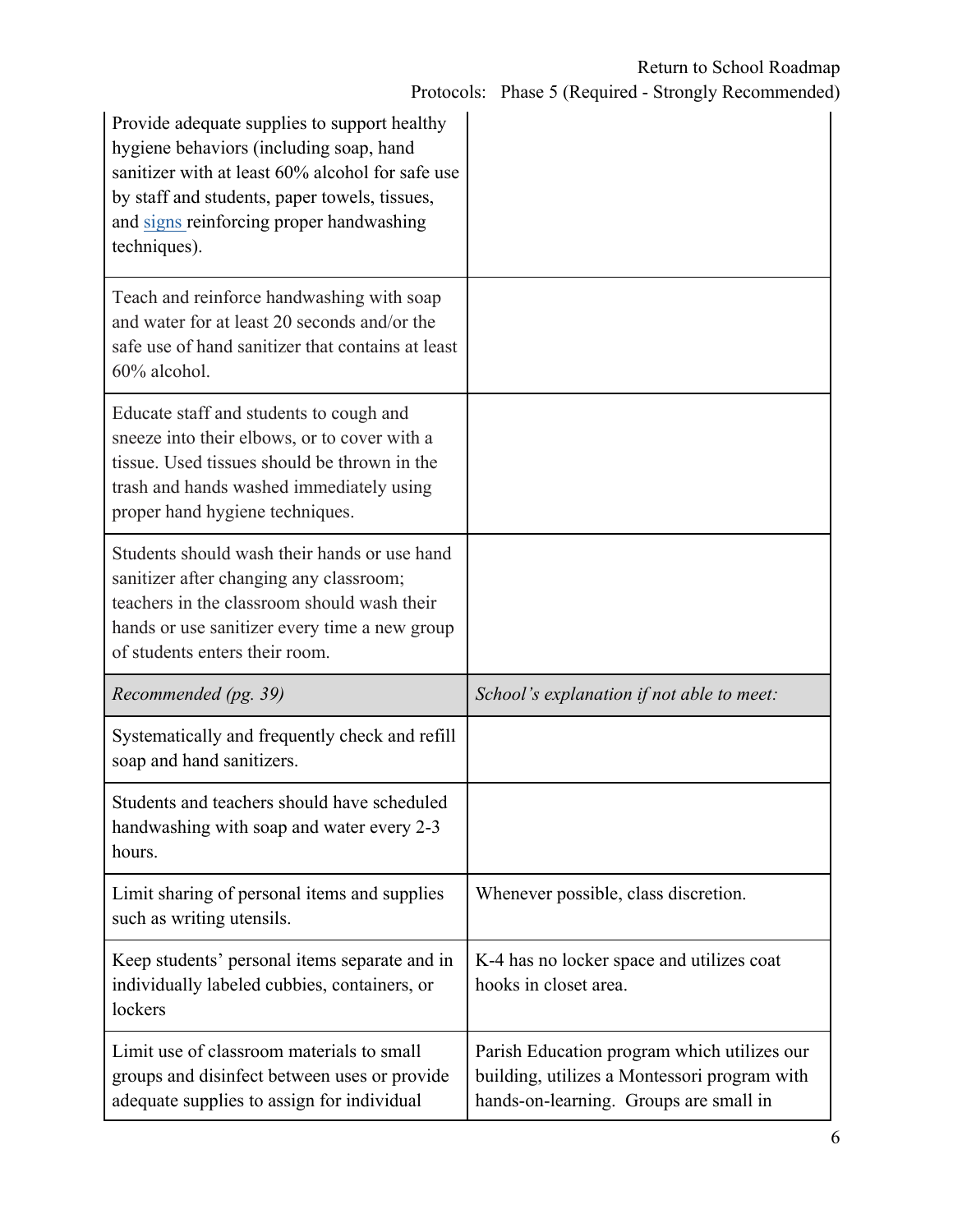| Provide adequate supplies to support healthy<br>hygiene behaviors (including soap, hand<br>sanitizer with at least 60% alcohol for safe use<br>by staff and students, paper towels, tissues,<br>and signs reinforcing proper handwashing<br>techniques). |                                                                                                                                       |
|----------------------------------------------------------------------------------------------------------------------------------------------------------------------------------------------------------------------------------------------------------|---------------------------------------------------------------------------------------------------------------------------------------|
| Teach and reinforce handwashing with soap<br>and water for at least 20 seconds and/or the<br>safe use of hand sanitizer that contains at least<br>60% alcohol.                                                                                           |                                                                                                                                       |
| Educate staff and students to cough and<br>sneeze into their elbows, or to cover with a<br>tissue. Used tissues should be thrown in the<br>trash and hands washed immediately using<br>proper hand hygiene techniques.                                   |                                                                                                                                       |
| Students should wash their hands or use hand<br>sanitizer after changing any classroom;<br>teachers in the classroom should wash their<br>hands or use sanitizer every time a new group<br>of students enters their room.                                |                                                                                                                                       |
| Recommended (pg. 39)                                                                                                                                                                                                                                     | School's explanation if not able to meet:                                                                                             |
| Systematically and frequently check and refill<br>soap and hand sanitizers.                                                                                                                                                                              |                                                                                                                                       |
| Students and teachers should have scheduled<br>handwashing with soap and water every 2-3<br>hours.                                                                                                                                                       |                                                                                                                                       |
| Limit sharing of personal items and supplies<br>such as writing utensils.                                                                                                                                                                                | Whenever possible, class discretion.                                                                                                  |
| Keep students' personal items separate and in<br>individually labeled cubbies, containers, or<br>lockers                                                                                                                                                 | K-4 has no locker space and utilizes coat<br>hooks in closet area.                                                                    |
| Limit use of classroom materials to small<br>groups and disinfect between uses or provide<br>adequate supplies to assign for individual                                                                                                                  | Parish Education program which utilizes our<br>building, utilizes a Montessori program with<br>hands-on-learning. Groups are small in |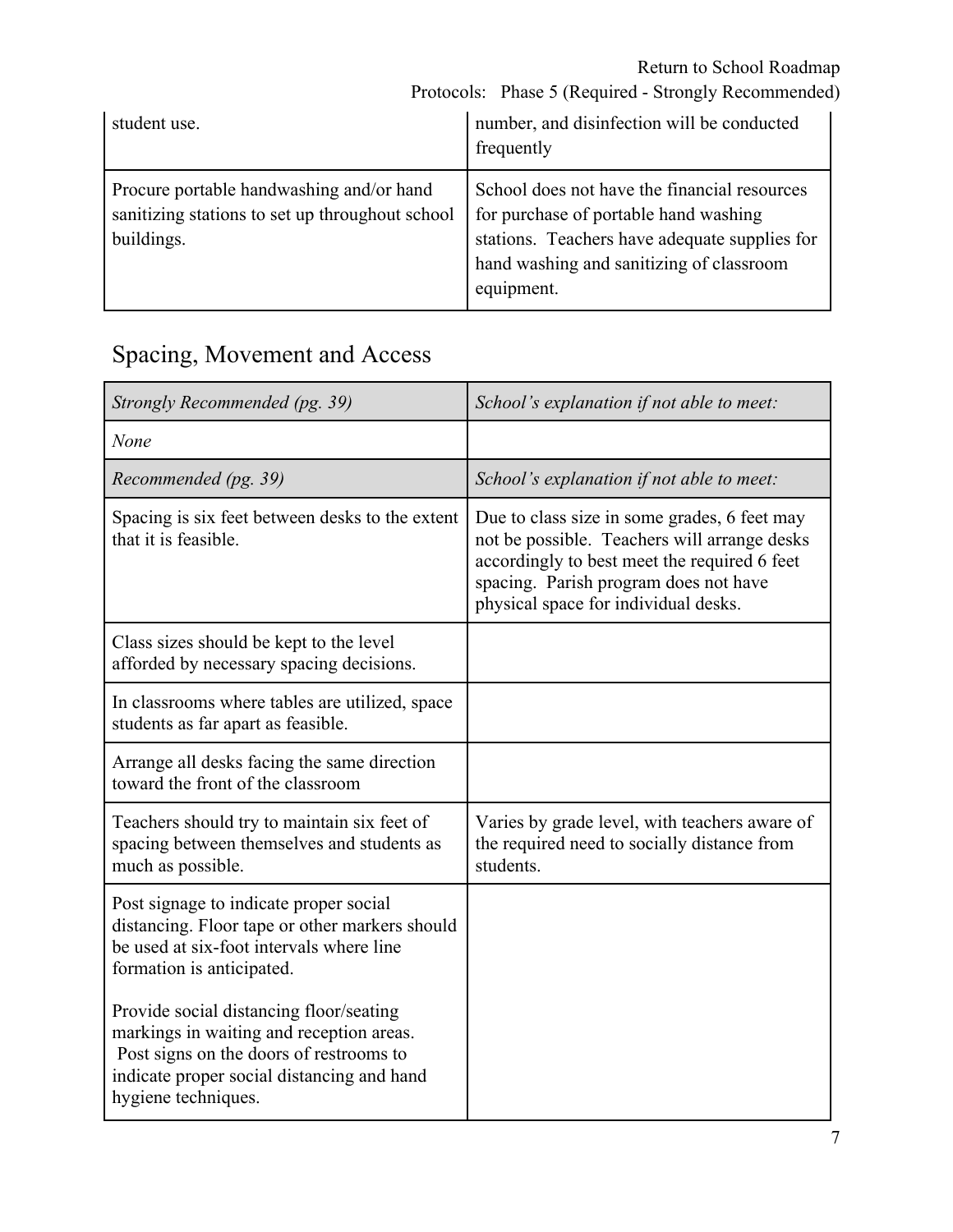Protocols: Phase 5 (Required - Strongly Recommended)

| student use.                                                                                              | number, and disinfection will be conducted<br>frequently                                                                                                                                         |
|-----------------------------------------------------------------------------------------------------------|--------------------------------------------------------------------------------------------------------------------------------------------------------------------------------------------------|
| Procure portable handwashing and/or hand<br>sanitizing stations to set up throughout school<br>buildings. | School does not have the financial resources<br>for purchase of portable hand washing<br>stations. Teachers have adequate supplies for<br>hand washing and sanitizing of classroom<br>equipment. |

# Spacing, Movement and Access

| Strongly Recommended (pg. 39)                                                                                                                                                                       | School's explanation if not able to meet:                                                                                                                                                                                     |
|-----------------------------------------------------------------------------------------------------------------------------------------------------------------------------------------------------|-------------------------------------------------------------------------------------------------------------------------------------------------------------------------------------------------------------------------------|
| None                                                                                                                                                                                                |                                                                                                                                                                                                                               |
| Recommended (pg. 39)                                                                                                                                                                                | School's explanation if not able to meet:                                                                                                                                                                                     |
| Spacing is six feet between desks to the extent<br>that it is feasible.                                                                                                                             | Due to class size in some grades, 6 feet may<br>not be possible. Teachers will arrange desks<br>accordingly to best meet the required 6 feet<br>spacing. Parish program does not have<br>physical space for individual desks. |
| Class sizes should be kept to the level<br>afforded by necessary spacing decisions.                                                                                                                 |                                                                                                                                                                                                                               |
| In classrooms where tables are utilized, space<br>students as far apart as feasible.                                                                                                                |                                                                                                                                                                                                                               |
| Arrange all desks facing the same direction<br>toward the front of the classroom                                                                                                                    |                                                                                                                                                                                                                               |
| Teachers should try to maintain six feet of<br>spacing between themselves and students as<br>much as possible.                                                                                      | Varies by grade level, with teachers aware of<br>the required need to socially distance from<br>students.                                                                                                                     |
| Post signage to indicate proper social<br>distancing. Floor tape or other markers should<br>be used at six-foot intervals where line<br>formation is anticipated.                                   |                                                                                                                                                                                                                               |
| Provide social distancing floor/seating<br>markings in waiting and reception areas.<br>Post signs on the doors of restrooms to<br>indicate proper social distancing and hand<br>hygiene techniques. |                                                                                                                                                                                                                               |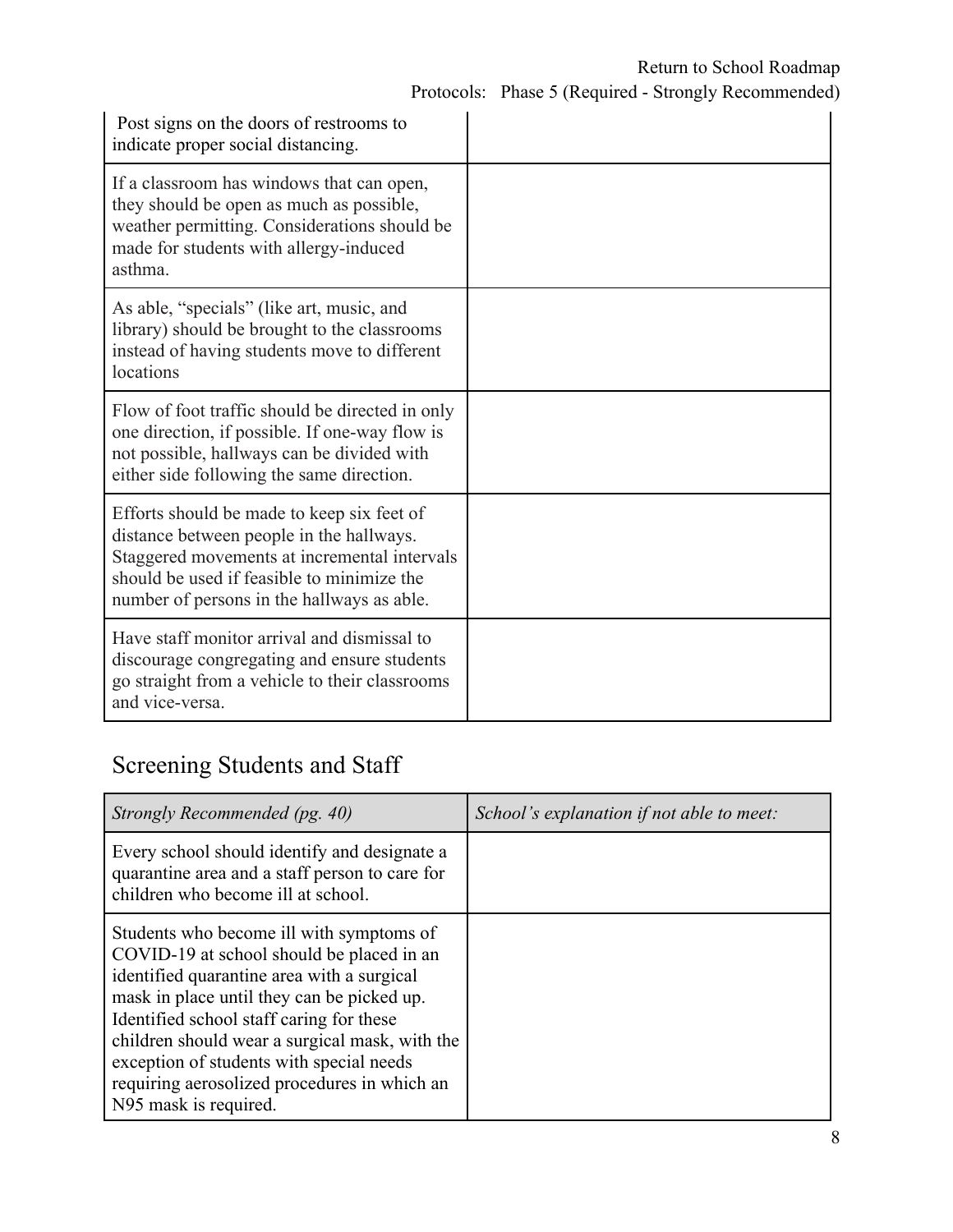| Post signs on the doors of restrooms to<br>indicate proper social distancing.                                                                                                                                                      |  |
|------------------------------------------------------------------------------------------------------------------------------------------------------------------------------------------------------------------------------------|--|
| If a classroom has windows that can open,<br>they should be open as much as possible,<br>weather permitting. Considerations should be<br>made for students with allergy-induced<br>asthma.                                         |  |
| As able, "specials" (like art, music, and<br>library) should be brought to the classrooms<br>instead of having students move to different<br>locations                                                                             |  |
| Flow of foot traffic should be directed in only<br>one direction, if possible. If one-way flow is<br>not possible, hallways can be divided with<br>either side following the same direction.                                       |  |
| Efforts should be made to keep six feet of<br>distance between people in the hallways.<br>Staggered movements at incremental intervals<br>should be used if feasible to minimize the<br>number of persons in the hallways as able. |  |
| Have staff monitor arrival and dismissal to<br>discourage congregating and ensure students<br>go straight from a vehicle to their classrooms<br>and vice-versa.                                                                    |  |

### Screening Students and Staff

| Strongly Recommended (pg. 40)                                                                                                                                                                                                                                                                                                                                                                        | School's explanation if not able to meet: |
|------------------------------------------------------------------------------------------------------------------------------------------------------------------------------------------------------------------------------------------------------------------------------------------------------------------------------------------------------------------------------------------------------|-------------------------------------------|
| Every school should identify and designate a<br>quarantine area and a staff person to care for<br>children who become ill at school.                                                                                                                                                                                                                                                                 |                                           |
| Students who become ill with symptoms of<br>COVID-19 at school should be placed in an<br>identified quarantine area with a surgical<br>mask in place until they can be picked up.<br>Identified school staff caring for these<br>children should wear a surgical mask, with the<br>exception of students with special needs<br>requiring aerosolized procedures in which an<br>N95 mask is required. |                                           |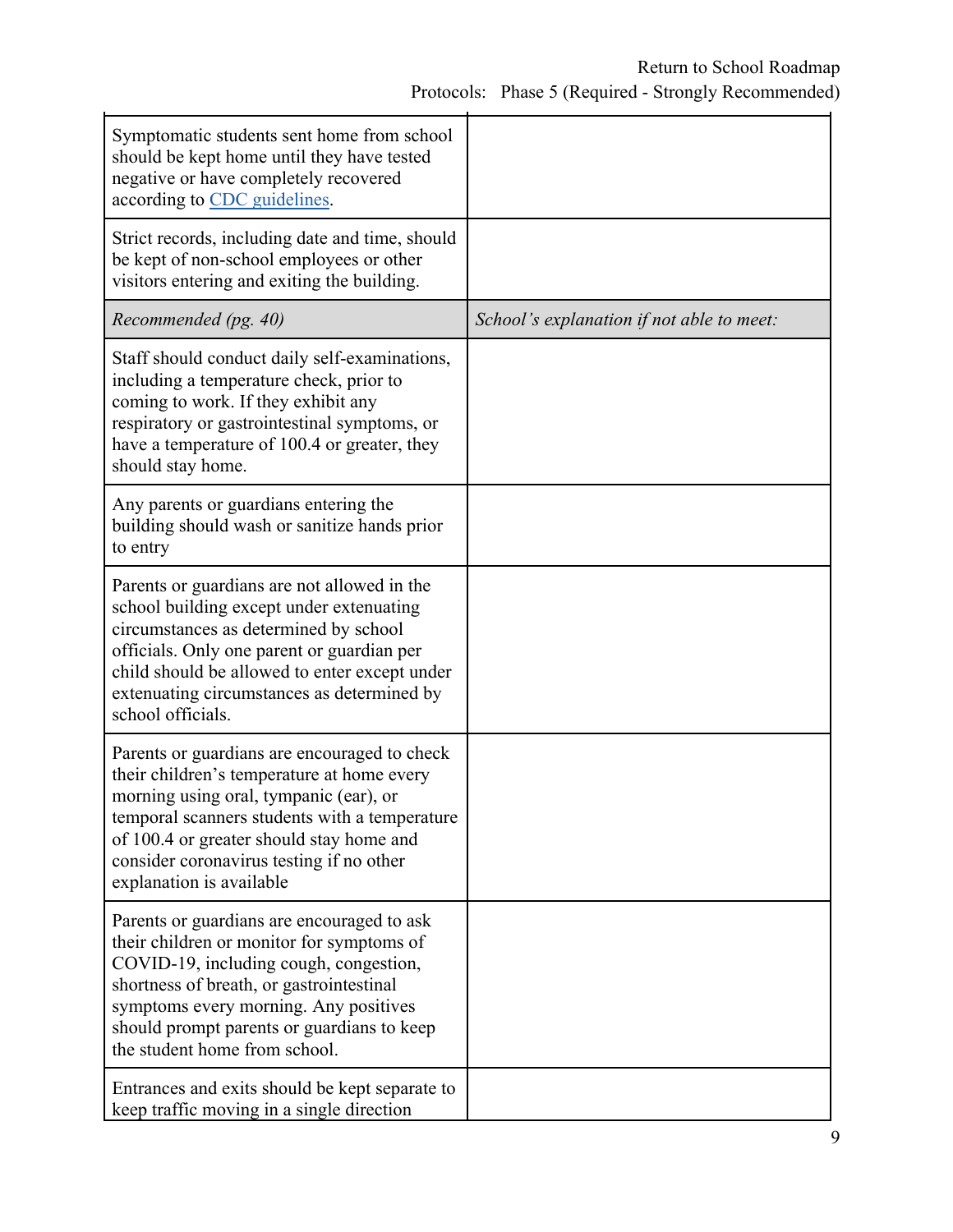| Symptomatic students sent home from school<br>should be kept home until they have tested<br>negative or have completely recovered<br>according to CDC guidelines.                                                                                                                                         |                                           |
|-----------------------------------------------------------------------------------------------------------------------------------------------------------------------------------------------------------------------------------------------------------------------------------------------------------|-------------------------------------------|
| Strict records, including date and time, should<br>be kept of non-school employees or other<br>visitors entering and exiting the building.                                                                                                                                                                |                                           |
| Recommended (pg. 40)                                                                                                                                                                                                                                                                                      | School's explanation if not able to meet: |
| Staff should conduct daily self-examinations,<br>including a temperature check, prior to<br>coming to work. If they exhibit any<br>respiratory or gastrointestinal symptoms, or<br>have a temperature of 100.4 or greater, they<br>should stay home.                                                      |                                           |
| Any parents or guardians entering the<br>building should wash or sanitize hands prior<br>to entry                                                                                                                                                                                                         |                                           |
| Parents or guardians are not allowed in the<br>school building except under extenuating<br>circumstances as determined by school<br>officials. Only one parent or guardian per<br>child should be allowed to enter except under<br>extenuating circumstances as determined by<br>school officials.        |                                           |
| Parents or guardians are encouraged to check<br>their children's temperature at home every<br>morning using oral, tympanic (ear), or<br>temporal scanners students with a temperature<br>of 100.4 or greater should stay home and<br>consider coronavirus testing if no other<br>explanation is available |                                           |
| Parents or guardians are encouraged to ask<br>their children or monitor for symptoms of<br>COVID-19, including cough, congestion,<br>shortness of breath, or gastrointestinal<br>symptoms every morning. Any positives<br>should prompt parents or guardians to keep<br>the student home from school.     |                                           |
| Entrances and exits should be kept separate to<br>keep traffic moving in a single direction                                                                                                                                                                                                               |                                           |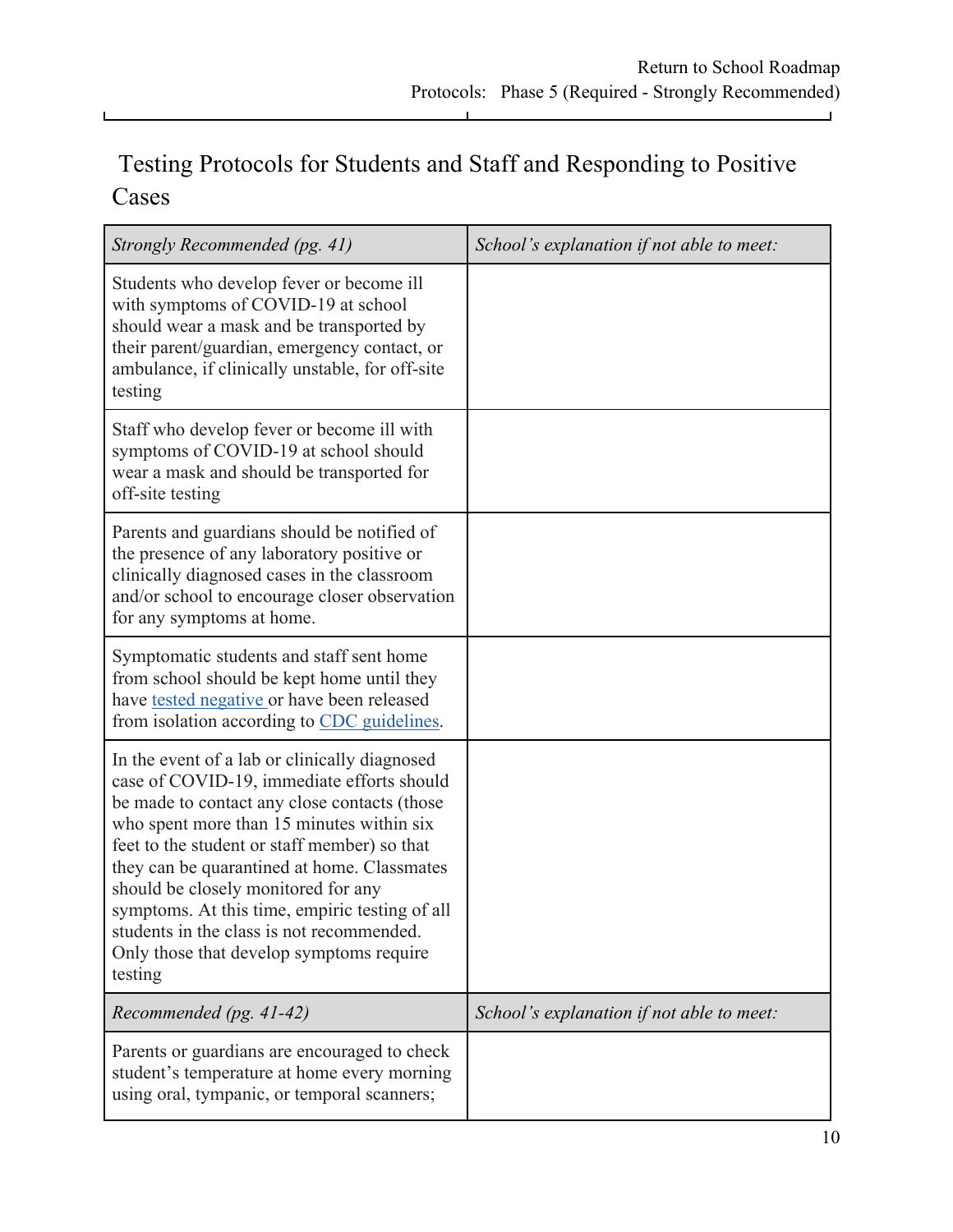### Testing Protocols for Students and Staff and Responding to Positive Cases

L

 $\mathbf{L}$ 

| Strongly Recommended (pg. 41)                                                                                                                                                                                                                                                                                                                                                                                                                                                        | School's explanation if not able to meet: |
|--------------------------------------------------------------------------------------------------------------------------------------------------------------------------------------------------------------------------------------------------------------------------------------------------------------------------------------------------------------------------------------------------------------------------------------------------------------------------------------|-------------------------------------------|
| Students who develop fever or become ill<br>with symptoms of COVID-19 at school<br>should wear a mask and be transported by<br>their parent/guardian, emergency contact, or<br>ambulance, if clinically unstable, for off-site<br>testing                                                                                                                                                                                                                                            |                                           |
| Staff who develop fever or become ill with<br>symptoms of COVID-19 at school should<br>wear a mask and should be transported for<br>off-site testing                                                                                                                                                                                                                                                                                                                                 |                                           |
| Parents and guardians should be notified of<br>the presence of any laboratory positive or<br>clinically diagnosed cases in the classroom<br>and/or school to encourage closer observation<br>for any symptoms at home.                                                                                                                                                                                                                                                               |                                           |
| Symptomatic students and staff sent home<br>from school should be kept home until they<br>have tested negative or have been released<br>from isolation according to CDC guidelines.                                                                                                                                                                                                                                                                                                  |                                           |
| In the event of a lab or clinically diagnosed<br>case of COVID-19, immediate efforts should<br>be made to contact any close contacts (those<br>who spent more than 15 minutes within six<br>feet to the student or staff member) so that<br>they can be quarantined at home. Classmates<br>should be closely monitored for any<br>symptoms. At this time, empiric testing of all<br>students in the class is not recommended.<br>Only those that develop symptoms require<br>testing |                                           |
| Recommended (pg. 41-42)                                                                                                                                                                                                                                                                                                                                                                                                                                                              | School's explanation if not able to meet: |
| Parents or guardians are encouraged to check<br>student's temperature at home every morning<br>using oral, tympanic, or temporal scanners;                                                                                                                                                                                                                                                                                                                                           |                                           |

 $\blacksquare$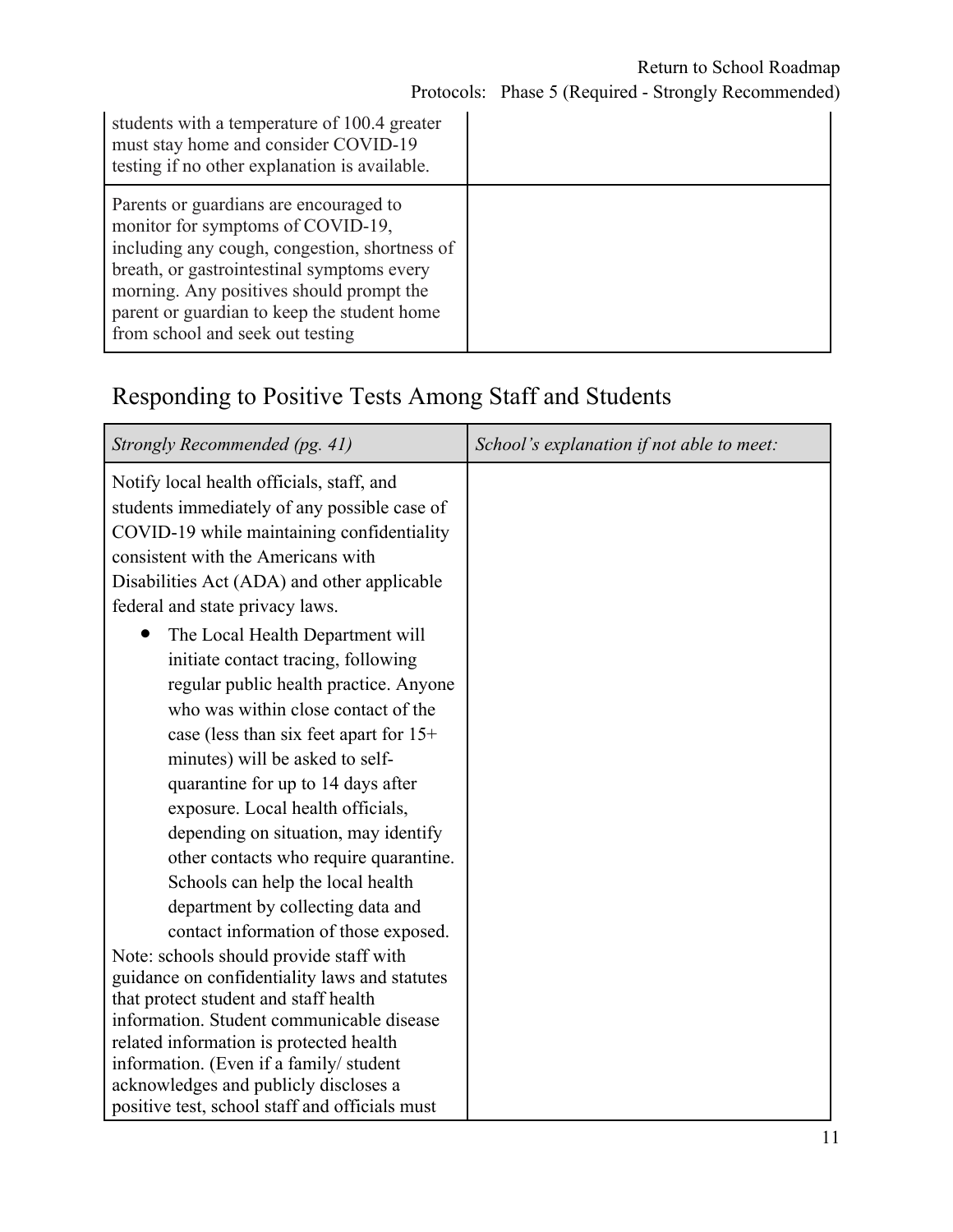| students with a temperature of 100.4 greater<br>must stay home and consider COVID-19<br>testing if no other explanation is available.                                                                                                                                                                     |  |
|-----------------------------------------------------------------------------------------------------------------------------------------------------------------------------------------------------------------------------------------------------------------------------------------------------------|--|
| Parents or guardians are encouraged to<br>monitor for symptoms of COVID-19,<br>including any cough, congestion, shortness of<br>breath, or gastrointestinal symptoms every<br>morning. Any positives should prompt the<br>parent or guardian to keep the student home<br>from school and seek out testing |  |

### Responding to Positive Tests Among Staff and Students

| Strongly Recommended (pg. 41)                                                        | School's explanation if not able to meet: |
|--------------------------------------------------------------------------------------|-------------------------------------------|
| Notify local health officials, staff, and                                            |                                           |
| students immediately of any possible case of                                         |                                           |
| COVID-19 while maintaining confidentiality                                           |                                           |
| consistent with the Americans with                                                   |                                           |
| Disabilities Act (ADA) and other applicable                                          |                                           |
| federal and state privacy laws.                                                      |                                           |
| The Local Health Department will                                                     |                                           |
| initiate contact tracing, following                                                  |                                           |
| regular public health practice. Anyone                                               |                                           |
| who was within close contact of the                                                  |                                           |
| case (less than six feet apart for $15+$                                             |                                           |
| minutes) will be asked to self-                                                      |                                           |
| quarantine for up to 14 days after                                                   |                                           |
| exposure. Local health officials,                                                    |                                           |
| depending on situation, may identify                                                 |                                           |
| other contacts who require quarantine.                                               |                                           |
| Schools can help the local health                                                    |                                           |
| department by collecting data and                                                    |                                           |
| contact information of those exposed.                                                |                                           |
| Note: schools should provide staff with                                              |                                           |
| guidance on confidentiality laws and statutes                                        |                                           |
| that protect student and staff health                                                |                                           |
| information. Student communicable disease<br>related information is protected health |                                           |
| information. (Even if a family/ student                                              |                                           |
| acknowledges and publicly discloses a                                                |                                           |
| positive test, school staff and officials must                                       |                                           |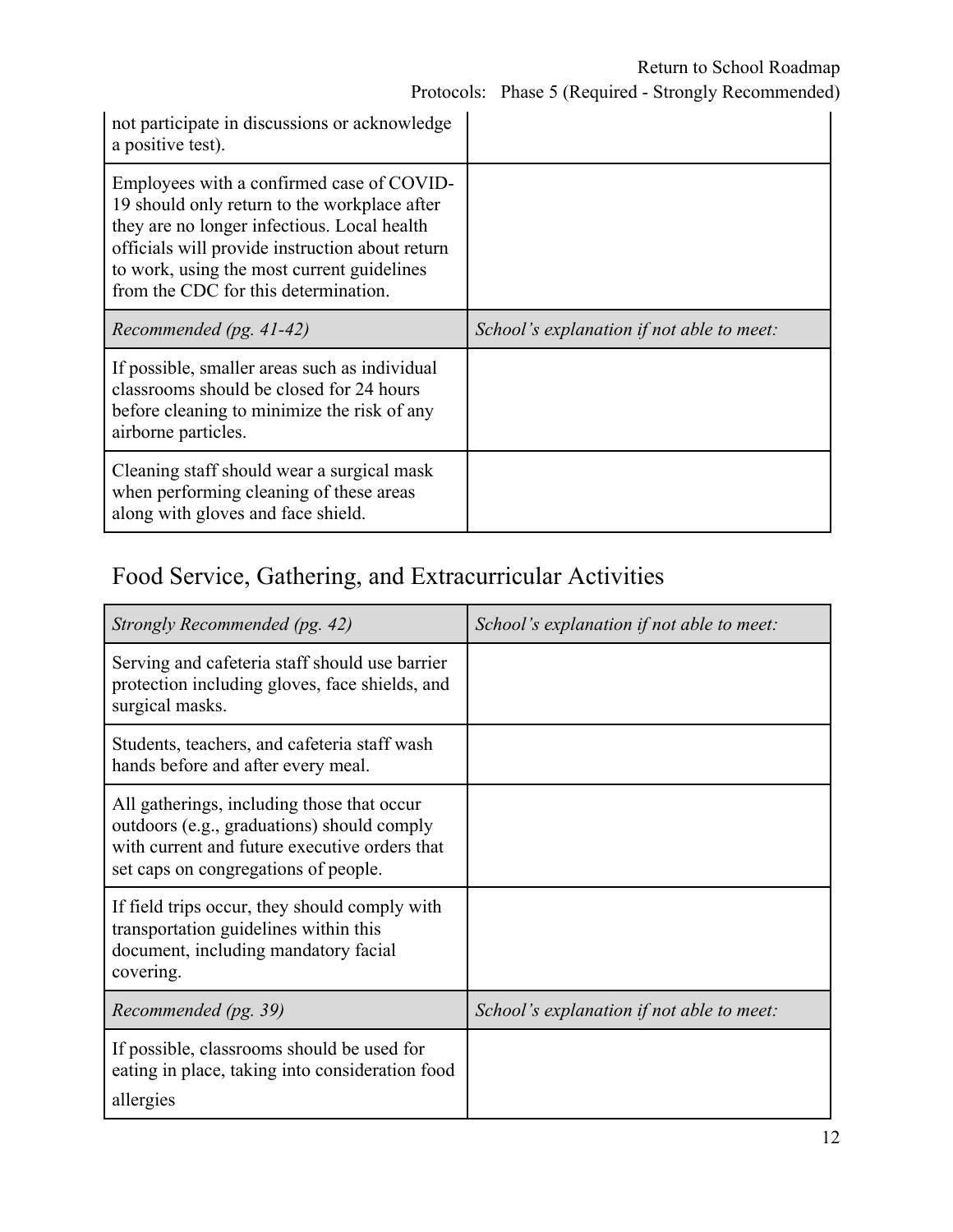| not participate in discussions or acknowledge<br>a positive test).                                                                                                                                                                                                                |                                           |
|-----------------------------------------------------------------------------------------------------------------------------------------------------------------------------------------------------------------------------------------------------------------------------------|-------------------------------------------|
| Employees with a confirmed case of COVID-<br>19 should only return to the workplace after<br>they are no longer infectious. Local health<br>officials will provide instruction about return<br>to work, using the most current guidelines<br>from the CDC for this determination. |                                           |
| Recommended (pg. $41-42$ )                                                                                                                                                                                                                                                        | School's explanation if not able to meet: |
| If possible, smaller areas such as individual                                                                                                                                                                                                                                     |                                           |
| classrooms should be closed for 24 hours<br>before cleaning to minimize the risk of any<br>airborne particles.                                                                                                                                                                    |                                           |

# Food Service, Gathering, and Extracurricular Activities

| Strongly Recommended (pg. 42)                                                                                                                                                     | School's explanation if not able to meet: |
|-----------------------------------------------------------------------------------------------------------------------------------------------------------------------------------|-------------------------------------------|
| Serving and cafeteria staff should use barrier<br>protection including gloves, face shields, and<br>surgical masks.                                                               |                                           |
| Students, teachers, and cafeteria staff wash<br>hands before and after every meal.                                                                                                |                                           |
| All gatherings, including those that occur<br>outdoors (e.g., graduations) should comply<br>with current and future executive orders that<br>set caps on congregations of people. |                                           |
| If field trips occur, they should comply with<br>transportation guidelines within this<br>document, including mandatory facial<br>covering.                                       |                                           |
| Recommended (pg. 39)                                                                                                                                                              | School's explanation if not able to meet: |
| If possible, classrooms should be used for<br>eating in place, taking into consideration food<br>allergies                                                                        |                                           |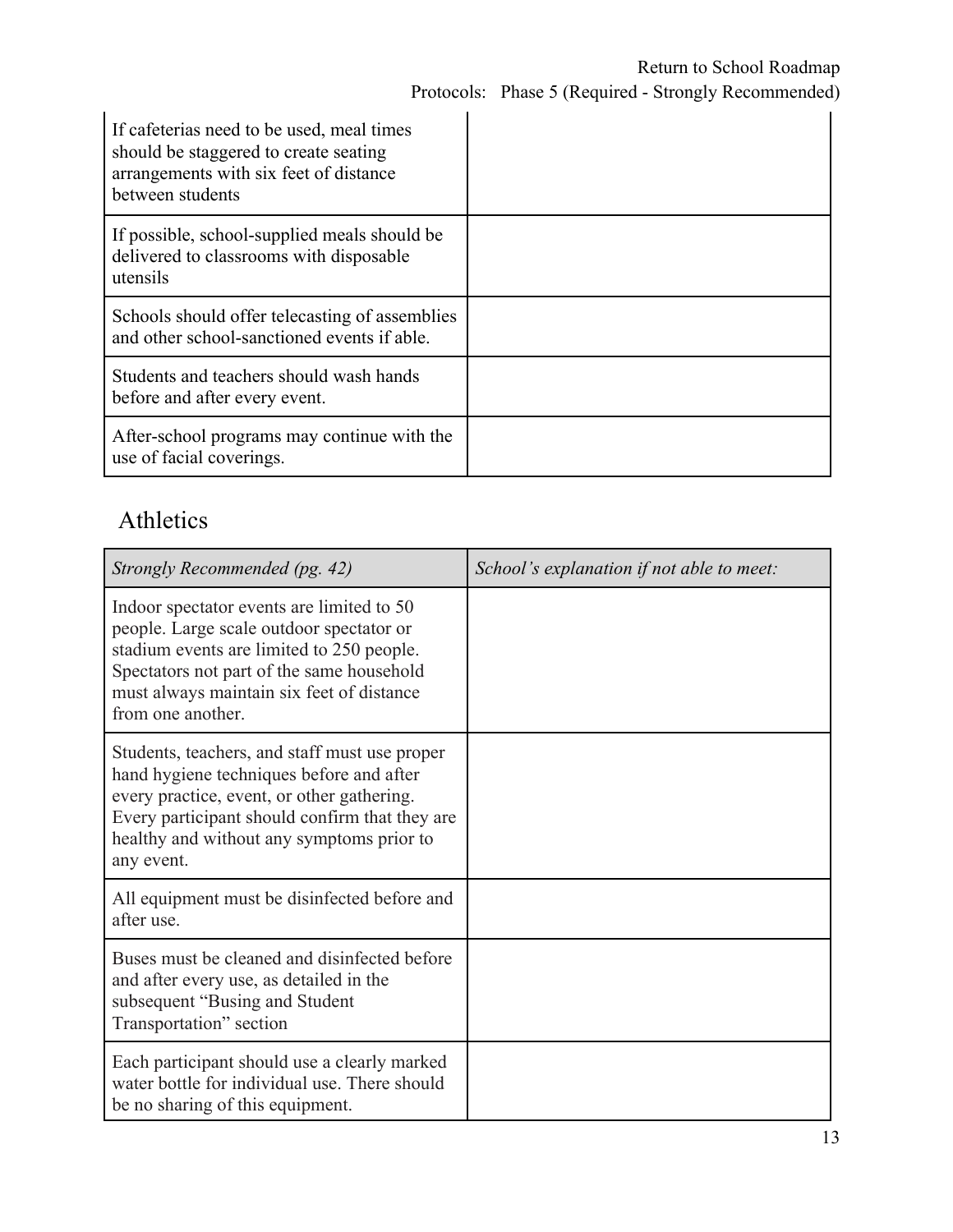| If cafeterias need to be used, meal times<br>should be staggered to create seating<br>arrangements with six feet of distance<br>between students |  |
|--------------------------------------------------------------------------------------------------------------------------------------------------|--|
| If possible, school-supplied meals should be<br>delivered to classrooms with disposable<br>utensils                                              |  |
| Schools should offer telecasting of assemblies<br>and other school-sanctioned events if able.                                                    |  |
| Students and teachers should wash hands<br>before and after every event.                                                                         |  |
| After-school programs may continue with the<br>use of facial coverings.                                                                          |  |

## Athletics

| Strongly Recommended (pg. 42)                                                                                                                                                                                                                        | School's explanation if not able to meet: |
|------------------------------------------------------------------------------------------------------------------------------------------------------------------------------------------------------------------------------------------------------|-------------------------------------------|
| Indoor spectator events are limited to 50<br>people. Large scale outdoor spectator or<br>stadium events are limited to 250 people.<br>Spectators not part of the same household<br>must always maintain six feet of distance<br>from one another.    |                                           |
| Students, teachers, and staff must use proper<br>hand hygiene techniques before and after<br>every practice, event, or other gathering.<br>Every participant should confirm that they are<br>healthy and without any symptoms prior to<br>any event. |                                           |
| All equipment must be disinfected before and<br>after use.                                                                                                                                                                                           |                                           |
| Buses must be cleaned and disinfected before<br>and after every use, as detailed in the<br>subsequent "Busing and Student<br>Transportation" section                                                                                                 |                                           |
| Each participant should use a clearly marked<br>water bottle for individual use. There should<br>be no sharing of this equipment.                                                                                                                    |                                           |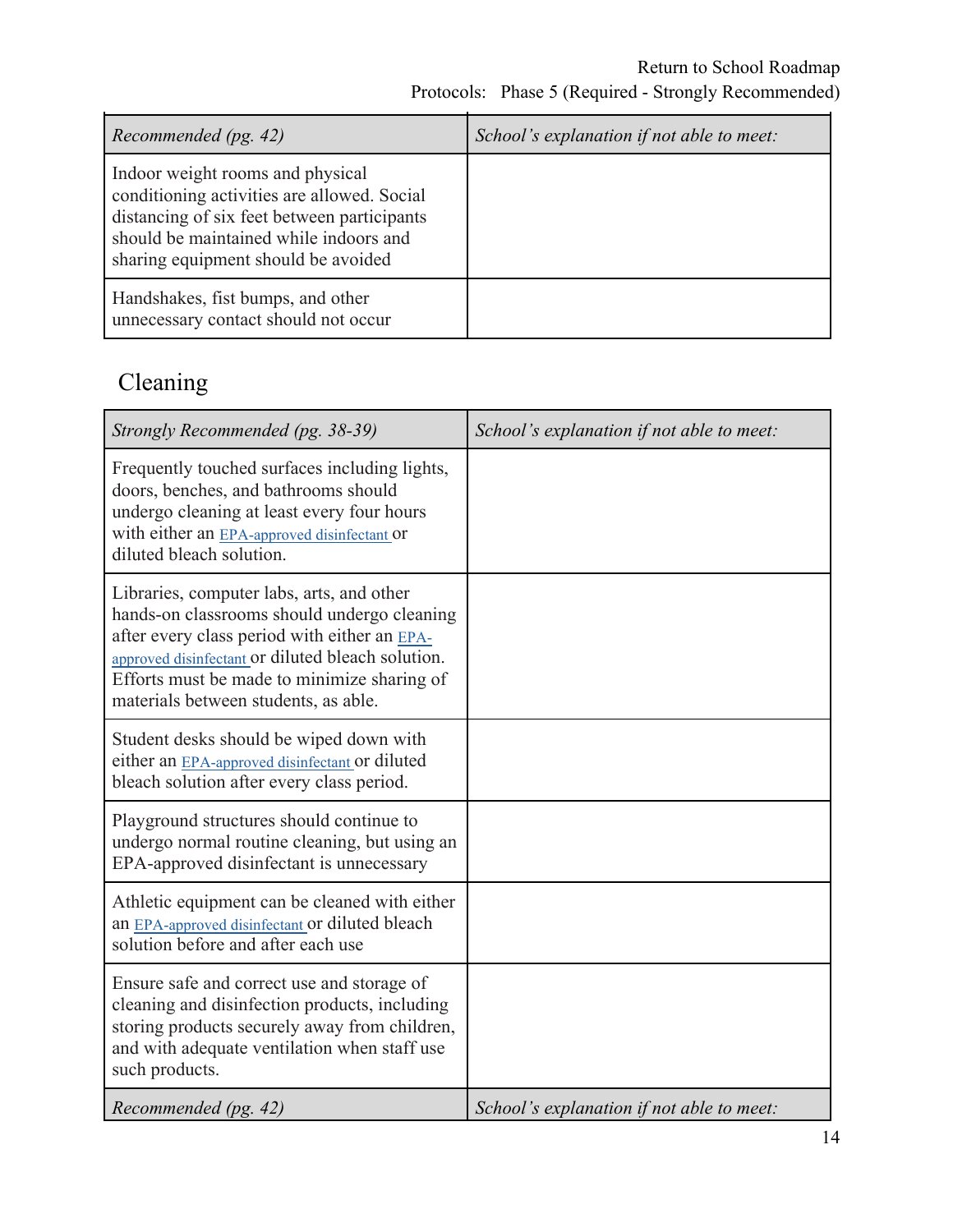| Recommended (pg. 42)                                                                                                                                                                                            | School's explanation if not able to meet: |
|-----------------------------------------------------------------------------------------------------------------------------------------------------------------------------------------------------------------|-------------------------------------------|
| Indoor weight rooms and physical<br>conditioning activities are allowed. Social<br>distancing of six feet between participants<br>should be maintained while indoors and<br>sharing equipment should be avoided |                                           |
| Handshakes, fist bumps, and other<br>unnecessary contact should not occur                                                                                                                                       |                                           |

# Cleaning

| Strongly Recommended (pg. 38-39)                                                                                                                                                                                                                                                     | School's explanation if not able to meet: |
|--------------------------------------------------------------------------------------------------------------------------------------------------------------------------------------------------------------------------------------------------------------------------------------|-------------------------------------------|
| Frequently touched surfaces including lights,<br>doors, benches, and bathrooms should<br>undergo cleaning at least every four hours<br>with either an EPA-approved disinfectant or<br>diluted bleach solution.                                                                       |                                           |
| Libraries, computer labs, arts, and other<br>hands-on classrooms should undergo cleaning<br>after every class period with either an EPA-<br>approved disinfectant or diluted bleach solution.<br>Efforts must be made to minimize sharing of<br>materials between students, as able. |                                           |
| Student desks should be wiped down with<br>either an EPA-approved disinfectant or diluted<br>bleach solution after every class period.                                                                                                                                               |                                           |
| Playground structures should continue to<br>undergo normal routine cleaning, but using an<br>EPA-approved disinfectant is unnecessary                                                                                                                                                |                                           |
| Athletic equipment can be cleaned with either<br>an EPA-approved disinfectant or diluted bleach<br>solution before and after each use                                                                                                                                                |                                           |
| Ensure safe and correct use and storage of<br>cleaning and disinfection products, including<br>storing products securely away from children,<br>and with adequate ventilation when staff use<br>such products.                                                                       |                                           |
| Recommended (pg. 42)                                                                                                                                                                                                                                                                 | School's explanation if not able to meet: |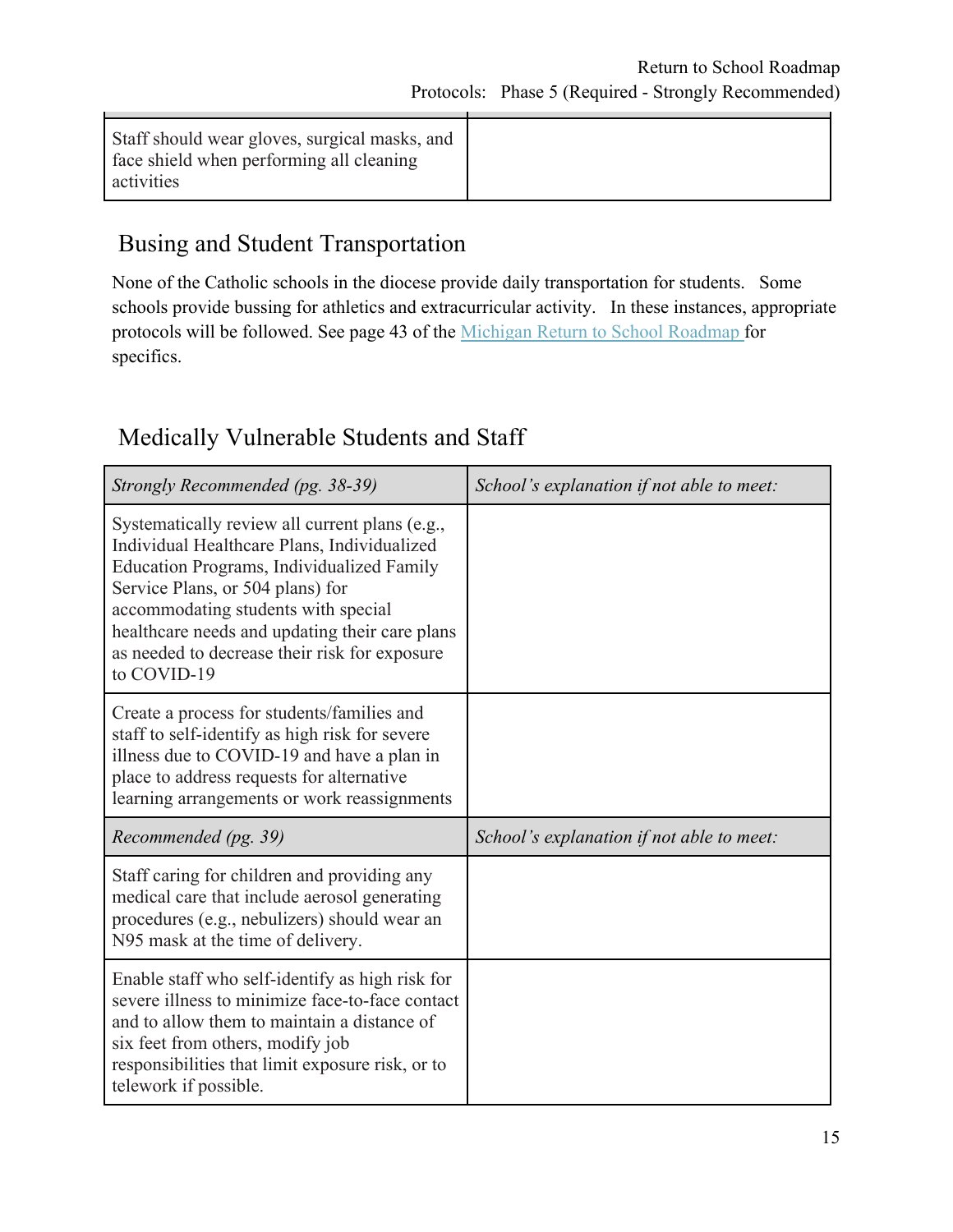| Staff should wear gloves, surgical masks, and<br>face shield when performing all cleaning<br>activities |  |
|---------------------------------------------------------------------------------------------------------|--|
|---------------------------------------------------------------------------------------------------------|--|

### Busing and Student Transportation

None of the Catholic schools in the diocese provide daily transportation for students. Some schools provide bussing for athletics and extracurricular activity. In these instances, appropriate protocols will be followed. See page 43 of the [Michigan Return to School Roadmap](https://www.michigan.gov/documents/whitmer/MI_Safe_Schools_Roadmap_FINAL_695392_7.pdf) for specifics.

### Medically Vulnerable Students and Staff

| Strongly Recommended (pg. 38-39)                                                                                                                                                                                                                                                                                                               | School's explanation if not able to meet: |
|------------------------------------------------------------------------------------------------------------------------------------------------------------------------------------------------------------------------------------------------------------------------------------------------------------------------------------------------|-------------------------------------------|
| Systematically review all current plans (e.g.,<br>Individual Healthcare Plans, Individualized<br><b>Education Programs, Individualized Family</b><br>Service Plans, or 504 plans) for<br>accommodating students with special<br>healthcare needs and updating their care plans<br>as needed to decrease their risk for exposure<br>to COVID-19 |                                           |
| Create a process for students/families and<br>staff to self-identify as high risk for severe<br>illness due to COVID-19 and have a plan in<br>place to address requests for alternative<br>learning arrangements or work reassignments                                                                                                         |                                           |
| Recommended (pg. 39)                                                                                                                                                                                                                                                                                                                           | School's explanation if not able to meet: |
| Staff caring for children and providing any<br>medical care that include aerosol generating                                                                                                                                                                                                                                                    |                                           |
| procedures (e.g., nebulizers) should wear an<br>N95 mask at the time of delivery.                                                                                                                                                                                                                                                              |                                           |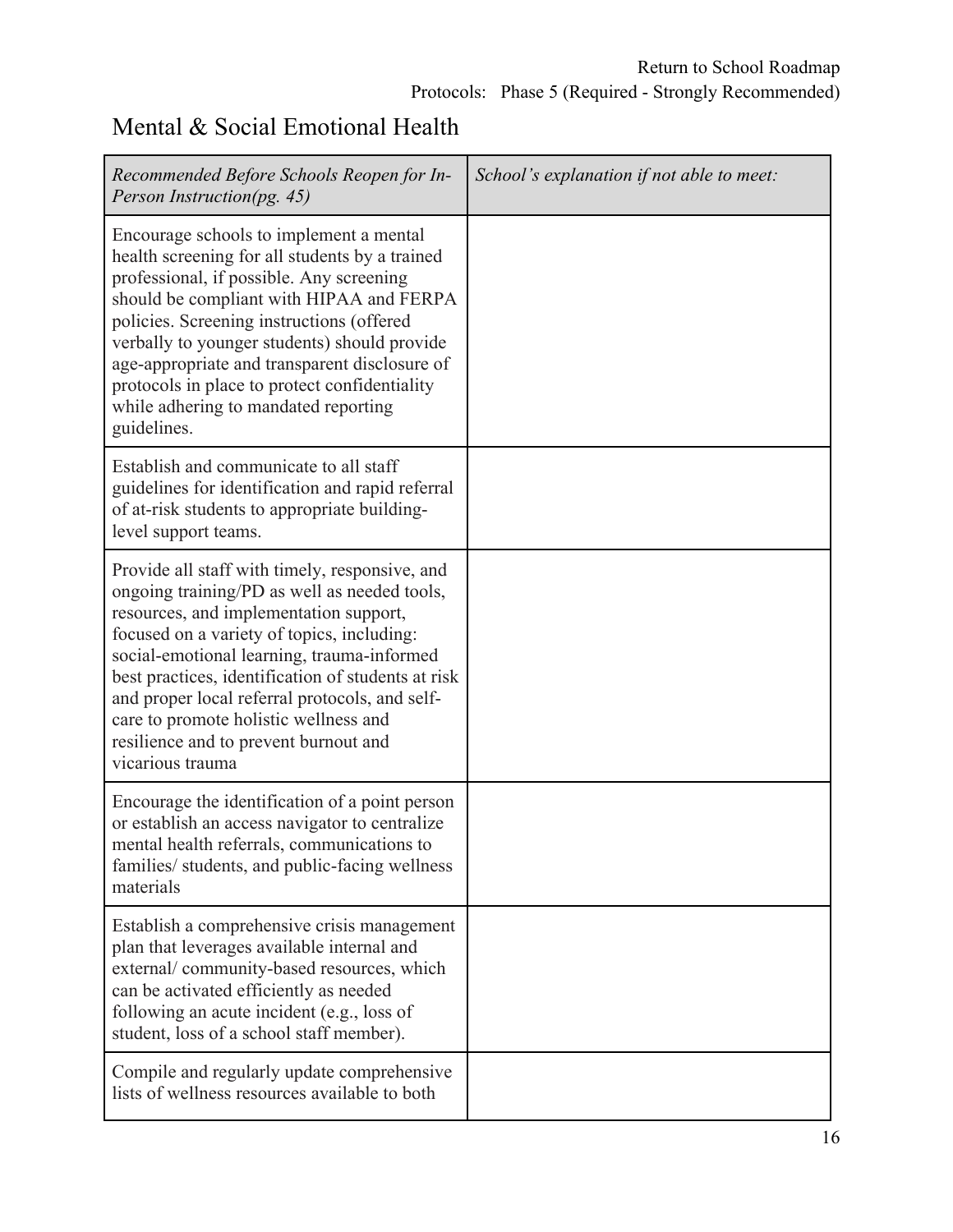### Mental & Social Emotional Health

| Recommended Before Schools Reopen for In-<br>Person Instruction(pg. 45)                                                                                                                                                                                                                                                                                                                                                                            | School's explanation if not able to meet: |
|----------------------------------------------------------------------------------------------------------------------------------------------------------------------------------------------------------------------------------------------------------------------------------------------------------------------------------------------------------------------------------------------------------------------------------------------------|-------------------------------------------|
| Encourage schools to implement a mental<br>health screening for all students by a trained<br>professional, if possible. Any screening<br>should be compliant with HIPAA and FERPA<br>policies. Screening instructions (offered<br>verbally to younger students) should provide<br>age-appropriate and transparent disclosure of<br>protocols in place to protect confidentiality<br>while adhering to mandated reporting<br>guidelines.            |                                           |
| Establish and communicate to all staff<br>guidelines for identification and rapid referral<br>of at-risk students to appropriate building-<br>level support teams.                                                                                                                                                                                                                                                                                 |                                           |
| Provide all staff with timely, responsive, and<br>ongoing training/PD as well as needed tools,<br>resources, and implementation support,<br>focused on a variety of topics, including:<br>social-emotional learning, trauma-informed<br>best practices, identification of students at risk<br>and proper local referral protocols, and self-<br>care to promote holistic wellness and<br>resilience and to prevent burnout and<br>vicarious trauma |                                           |
| Encourage the identification of a point person<br>or establish an access navigator to centralize<br>mental health referrals, communications to<br>families/ students, and public-facing wellness<br>materials                                                                                                                                                                                                                                      |                                           |
| Establish a comprehensive crisis management<br>plan that leverages available internal and<br>external/community-based resources, which<br>can be activated efficiently as needed<br>following an acute incident (e.g., loss of<br>student, loss of a school staff member).                                                                                                                                                                         |                                           |
| Compile and regularly update comprehensive<br>lists of wellness resources available to both                                                                                                                                                                                                                                                                                                                                                        |                                           |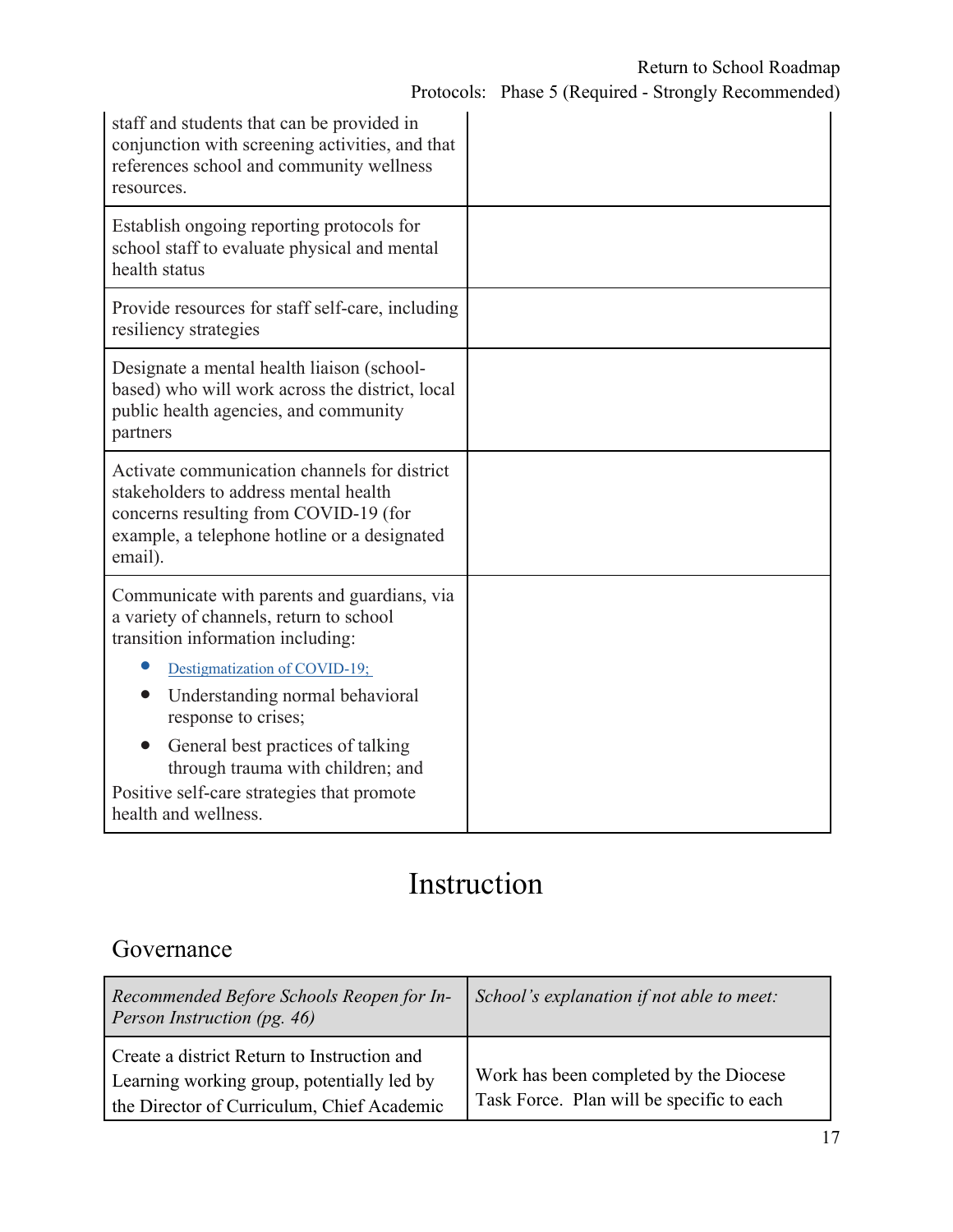| staff and students that can be provided in<br>conjunction with screening activities, and that<br>references school and community wellness<br>resources.                                   |  |
|-------------------------------------------------------------------------------------------------------------------------------------------------------------------------------------------|--|
| Establish ongoing reporting protocols for<br>school staff to evaluate physical and mental<br>health status                                                                                |  |
| Provide resources for staff self-care, including<br>resiliency strategies                                                                                                                 |  |
| Designate a mental health liaison (school-<br>based) who will work across the district, local<br>public health agencies, and community<br>partners                                        |  |
| Activate communication channels for district<br>stakeholders to address mental health<br>concerns resulting from COVID-19 (for<br>example, a telephone hotline or a designated<br>email). |  |
| Communicate with parents and guardians, via<br>a variety of channels, return to school<br>transition information including:                                                               |  |
| Destigmatization of COVID-19;                                                                                                                                                             |  |
| Understanding normal behavioral<br>response to crises;                                                                                                                                    |  |
| General best practices of talking<br>through trauma with children; and                                                                                                                    |  |
| Positive self-care strategies that promote<br>health and wellness.                                                                                                                        |  |

# Instruction

### Governance

| Recommended Before Schools Reopen for In-<br>Person Instruction (pg. 46)                                                                | School's explanation if not able to meet:                                           |
|-----------------------------------------------------------------------------------------------------------------------------------------|-------------------------------------------------------------------------------------|
| Create a district Return to Instruction and<br>Learning working group, potentially led by<br>the Director of Curriculum, Chief Academic | Work has been completed by the Diocese<br>Task Force. Plan will be specific to each |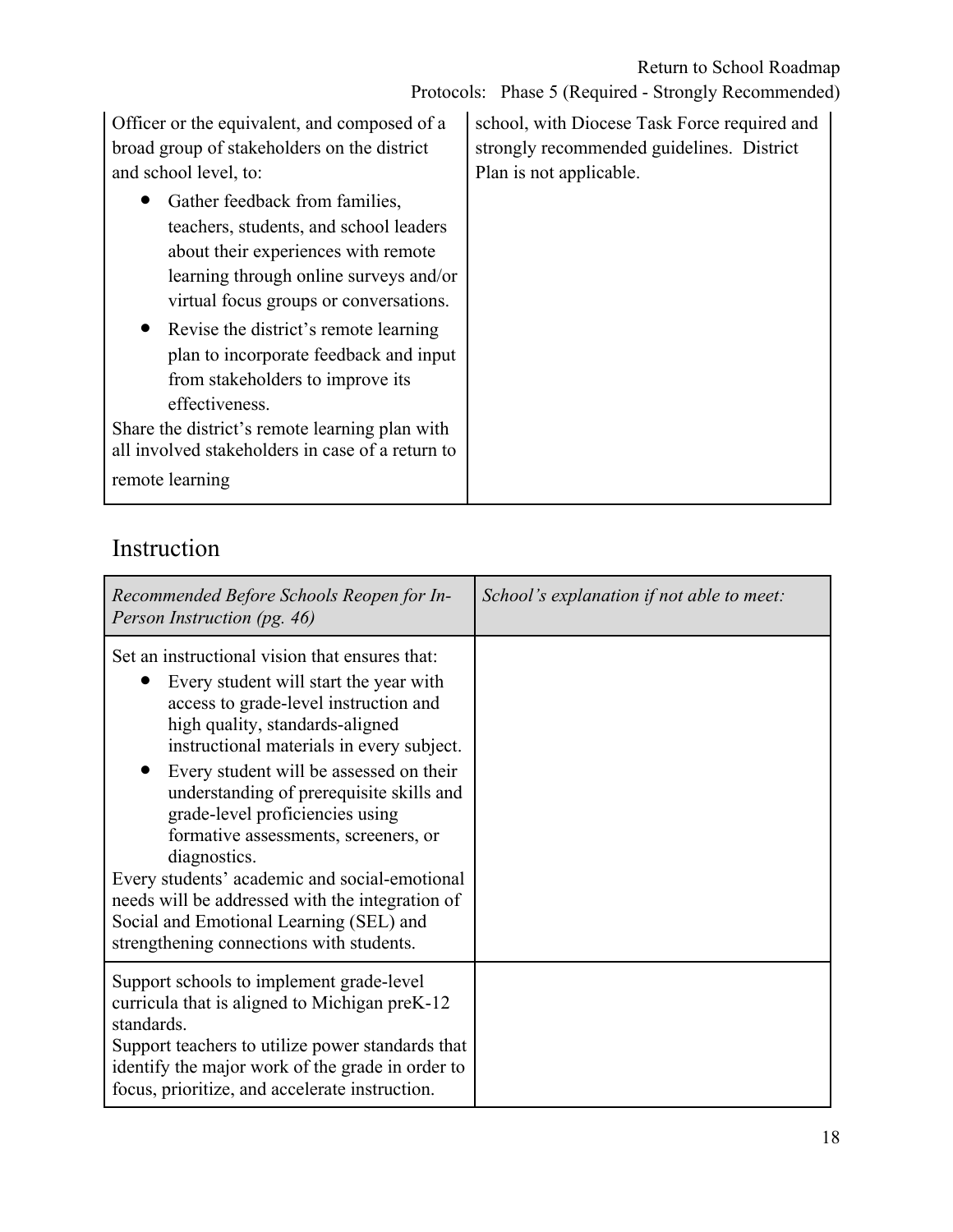Protocols: Phase 5 (Required - Strongly Recommended)

Officer or the equivalent, and composed of a broad group of stakeholders on the district and school level, to:

- Gather feedback from families, teachers, students, and school leaders about their experiences with remote learning through online surveys and/or virtual focus groups or conversations.
- Revise the district's remote learning plan to incorporate feedback and input from stakeholders to improve its effectiveness.

Share the district's remote learning plan with all involved stakeholders in case of a return to remote learning

school, with Diocese Task Force required and strongly recommended guidelines. District Plan is not applicable.

### Instruction

| Recommended Before Schools Reopen for In-<br>Person Instruction (pg. 46)                                                                                                                                                                                                                                                                                                                                                                                                                                                                                                                       | School's explanation if not able to meet: |
|------------------------------------------------------------------------------------------------------------------------------------------------------------------------------------------------------------------------------------------------------------------------------------------------------------------------------------------------------------------------------------------------------------------------------------------------------------------------------------------------------------------------------------------------------------------------------------------------|-------------------------------------------|
| Set an instructional vision that ensures that:<br>Every student will start the year with<br>access to grade-level instruction and<br>high quality, standards-aligned<br>instructional materials in every subject.<br>Every student will be assessed on their<br>understanding of prerequisite skills and<br>grade-level proficiencies using<br>formative assessments, screeners, or<br>diagnostics.<br>Every students' academic and social-emotional<br>needs will be addressed with the integration of<br>Social and Emotional Learning (SEL) and<br>strengthening connections with students. |                                           |
| Support schools to implement grade-level<br>curricula that is aligned to Michigan preK-12<br>standards.<br>Support teachers to utilize power standards that<br>identify the major work of the grade in order to<br>focus, prioritize, and accelerate instruction.                                                                                                                                                                                                                                                                                                                              |                                           |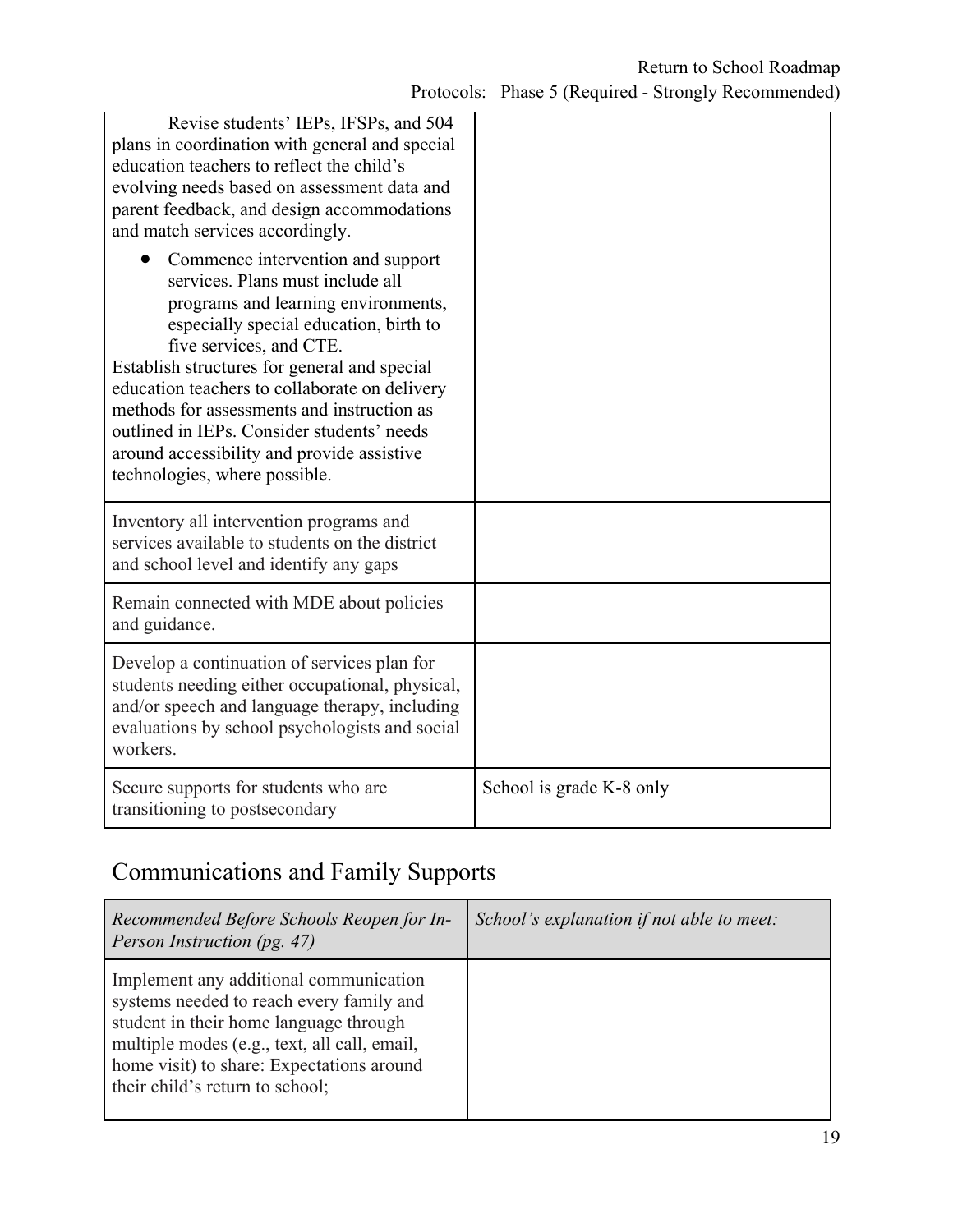| Revise students' IEPs, IFSPs, and 504<br>plans in coordination with general and special<br>education teachers to reflect the child's<br>evolving needs based on assessment data and<br>parent feedback, and design accommodations<br>and match services accordingly.                                                                                                                                                                                          |                          |
|---------------------------------------------------------------------------------------------------------------------------------------------------------------------------------------------------------------------------------------------------------------------------------------------------------------------------------------------------------------------------------------------------------------------------------------------------------------|--------------------------|
| Commence intervention and support<br>services. Plans must include all<br>programs and learning environments,<br>especially special education, birth to<br>five services, and CTE.<br>Establish structures for general and special<br>education teachers to collaborate on delivery<br>methods for assessments and instruction as<br>outlined in IEPs. Consider students' needs<br>around accessibility and provide assistive<br>technologies, where possible. |                          |
| Inventory all intervention programs and<br>services available to students on the district<br>and school level and identify any gaps                                                                                                                                                                                                                                                                                                                           |                          |
| Remain connected with MDE about policies<br>and guidance.                                                                                                                                                                                                                                                                                                                                                                                                     |                          |
| Develop a continuation of services plan for<br>students needing either occupational, physical,<br>and/or speech and language therapy, including<br>evaluations by school psychologists and social<br>workers.                                                                                                                                                                                                                                                 |                          |
| Secure supports for students who are<br>transitioning to postsecondary                                                                                                                                                                                                                                                                                                                                                                                        | School is grade K-8 only |

# Communications and Family Supports

| Recommended Before Schools Reopen for In-<br>Person Instruction (pg. 47)                                                                                                                                                                                     | School's explanation if not able to meet: |
|--------------------------------------------------------------------------------------------------------------------------------------------------------------------------------------------------------------------------------------------------------------|-------------------------------------------|
| Implement any additional communication<br>systems needed to reach every family and<br>student in their home language through<br>multiple modes (e.g., text, all call, email,<br>home visit) to share: Expectations around<br>their child's return to school; |                                           |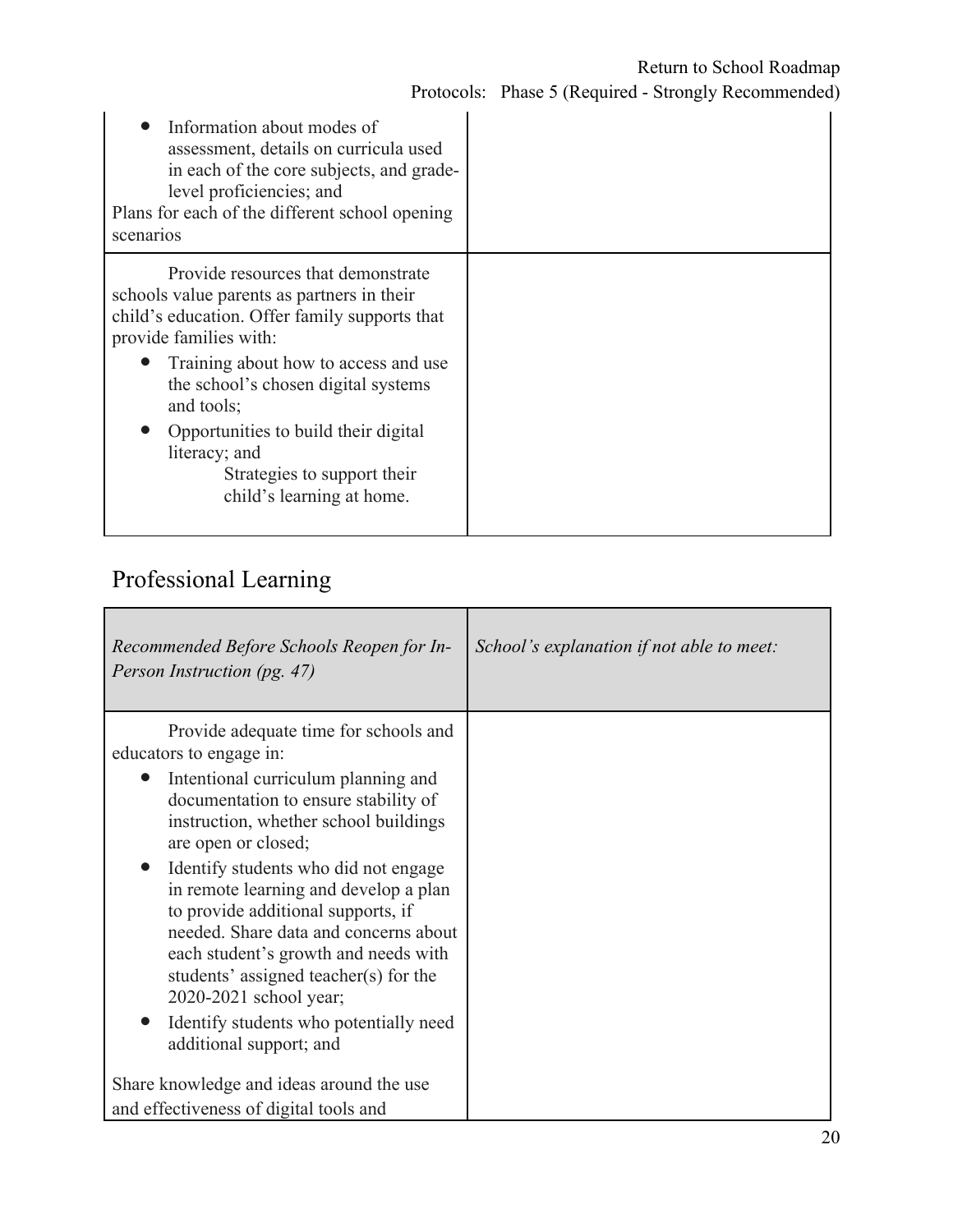| Information about modes of<br>assessment, details on curricula used<br>in each of the core subjects, and grade-<br>level proficiencies; and<br>Plans for each of the different school opening<br>scenarios                                                                                                                                                                    |  |
|-------------------------------------------------------------------------------------------------------------------------------------------------------------------------------------------------------------------------------------------------------------------------------------------------------------------------------------------------------------------------------|--|
| Provide resources that demonstrate<br>schools value parents as partners in their<br>child's education. Offer family supports that<br>provide families with:<br>Training about how to access and use<br>the school's chosen digital systems<br>and tools;<br>Opportunities to build their digital<br>literacy; and<br>Strategies to support their<br>child's learning at home. |  |

# Professional Learning

| Recommended Before Schools Reopen for In-<br>Person Instruction (pg. 47)                                                                                                                                                                                                                                                                                                        | School's explanation if not able to meet: |
|---------------------------------------------------------------------------------------------------------------------------------------------------------------------------------------------------------------------------------------------------------------------------------------------------------------------------------------------------------------------------------|-------------------------------------------|
| Provide adequate time for schools and<br>educators to engage in:<br>Intentional curriculum planning and<br>documentation to ensure stability of<br>instruction, whether school buildings<br>are open or closed;<br>Identify students who did not engage<br>in remote learning and develop a plan<br>to provide additional supports, if<br>needed. Share data and concerns about |                                           |
| each student's growth and needs with<br>students' assigned teacher(s) for the<br>2020-2021 school year;<br>Identify students who potentially need<br>additional support; and                                                                                                                                                                                                    |                                           |
| Share knowledge and ideas around the use<br>and effectiveness of digital tools and                                                                                                                                                                                                                                                                                              |                                           |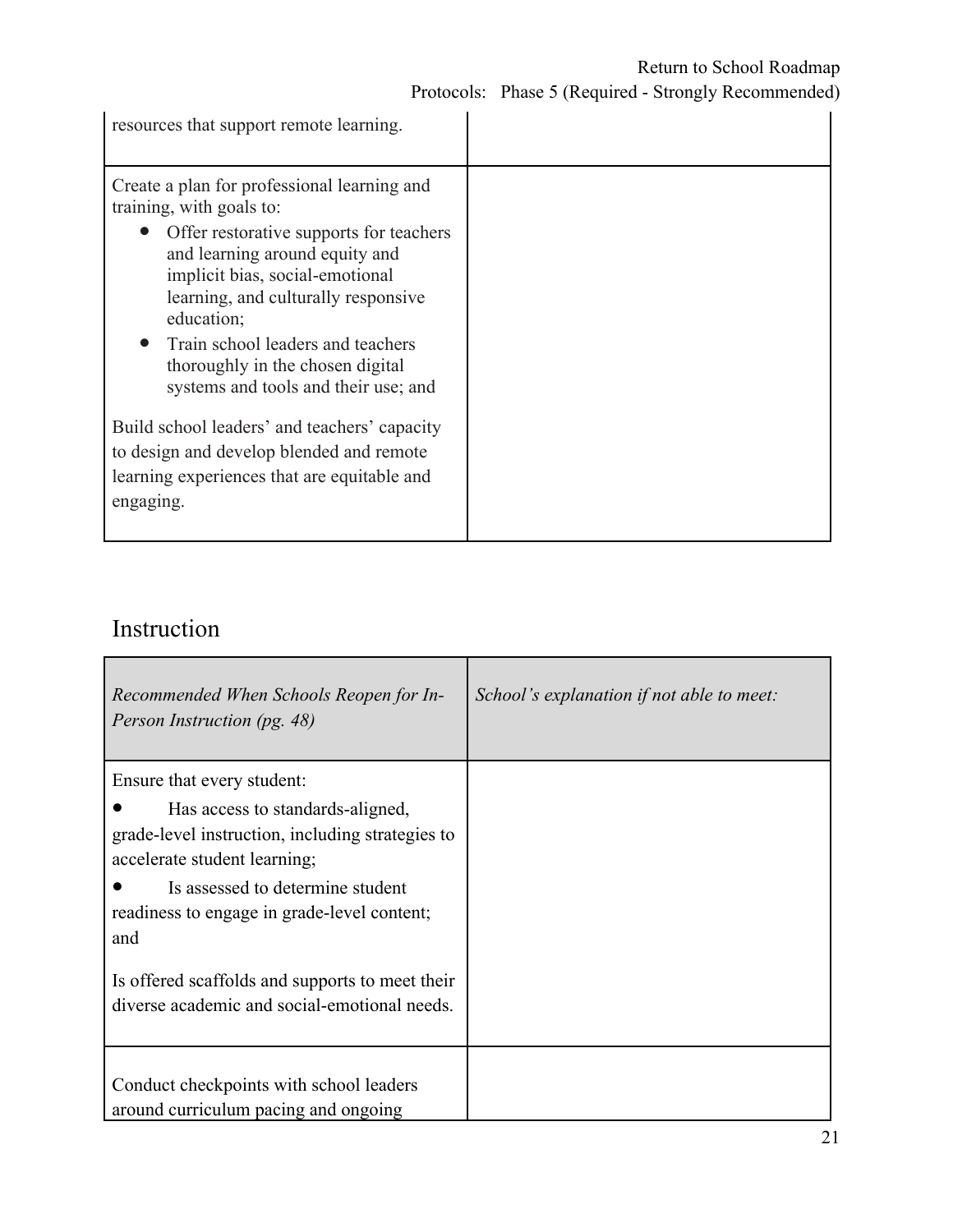#### Return to School Roadmap

Protocols: Phase 5 (Required - Strongly Recommended)

| resources that support remote learning.                                                                                                                                                                                                                                                                                                                         |  |
|-----------------------------------------------------------------------------------------------------------------------------------------------------------------------------------------------------------------------------------------------------------------------------------------------------------------------------------------------------------------|--|
| Create a plan for professional learning and<br>training, with goals to:<br>• Offer restorative supports for teachers<br>and learning around equity and<br>implicit bias, social-emotional<br>learning, and culturally responsive<br>education;<br>Train school leaders and teachers<br>thoroughly in the chosen digital<br>systems and tools and their use; and |  |
| Build school leaders' and teachers' capacity<br>to design and develop blended and remote<br>learning experiences that are equitable and<br>engaging.                                                                                                                                                                                                            |  |

### Instruction

| Recommended When Schools Reopen for In-<br>Person Instruction (pg. 48)                                                                                                                                                                       | School's explanation if not able to meet: |
|----------------------------------------------------------------------------------------------------------------------------------------------------------------------------------------------------------------------------------------------|-------------------------------------------|
| Ensure that every student:<br>Has access to standards-aligned,<br>grade-level instruction, including strategies to<br>accelerate student learning;<br>Is assessed to determine student<br>readiness to engage in grade-level content;<br>and |                                           |
| Is offered scaffolds and supports to meet their<br>diverse academic and social-emotional needs.<br>Conduct checkpoints with school leaders<br>around curriculum pacing and ongoing                                                           |                                           |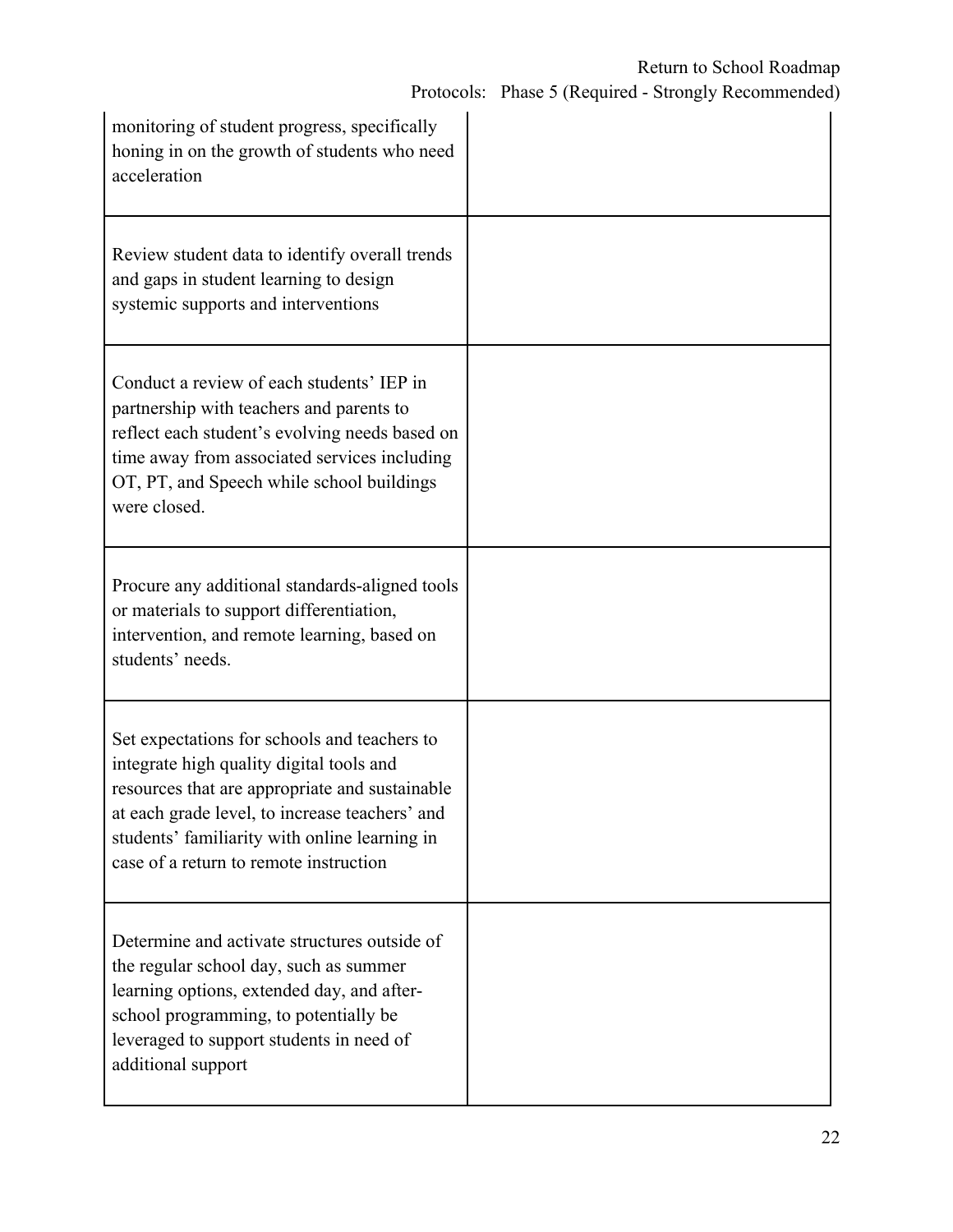| monitoring of student progress, specifically<br>honing in on the growth of students who need<br>acceleration                                                                                                                                                                            |  |
|-----------------------------------------------------------------------------------------------------------------------------------------------------------------------------------------------------------------------------------------------------------------------------------------|--|
| Review student data to identify overall trends<br>and gaps in student learning to design<br>systemic supports and interventions                                                                                                                                                         |  |
| Conduct a review of each students' IEP in<br>partnership with teachers and parents to<br>reflect each student's evolving needs based on<br>time away from associated services including<br>OT, PT, and Speech while school buildings<br>were closed.                                    |  |
| Procure any additional standards-aligned tools<br>or materials to support differentiation,<br>intervention, and remote learning, based on<br>students' needs.                                                                                                                           |  |
| Set expectations for schools and teachers to<br>integrate high quality digital tools and<br>resources that are appropriate and sustainable<br>at each grade level, to increase teachers' and<br>students' familiarity with online learning in<br>case of a return to remote instruction |  |
| Determine and activate structures outside of<br>the regular school day, such as summer<br>learning options, extended day, and after-<br>school programming, to potentially be<br>leveraged to support students in need of<br>additional support                                         |  |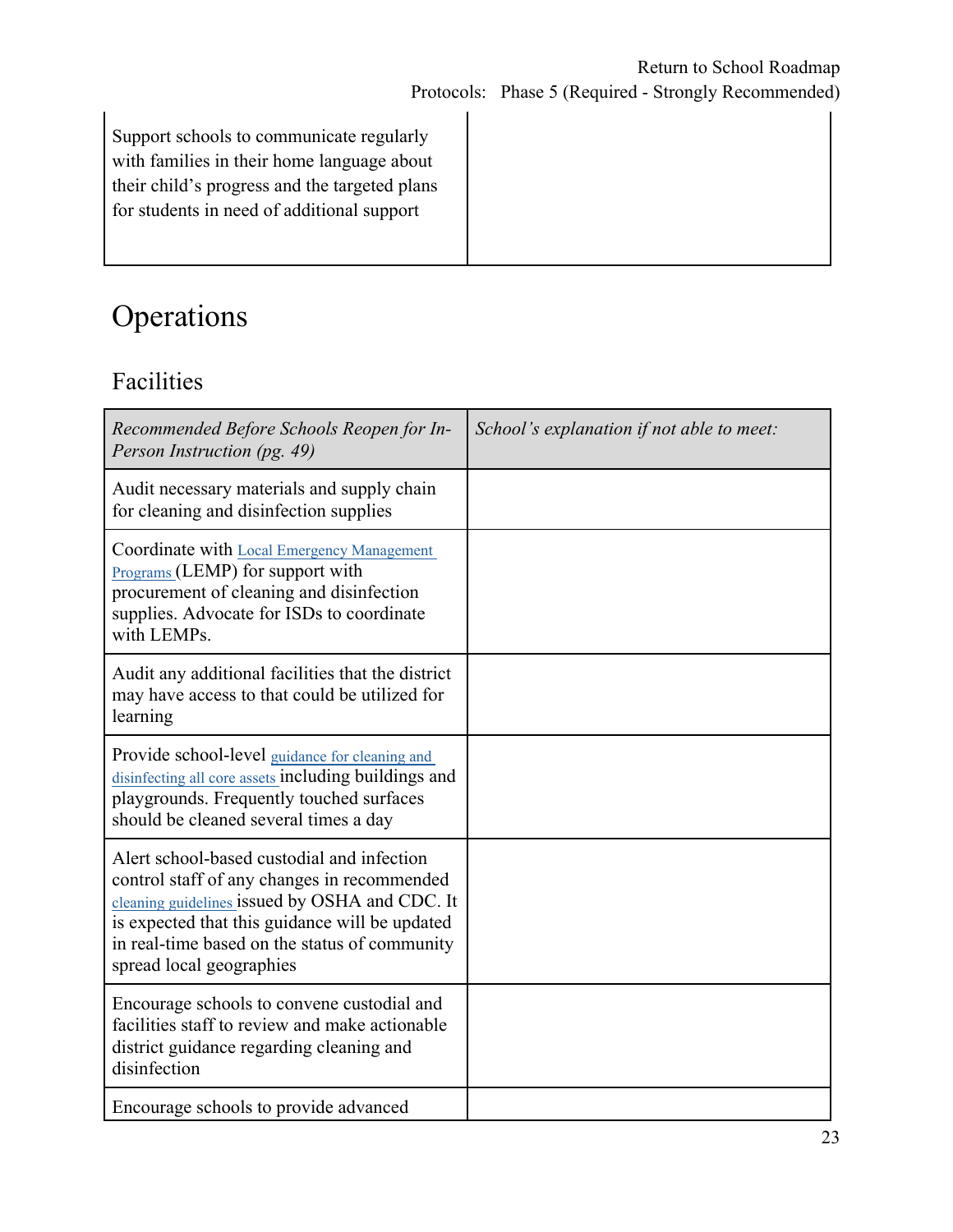Support schools to communicate regularly with families in their home language about their child's progress and the targeted plans for students in need of additional support

# Operations

### Facilities

| Recommended Before Schools Reopen for In-<br>Person Instruction (pg. 49)                                                                                                                                                                                                   | School's explanation if not able to meet: |
|----------------------------------------------------------------------------------------------------------------------------------------------------------------------------------------------------------------------------------------------------------------------------|-------------------------------------------|
| Audit necessary materials and supply chain<br>for cleaning and disinfection supplies                                                                                                                                                                                       |                                           |
| Coordinate with Local Emergency Management<br>Programs (LEMP) for support with<br>procurement of cleaning and disinfection<br>supplies. Advocate for ISDs to coordinate<br>with LEMPs.                                                                                     |                                           |
| Audit any additional facilities that the district<br>may have access to that could be utilized for<br>learning                                                                                                                                                             |                                           |
| Provide school-level guidance for cleaning and<br>disinfecting all core assets including buildings and<br>playgrounds. Frequently touched surfaces<br>should be cleaned several times a day                                                                                |                                           |
| Alert school-based custodial and infection<br>control staff of any changes in recommended<br>cleaning guidelines issued by OSHA and CDC. It<br>is expected that this guidance will be updated<br>in real-time based on the status of community<br>spread local geographies |                                           |
| Encourage schools to convene custodial and<br>facilities staff to review and make actionable<br>district guidance regarding cleaning and<br>disinfection                                                                                                                   |                                           |
| Encourage schools to provide advanced                                                                                                                                                                                                                                      |                                           |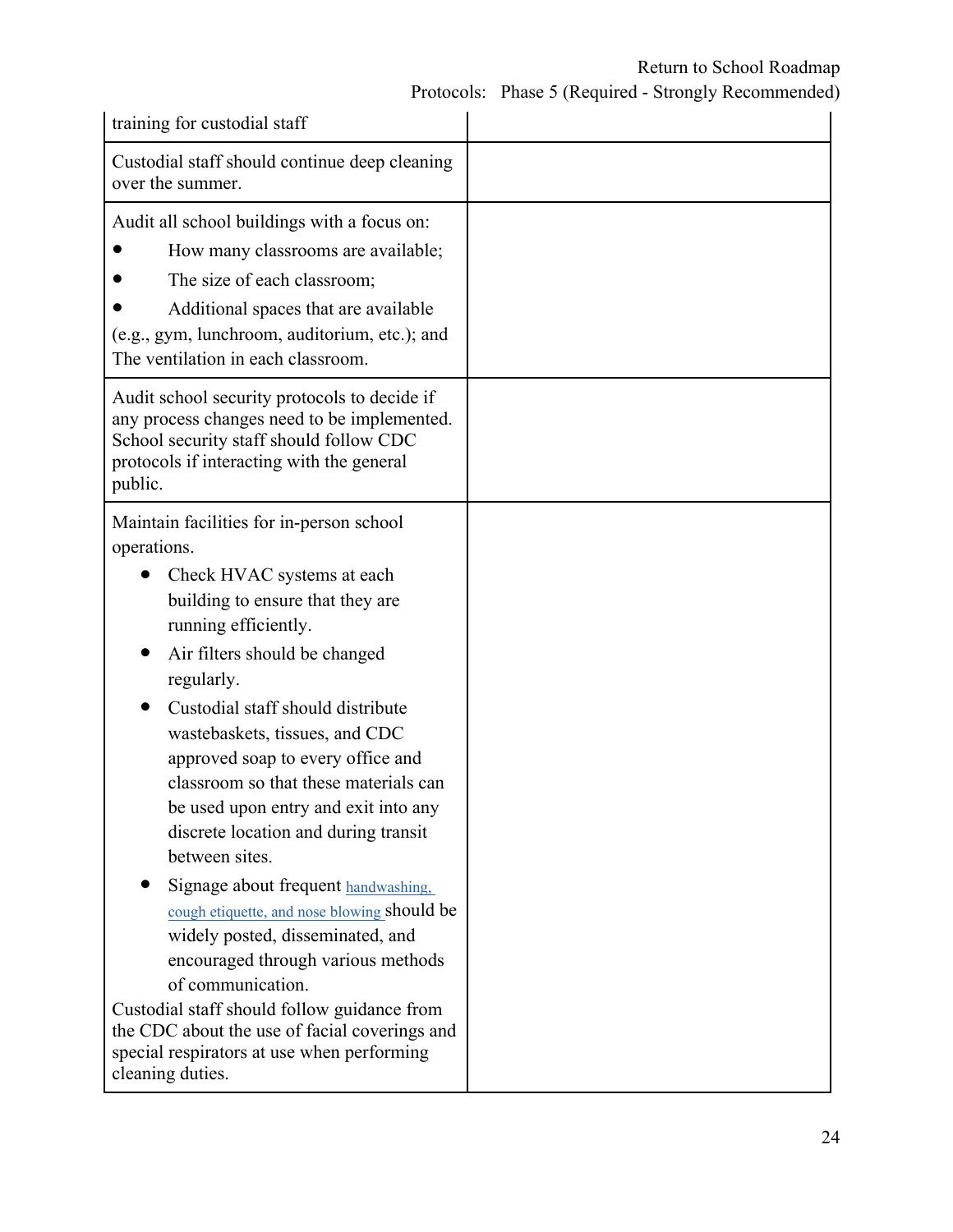### Return to School Roadmap

Protocols: Phase 5 (Required - Strongly Recommended)

| training for custodial staff                                                                                                                                                                                                                                                                                                                                                                                                                                                                                                                                                                                                                                                                                                                                                                                   |  |
|----------------------------------------------------------------------------------------------------------------------------------------------------------------------------------------------------------------------------------------------------------------------------------------------------------------------------------------------------------------------------------------------------------------------------------------------------------------------------------------------------------------------------------------------------------------------------------------------------------------------------------------------------------------------------------------------------------------------------------------------------------------------------------------------------------------|--|
| Custodial staff should continue deep cleaning<br>over the summer.                                                                                                                                                                                                                                                                                                                                                                                                                                                                                                                                                                                                                                                                                                                                              |  |
| Audit all school buildings with a focus on:<br>How many classrooms are available;<br>The size of each classroom;<br>Additional spaces that are available<br>(e.g., gym, lunchroom, auditorium, etc.); and<br>The ventilation in each classroom.                                                                                                                                                                                                                                                                                                                                                                                                                                                                                                                                                                |  |
| Audit school security protocols to decide if<br>any process changes need to be implemented.<br>School security staff should follow CDC<br>protocols if interacting with the general<br>public.                                                                                                                                                                                                                                                                                                                                                                                                                                                                                                                                                                                                                 |  |
| Maintain facilities for in-person school<br>operations.<br>Check HVAC systems at each<br>building to ensure that they are<br>running efficiently.<br>Air filters should be changed<br>regularly.<br>Custodial staff should distribute<br>wastebaskets, tissues, and CDC<br>approved soap to every office and<br>classroom so that these materials can<br>be used upon entry and exit into any<br>discrete location and during transit<br>between sites.<br>Signage about frequent handwashing,<br>cough etiquette, and nose blowing should be<br>widely posted, disseminated, and<br>encouraged through various methods<br>of communication.<br>Custodial staff should follow guidance from<br>the CDC about the use of facial coverings and<br>special respirators at use when performing<br>cleaning duties. |  |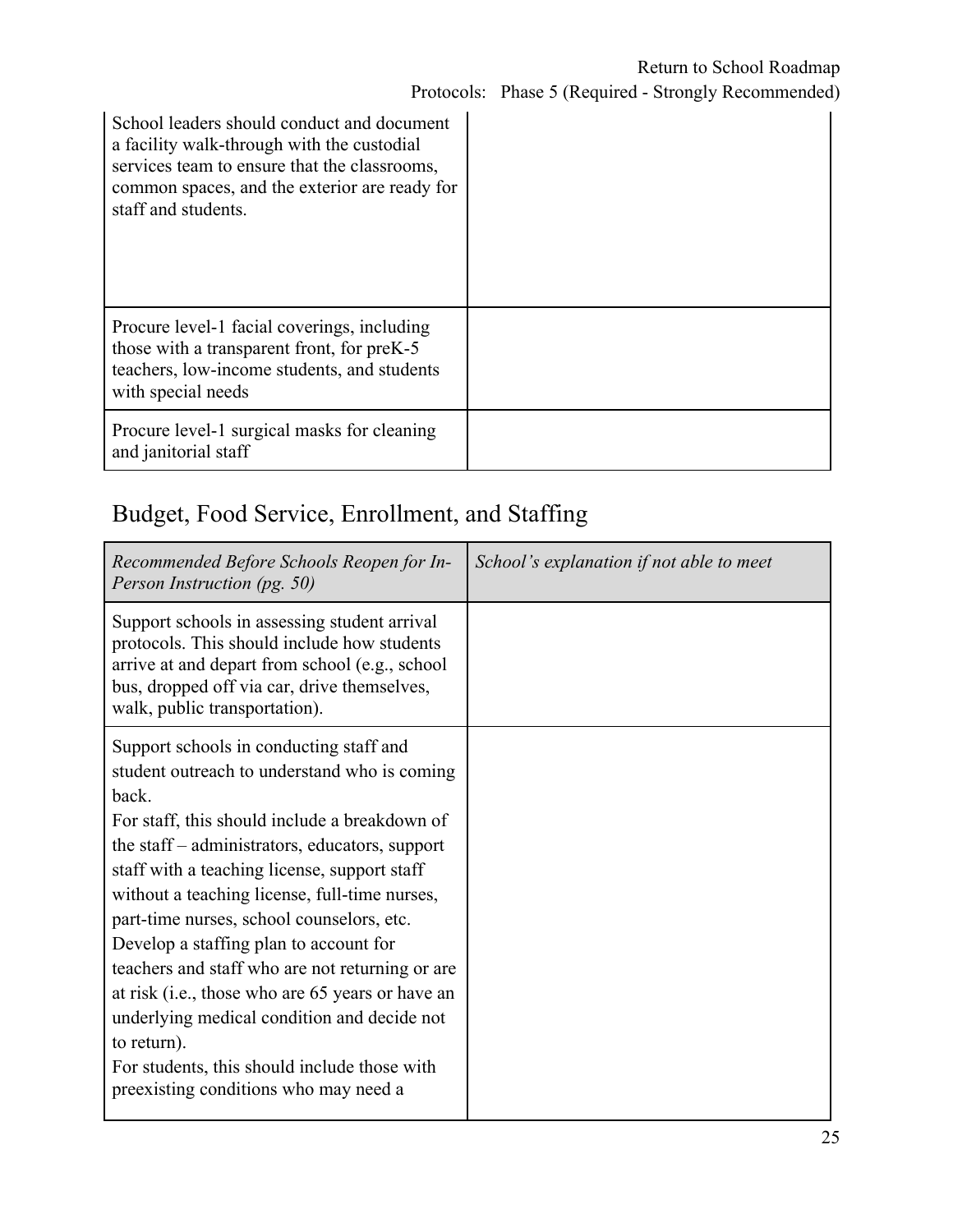| School leaders should conduct and document<br>a facility walk-through with the custodial<br>services team to ensure that the classrooms,<br>common spaces, and the exterior are ready for<br>staff and students. |  |
|------------------------------------------------------------------------------------------------------------------------------------------------------------------------------------------------------------------|--|
| Procure level-1 facial coverings, including<br>those with a transparent front, for preK-5<br>teachers, low-income students, and students<br>with special needs                                                   |  |
| Procure level-1 surgical masks for cleaning<br>and janitorial staff                                                                                                                                              |  |

# Budget, Food Service, Enrollment, and Staffing

| Recommended Before Schools Reopen for In-<br>Person Instruction (pg. 50)                                                                                                                                                                                                                                                                                                                                                                                                                                                                                                                                                                                  | School's explanation if not able to meet |
|-----------------------------------------------------------------------------------------------------------------------------------------------------------------------------------------------------------------------------------------------------------------------------------------------------------------------------------------------------------------------------------------------------------------------------------------------------------------------------------------------------------------------------------------------------------------------------------------------------------------------------------------------------------|------------------------------------------|
| Support schools in assessing student arrival<br>protocols. This should include how students<br>arrive at and depart from school (e.g., school<br>bus, dropped off via car, drive themselves,<br>walk, public transportation).                                                                                                                                                                                                                                                                                                                                                                                                                             |                                          |
| Support schools in conducting staff and<br>student outreach to understand who is coming<br>back.<br>For staff, this should include a breakdown of<br>the staff – administrators, educators, support<br>staff with a teaching license, support staff<br>without a teaching license, full-time nurses,<br>part-time nurses, school counselors, etc.<br>Develop a staffing plan to account for<br>teachers and staff who are not returning or are<br>at risk (i.e., those who are 65 years or have an<br>underlying medical condition and decide not<br>to return).<br>For students, this should include those with<br>preexisting conditions who may need a |                                          |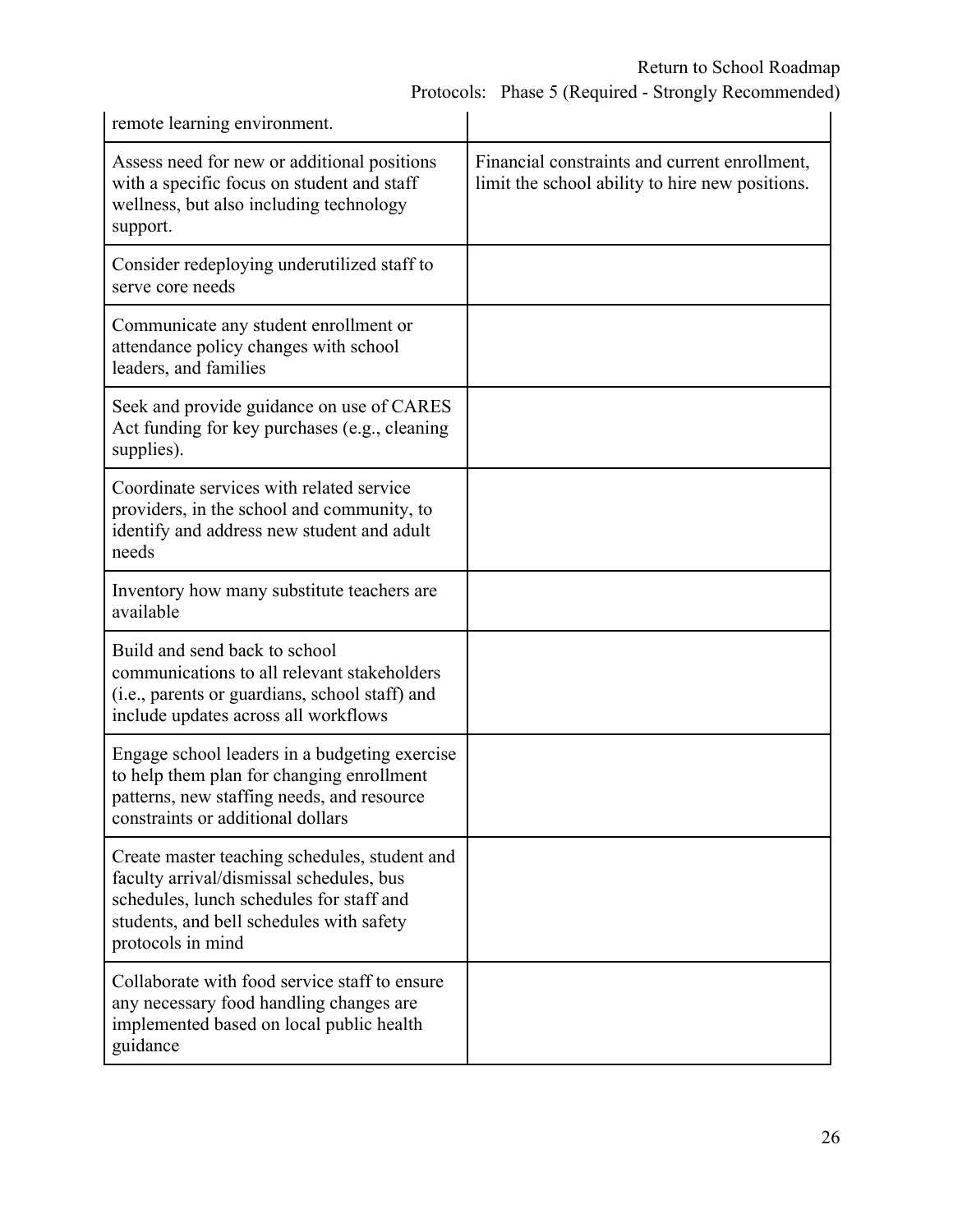| remote learning environment.                                                                                                                                                                           |                                                                                                  |
|--------------------------------------------------------------------------------------------------------------------------------------------------------------------------------------------------------|--------------------------------------------------------------------------------------------------|
| Assess need for new or additional positions<br>with a specific focus on student and staff<br>wellness, but also including technology<br>support.                                                       | Financial constraints and current enrollment,<br>limit the school ability to hire new positions. |
| Consider redeploying underutilized staff to<br>serve core needs                                                                                                                                        |                                                                                                  |
| Communicate any student enrollment or<br>attendance policy changes with school<br>leaders, and families                                                                                                |                                                                                                  |
| Seek and provide guidance on use of CARES<br>Act funding for key purchases (e.g., cleaning<br>supplies).                                                                                               |                                                                                                  |
| Coordinate services with related service<br>providers, in the school and community, to<br>identify and address new student and adult<br>needs                                                          |                                                                                                  |
| Inventory how many substitute teachers are<br>available                                                                                                                                                |                                                                                                  |
| Build and send back to school<br>communications to all relevant stakeholders<br>(i.e., parents or guardians, school staff) and<br>include updates across all workflows                                 |                                                                                                  |
| Engage school leaders in a budgeting exercise<br>to help them plan for changing enrollment<br>patterns, new staffing needs, and resource<br>constraints or additional dollars                          |                                                                                                  |
| Create master teaching schedules, student and<br>faculty arrival/dismissal schedules, bus<br>schedules, lunch schedules for staff and<br>students, and bell schedules with safety<br>protocols in mind |                                                                                                  |
| Collaborate with food service staff to ensure<br>any necessary food handling changes are<br>implemented based on local public health<br>guidance                                                       |                                                                                                  |